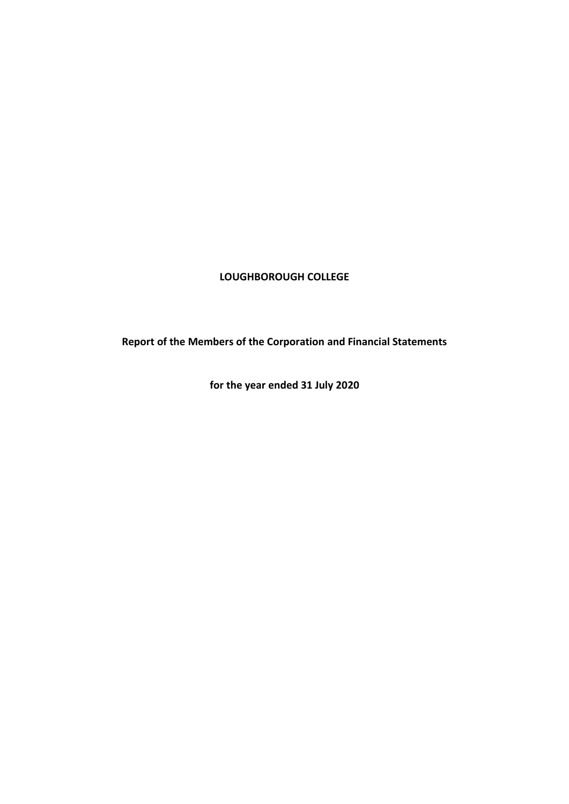### **LOUGHBOROUGH COLLEGE**

**Report of the Members of the Corporation and Financial Statements**

**for the year ended 31 July 2020**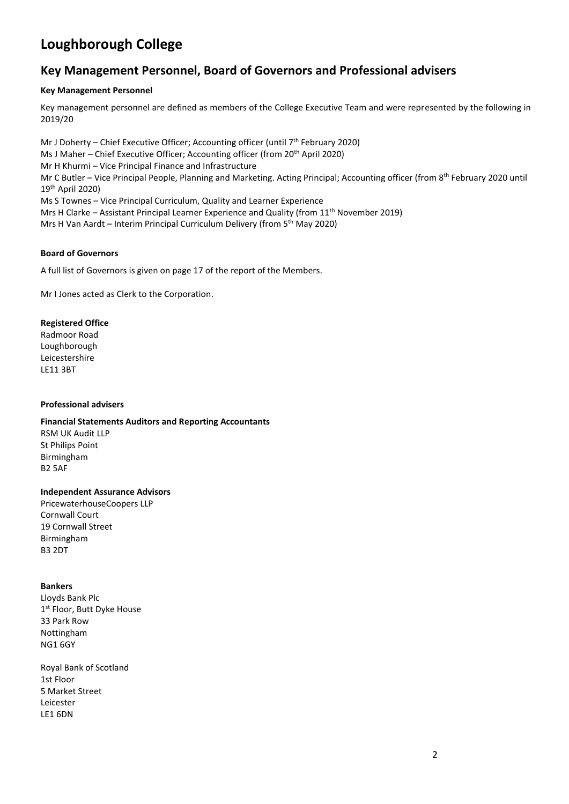### **Key Management Personnel, Board of Governors and Professional advisers**

#### **Key Management Personnel**

Key management personnel are defined as members of the College Executive Team and were represented by the following in 2019/20

Mr J Doherty – Chief Executive Officer; Accounting officer (until 7th February 2020) Ms J Maher – Chief Executive Officer; Accounting officer (from 20<sup>th</sup> April 2020) Mr H Khurmi – Vice Principal Finance and Infrastructure Mr C Butler – Vice Principal People, Planning and Marketing. Acting Principal; Accounting officer (from 8th February 2020 until 19th April 2020) Ms S Townes – Vice Principal Curriculum, Quality and Learner Experience Mrs H Clarke – Assistant Principal Learner Experience and Quality (from 11<sup>th</sup> November 2019) Mrs H Van Aardt – Interim Principal Curriculum Delivery (from 5<sup>th</sup> May 2020)

#### **Board of Governors**

A full list of Governors is given on page 17 of the report of the Members.

Mr I Jones acted as Clerk to the Corporation.

#### **Registered Office**

Radmoor Road Loughborough Leicestershire LE11 3BT

#### **Professional advisers**

### **Financial Statements Auditors and Reporting Accountants**

RSM UK Audit LLP St Philips Point Birmingham B2 5AF

#### **Independent Assurance Advisors**

PricewaterhouseCoopers LLP Cornwall Court 19 Cornwall Street Birmingham B3 2DT

#### **Bankers**

Lloyds Bank Plc 1st Floor, Butt Dyke House 33 Park Row Nottingham NG1 6GY

Royal Bank of Scotland 1st Floor 5 Market Street Leicester LE1 6DN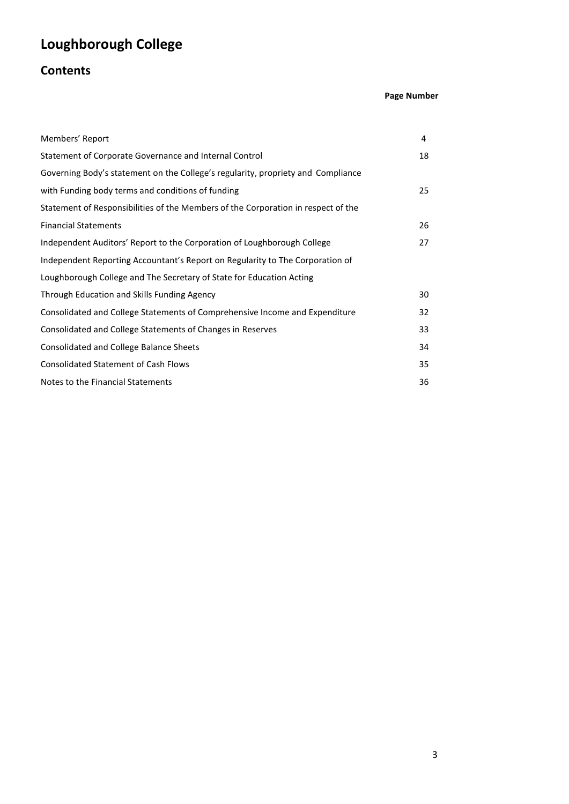# **Contents**

### **Page Number**

| Members' Report                                                                   | 4  |
|-----------------------------------------------------------------------------------|----|
| Statement of Corporate Governance and Internal Control                            | 18 |
| Governing Body's statement on the College's regularity, propriety and Compliance  |    |
| with Funding body terms and conditions of funding                                 | 25 |
| Statement of Responsibilities of the Members of the Corporation in respect of the |    |
| <b>Financial Statements</b>                                                       | 26 |
| Independent Auditors' Report to the Corporation of Loughborough College           | 27 |
| Independent Reporting Accountant's Report on Regularity to The Corporation of     |    |
| Loughborough College and The Secretary of State for Education Acting              |    |
| Through Education and Skills Funding Agency                                       | 30 |
| Consolidated and College Statements of Comprehensive Income and Expenditure       | 32 |
| Consolidated and College Statements of Changes in Reserves                        | 33 |
| Consolidated and College Balance Sheets                                           | 34 |
| <b>Consolidated Statement of Cash Flows</b>                                       | 35 |
| Notes to the Financial Statements                                                 | 36 |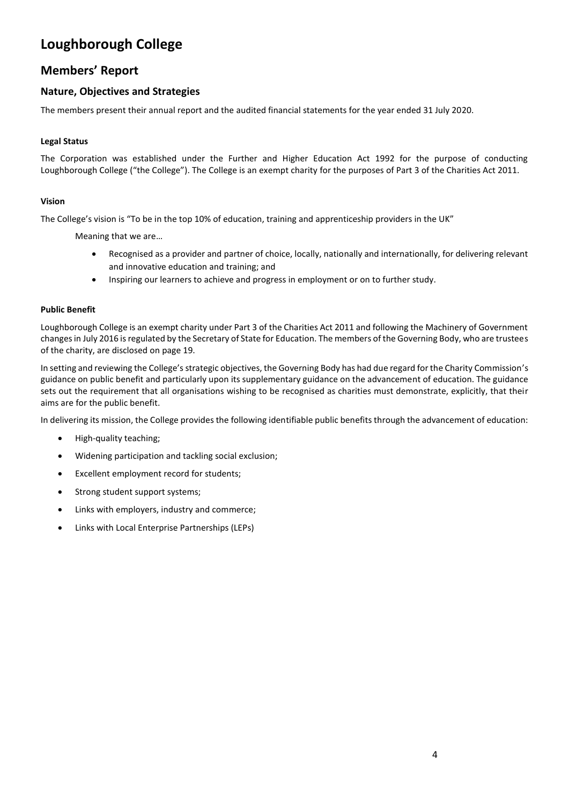### **Members' Report**

### **Nature, Objectives and Strategies**

The members present their annual report and the audited financial statements for the year ended 31 July 2020.

#### **Legal Status**

The Corporation was established under the Further and Higher Education Act 1992 for the purpose of conducting Loughborough College ("the College"). The College is an exempt charity for the purposes of Part 3 of the Charities Act 2011.

#### **Vision**

The College's vision is "To be in the top 10% of education, training and apprenticeship providers in the UK"

Meaning that we are…

- Recognised as a provider and partner of choice, locally, nationally and internationally, for delivering relevant and innovative education and training; and
- Inspiring our learners to achieve and progress in employment or on to further study.

#### **Public Benefit**

Loughborough College is an exempt charity under Part 3 of the Charities Act 2011 and following the Machinery of Government changes in July 2016 is regulated by the Secretary of State for Education. The members of the Governing Body, who are trustees of the charity, are disclosed on page 19.

In setting and reviewing the College's strategic objectives, the Governing Body has had due regard for the Charity Commission's guidance on public benefit and particularly upon its supplementary guidance on the advancement of education. The guidance sets out the requirement that all organisations wishing to be recognised as charities must demonstrate, explicitly, that their aims are for the public benefit.

In delivering its mission, the College provides the following identifiable public benefits through the advancement of education:

- High-quality teaching;
- Widening participation and tackling social exclusion;
- Excellent employment record for students;
- Strong student support systems;
- Links with employers, industry and commerce;
- Links with Local Enterprise Partnerships (LEPs)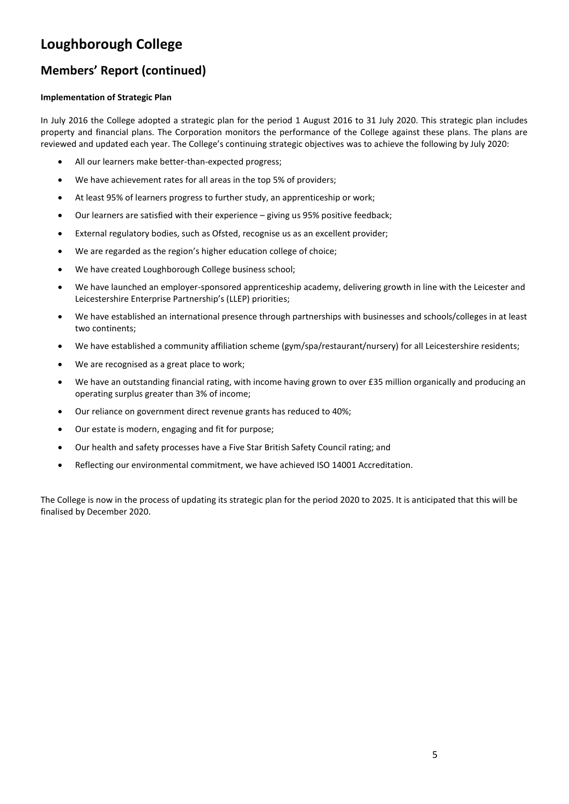### **Members' Report (continued)**

#### **Implementation of Strategic Plan**

In July 2016 the College adopted a strategic plan for the period 1 August 2016 to 31 July 2020. This strategic plan includes property and financial plans. The Corporation monitors the performance of the College against these plans. The plans are reviewed and updated each year. The College's continuing strategic objectives was to achieve the following by July 2020:

- All our learners make better-than-expected progress;
- We have achievement rates for all areas in the top 5% of providers:
- At least 95% of learners progress to further study, an apprenticeship or work;
- Our learners are satisfied with their experience giving us 95% positive feedback;
- External regulatory bodies, such as Ofsted, recognise us as an excellent provider;
- We are regarded as the region's higher education college of choice;
- We have created Loughborough College business school;
- We have launched an employer-sponsored apprenticeship academy, delivering growth in line with the Leicester and Leicestershire Enterprise Partnership's (LLEP) priorities;
- We have established an international presence through partnerships with businesses and schools/colleges in at least two continents;
- We have established a community affiliation scheme (gym/spa/restaurant/nursery) for all Leicestershire residents;
- We are recognised as a great place to work;
- We have an outstanding financial rating, with income having grown to over £35 million organically and producing an operating surplus greater than 3% of income;
- Our reliance on government direct revenue grants has reduced to 40%;
- Our estate is modern, engaging and fit for purpose;
- Our health and safety processes have a Five Star British Safety Council rating; and
- Reflecting our environmental commitment, we have achieved ISO 14001 Accreditation.

The College is now in the process of updating its strategic plan for the period 2020 to 2025. It is anticipated that this will be finalised by December 2020.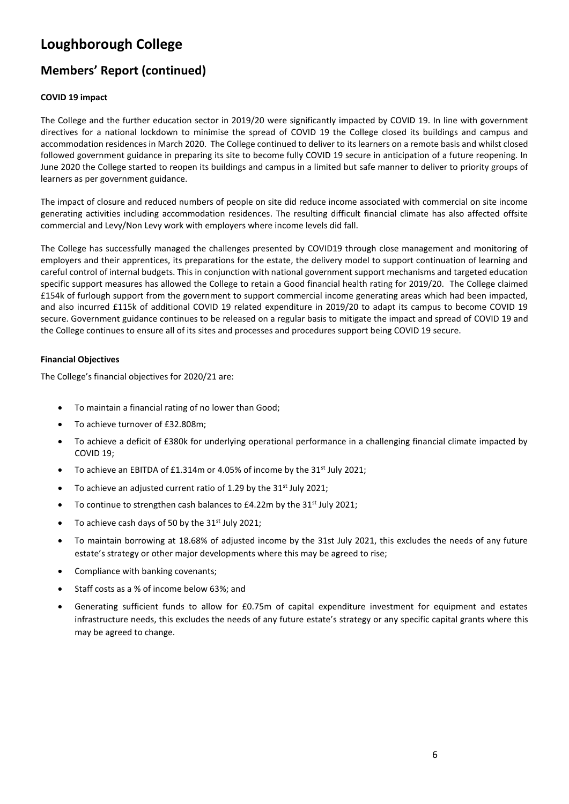### **Members' Report (continued)**

### **COVID 19 impact**

The College and the further education sector in 2019/20 were significantly impacted by COVID 19. In line with government directives for a national lockdown to minimise the spread of COVID 19 the College closed its buildings and campus and accommodation residences in March 2020. The College continued to deliver to its learners on a remote basis and whilst closed followed government guidance in preparing its site to become fully COVID 19 secure in anticipation of a future reopening. In June 2020 the College started to reopen its buildings and campus in a limited but safe manner to deliver to priority groups of learners as per government guidance.

The impact of closure and reduced numbers of people on site did reduce income associated with commercial on site income generating activities including accommodation residences. The resulting difficult financial climate has also affected offsite commercial and Levy/Non Levy work with employers where income levels did fall.

The College has successfully managed the challenges presented by COVID19 through close management and monitoring of employers and their apprentices, its preparations for the estate, the delivery model to support continuation of learning and careful control of internal budgets. This in conjunction with national government support mechanisms and targeted education specific support measures has allowed the College to retain a Good financial health rating for 2019/20. The College claimed £154k of furlough support from the government to support commercial income generating areas which had been impacted, and also incurred £115k of additional COVID 19 related expenditure in 2019/20 to adapt its campus to become COVID 19 secure. Government guidance continues to be released on a regular basis to mitigate the impact and spread of COVID 19 and the College continues to ensure all of its sites and processes and procedures support being COVID 19 secure.

#### **Financial Objectives**

The College's financial objectives for 2020/21 are:

- To maintain a financial rating of no lower than Good;
- To achieve turnover of £32.808m;
- To achieve a deficit of £380k for underlying operational performance in a challenging financial climate impacted by COVID 19;
- To achieve an EBITDA of £1.314m or 4.05% of income by the 31<sup>st</sup> July 2021;
- To achieve an adjusted current ratio of 1.29 by the  $31<sup>st</sup>$  July 2021;
- To continue to strengthen cash balances to £4.22m by the 31<sup>st</sup> July 2021;
- To achieve cash days of 50 by the  $31<sup>st</sup>$  July 2021;
- To maintain borrowing at 18.68% of adjusted income by the 31st July 2021, this excludes the needs of any future estate's strategy or other major developments where this may be agreed to rise;
- Compliance with banking covenants;
- Staff costs as a % of income below 63%; and
- Generating sufficient funds to allow for £0.75m of capital expenditure investment for equipment and estates infrastructure needs, this excludes the needs of any future estate's strategy or any specific capital grants where this may be agreed to change.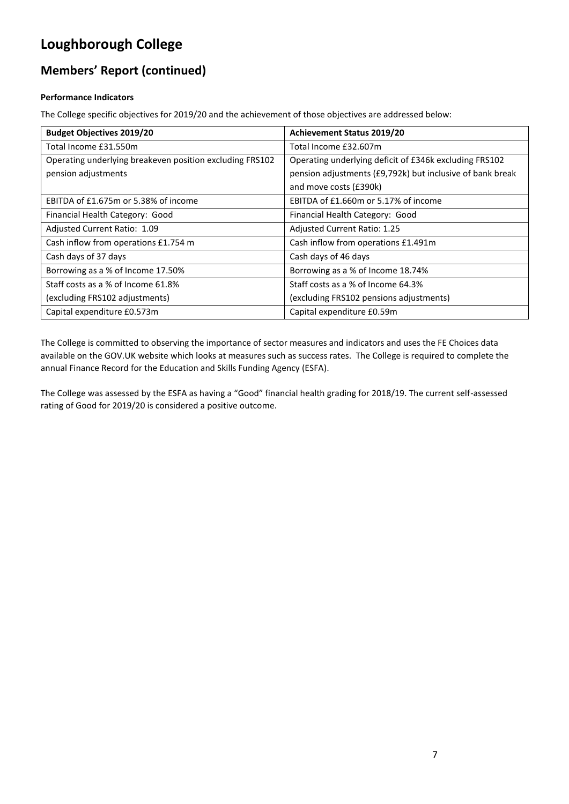### **Members' Report (continued)**

### **Performance Indicators**

The College specific objectives for 2019/20 and the achievement of those objectives are addressed below:

| <b>Budget Objectives 2019/20</b>                         | <b>Achievement Status 2019/20</b>                         |
|----------------------------------------------------------|-----------------------------------------------------------|
| Total Income £31.550m                                    | Total Income £32.607m                                     |
| Operating underlying breakeven position excluding FRS102 | Operating underlying deficit of £346k excluding FRS102    |
| pension adjustments                                      | pension adjustments (£9,792k) but inclusive of bank break |
|                                                          | and move costs (£390k)                                    |
| EBITDA of £1.675m or 5.38% of income                     | EBITDA of £1.660m or 5.17% of income                      |
| Financial Health Category: Good                          | Financial Health Category: Good                           |
| Adjusted Current Ratio: 1.09                             | Adjusted Current Ratio: 1.25                              |
| Cash inflow from operations £1.754 m                     | Cash inflow from operations £1.491m                       |
| Cash days of 37 days                                     | Cash days of 46 days                                      |
| Borrowing as a % of Income 17.50%                        | Borrowing as a % of Income 18.74%                         |
| Staff costs as a % of Income 61.8%                       | Staff costs as a % of Income 64.3%                        |
| (excluding FRS102 adjustments)                           | (excluding FRS102 pensions adjustments)                   |
| Capital expenditure £0.573m                              | Capital expenditure £0.59m                                |

The College is committed to observing the importance of sector measures and indicators and uses the FE Choices data available on the GOV.UK website which looks at measures such as success rates. The College is required to complete the annual Finance Record for the Education and Skills Funding Agency (ESFA).

The College was assessed by the ESFA as having a "Good" financial health grading for 2018/19. The current self-assessed rating of Good for 2019/20 is considered a positive outcome.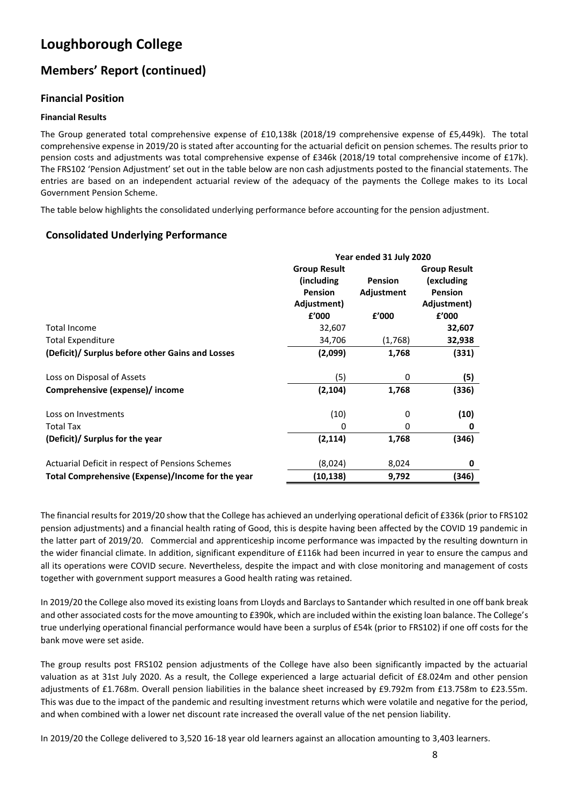### **Members' Report (continued)**

### **Financial Position**

#### **Financial Results**

The Group generated total comprehensive expense of £10,138k (2018/19 comprehensive expense of £5,449k). The total comprehensive expense in 2019/20 is stated after accounting for the actuarial deficit on pension schemes. The results prior to pension costs and adjustments was total comprehensive expense of £346k (2018/19 total comprehensive income of £17k). The FRS102 'Pension Adjustment' set out in the table below are non cash adjustments posted to the financial statements. The entries are based on an independent actuarial review of the adequacy of the payments the College makes to its Local Government Pension Scheme.

The table below highlights the consolidated underlying performance before accounting for the pension adjustment.

### **Consolidated Underlying Performance**

|                                                   | Year ended 31 July 2020 |                     |                |  |  |
|---------------------------------------------------|-------------------------|---------------------|----------------|--|--|
|                                                   | <b>Group Result</b>     | <b>Group Result</b> |                |  |  |
|                                                   | (including)             | <b>Pension</b>      | (excluding     |  |  |
|                                                   | <b>Pension</b>          | Adjustment          | <b>Pension</b> |  |  |
|                                                   | Adjustment)             |                     | Adjustment)    |  |  |
|                                                   | f'000                   | £'000               | £'000          |  |  |
| <b>Total Income</b>                               | 32,607                  |                     | 32,607         |  |  |
| <b>Total Expenditure</b>                          | 34,706                  | (1,768)             | 32,938         |  |  |
| (Deficit)/ Surplus before other Gains and Losses  | (2,099)                 | 1,768               | (331)          |  |  |
| Loss on Disposal of Assets                        | (5)                     | 0                   | (5)            |  |  |
| Comprehensive (expense)/ income                   | (2, 104)                | 1,768               | (336)          |  |  |
| Loss on Investments                               | (10)                    | 0                   | (10)           |  |  |
| Total Tax                                         | 0                       | 0                   | 0              |  |  |
| (Deficit)/ Surplus for the year                   | (2, 114)                | 1,768               | (346)          |  |  |
| Actuarial Deficit in respect of Pensions Schemes  | (8,024)                 | 8,024               | 0              |  |  |
| Total Comprehensive (Expense)/Income for the year | (10,138)                | 9,792               | (346)          |  |  |

The financial results for 2019/20 show that the College has achieved an underlying operational deficit of £336k (prior to FRS102 pension adjustments) and a financial health rating of Good, this is despite having been affected by the COVID 19 pandemic in the latter part of 2019/20. Commercial and apprenticeship income performance was impacted by the resulting downturn in the wider financial climate. In addition, significant expenditure of £116k had been incurred in year to ensure the campus and all its operations were COVID secure. Nevertheless, despite the impact and with close monitoring and management of costs together with government support measures a Good health rating was retained.

In 2019/20 the College also moved its existing loans from Lloyds and Barclays to Santander which resulted in one off bank break and other associated costs for the move amounting to £390k, which are included within the existing loan balance. The College's true underlying operational financial performance would have been a surplus of £54k (prior to FRS102) if one off costs for the bank move were set aside.

The group results post FRS102 pension adjustments of the College have also been significantly impacted by the actuarial valuation as at 31st July 2020. As a result, the College experienced a large actuarial deficit of £8.024m and other pension adjustments of £1.768m. Overall pension liabilities in the balance sheet increased by £9.792m from £13.758m to £23.55m. This was due to the impact of the pandemic and resulting investment returns which were volatile and negative for the period, and when combined with a lower net discount rate increased the overall value of the net pension liability.

In 2019/20 the College delivered to 3,520 16-18 year old learners against an allocation amounting to 3,403 learners.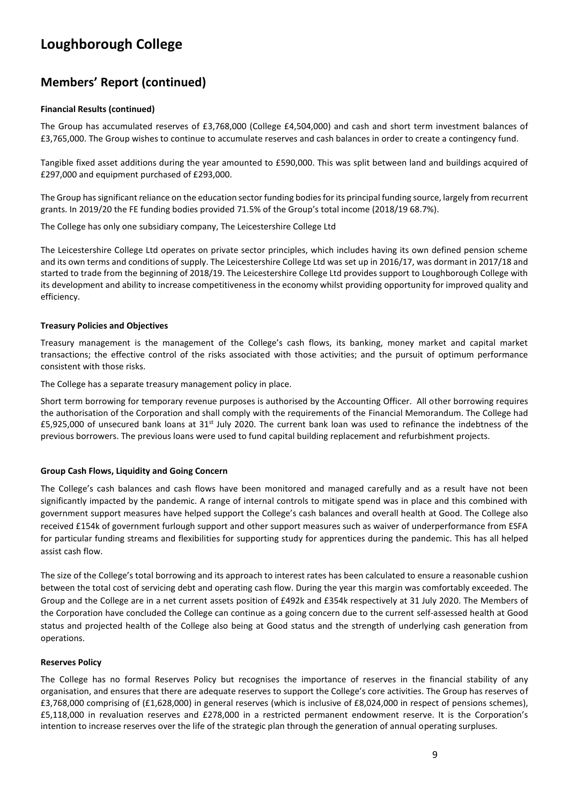### **Members' Report (continued)**

#### **Financial Results (continued)**

The Group has accumulated reserves of £3,768,000 (College £4,504,000) and cash and short term investment balances of £3,765,000. The Group wishes to continue to accumulate reserves and cash balances in order to create a contingency fund.

Tangible fixed asset additions during the year amounted to £590,000. This was split between land and buildings acquired of £297,000 and equipment purchased of £293,000.

The Group has significant reliance on the education sector funding bodies for its principal funding source, largely from recurrent grants. In 2019/20 the FE funding bodies provided 71.5% of the Group's total income (2018/19 68.7%).

The College has only one subsidiary company, The Leicestershire College Ltd

The Leicestershire College Ltd operates on private sector principles, which includes having its own defined pension scheme and its own terms and conditions of supply. The Leicestershire College Ltd was set up in 2016/17, was dormant in 2017/18 and started to trade from the beginning of 2018/19. The Leicestershire College Ltd provides support to Loughborough College with its development and ability to increase competitiveness in the economy whilst providing opportunity for improved quality and efficiency.

#### **Treasury Policies and Objectives**

Treasury management is the management of the College's cash flows, its banking, money market and capital market transactions; the effective control of the risks associated with those activities; and the pursuit of optimum performance consistent with those risks.

The College has a separate treasury management policy in place.

Short term borrowing for temporary revenue purposes is authorised by the Accounting Officer. All other borrowing requires the authorisation of the Corporation and shall comply with the requirements of the Financial Memorandum. The College had  $£5,925,000$  of unsecured bank loans at  $31<sup>st</sup>$  July 2020. The current bank loan was used to refinance the indebtness of the previous borrowers. The previous loans were used to fund capital building replacement and refurbishment projects.

#### **Group Cash Flows, Liquidity and Going Concern**

The College's cash balances and cash flows have been monitored and managed carefully and as a result have not been significantly impacted by the pandemic. A range of internal controls to mitigate spend was in place and this combined with government support measures have helped support the College's cash balances and overall health at Good. The College also received £154k of government furlough support and other support measures such as waiver of underperformance from ESFA for particular funding streams and flexibilities for supporting study for apprentices during the pandemic. This has all helped assist cash flow.

The size of the College's total borrowing and its approach to interest rates has been calculated to ensure a reasonable cushion between the total cost of servicing debt and operating cash flow. During the year this margin was comfortably exceeded. The Group and the College are in a net current assets position of £492k and £354k respectively at 31 July 2020. The Members of the Corporation have concluded the College can continue as a going concern due to the current self-assessed health at Good status and projected health of the College also being at Good status and the strength of underlying cash generation from operations.

#### **Reserves Policy**

The College has no formal Reserves Policy but recognises the importance of reserves in the financial stability of any organisation, and ensures that there are adequate reserves to support the College's core activities. The Group has reserves of £3,768,000 comprising of (£1,628,000) in general reserves (which is inclusive of £8,024,000 in respect of pensions schemes), £5,118,000 in revaluation reserves and £278,000 in a restricted permanent endowment reserve. It is the Corporation's intention to increase reserves over the life of the strategic plan through the generation of annual operating surpluses.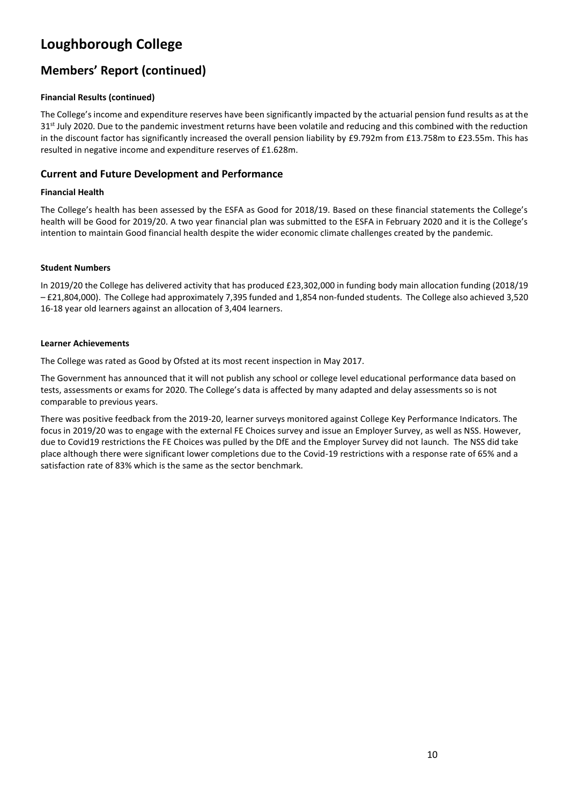### **Members' Report (continued)**

### **Financial Results (continued)**

The College's income and expenditure reserves have been significantly impacted by the actuarial pension fund results as at the  $31<sup>st</sup>$  July 2020. Due to the pandemic investment returns have been volatile and reducing and this combined with the reduction in the discount factor has significantly increased the overall pension liability by £9.792m from £13.758m to £23.55m. This has resulted in negative income and expenditure reserves of £1.628m.

### **Current and Future Development and Performance**

#### **Financial Health**

The College's health has been assessed by the ESFA as Good for 2018/19. Based on these financial statements the College's health will be Good for 2019/20. A two year financial plan was submitted to the ESFA in February 2020 and it is the College's intention to maintain Good financial health despite the wider economic climate challenges created by the pandemic.

#### **Student Numbers**

In 2019/20 the College has delivered activity that has produced £23,302,000 in funding body main allocation funding (2018/19 – £21,804,000). The College had approximately 7,395 funded and 1,854 non-funded students. The College also achieved 3,520 16-18 year old learners against an allocation of 3,404 learners.

#### **Learner Achievements**

The College was rated as Good by Ofsted at its most recent inspection in May 2017.

The Government has announced that it will not publish any school or college level educational performance data based on tests, assessments or exams for 2020. The College's data is affected by many adapted and delay assessments so is not comparable to previous years.

There was positive feedback from the 2019-20, learner surveys monitored against College Key Performance Indicators. The focus in 2019/20 was to engage with the external FE Choices survey and issue an Employer Survey, as well as NSS. However, due to Covid19 restrictions the FE Choices was pulled by the DfE and the Employer Survey did not launch. The NSS did take place although there were significant lower completions due to the Covid-19 restrictions with a response rate of 65% and a satisfaction rate of 83% which is the same as the sector benchmark.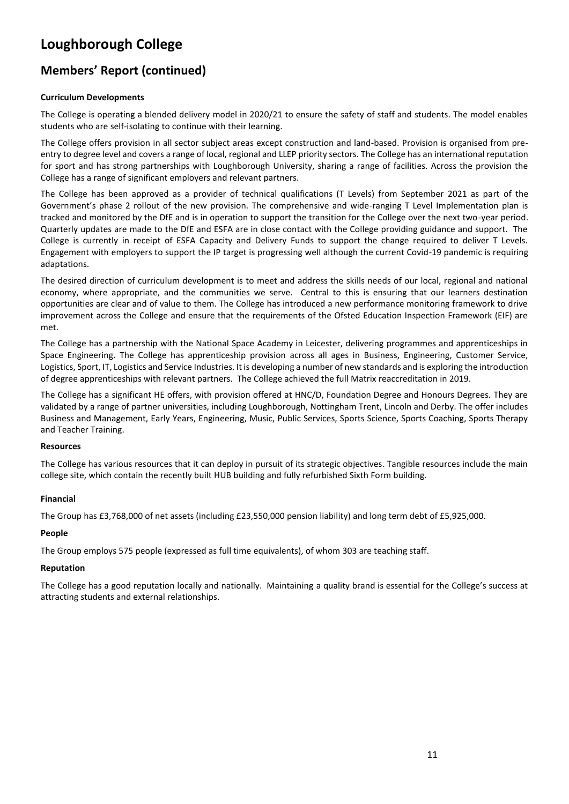### **Members' Report (continued)**

### **Curriculum Developments**

The College is operating a blended delivery model in 2020/21 to ensure the safety of staff and students. The model enables students who are self-isolating to continue with their learning.

The College offers provision in all sector subject areas except construction and land-based. Provision is organised from preentry to degree level and covers a range of local, regional and LLEP priority sectors. The College has an international reputation for sport and has strong partnerships with Loughborough University, sharing a range of facilities. Across the provision the College has a range of significant employers and relevant partners.

The College has been approved as a provider of technical qualifications (T Levels) from September 2021 as part of the Government's phase 2 rollout of the new provision. The comprehensive and wide-ranging T Level Implementation plan is tracked and monitored by the DfE and is in operation to support the transition for the College over the next two-year period. Quarterly updates are made to the DfE and ESFA are in close contact with the College providing guidance and support. The College is currently in receipt of ESFA Capacity and Delivery Funds to support the change required to deliver T Levels. Engagement with employers to support the IP target is progressing well although the current Covid-19 pandemic is requiring adaptations.

The desired direction of curriculum development is to meet and address the skills needs of our local, regional and national economy, where appropriate, and the communities we serve. Central to this is ensuring that our learners destination opportunities are clear and of value to them. The College has introduced a new performance monitoring framework to drive improvement across the College and ensure that the requirements of the Ofsted Education Inspection Framework (EIF) are met.

The College has a partnership with the National Space Academy in Leicester, delivering programmes and apprenticeships in Space Engineering. The College has apprenticeship provision across all ages in Business, Engineering, Customer Service, Logistics, Sport, IT, Logistics and Service Industries. It is developing a number of new standards and is exploring the introduction of degree apprenticeships with relevant partners. The College achieved the full Matrix reaccreditation in 2019.

The College has a significant HE offers, with provision offered at HNC/D, Foundation Degree and Honours Degrees. They are validated by a range of partner universities, including Loughborough, Nottingham Trent, Lincoln and Derby. The offer includes Business and Management, Early Years, Engineering, Music, Public Services, Sports Science, Sports Coaching, Sports Therapy and Teacher Training.

#### **Resources**

The College has various resources that it can deploy in pursuit of its strategic objectives. Tangible resources include the main college site, which contain the recently built HUB building and fully refurbished Sixth Form building.

#### **Financial**

The Group has £3,768,000 of net assets (including £23,550,000 pension liability) and long term debt of £5,925,000.

#### **People**

The Group employs 575 people (expressed as full time equivalents), of whom 303 are teaching staff.

#### **Reputation**

The College has a good reputation locally and nationally. Maintaining a quality brand is essential for the College's success at attracting students and external relationships.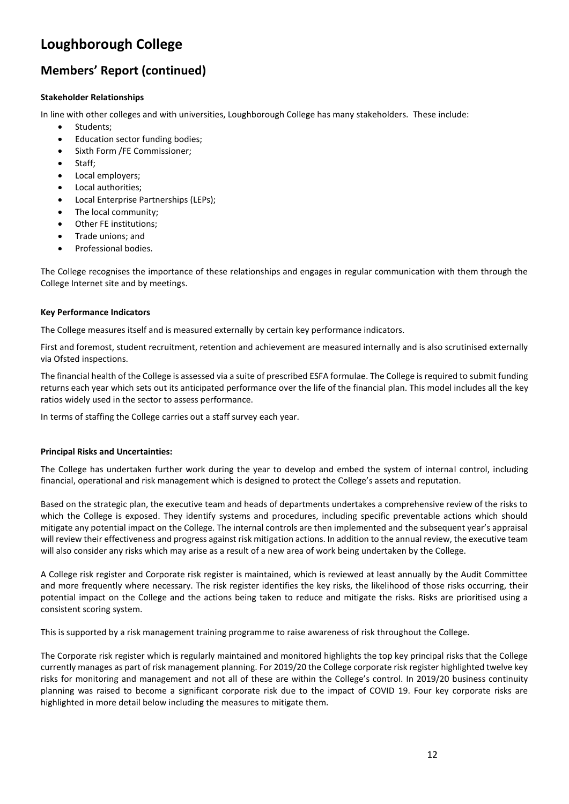### **Members' Report (continued)**

#### **Stakeholder Relationships**

In line with other colleges and with universities, Loughborough College has many stakeholders. These include:

- Students;
- Education sector funding bodies;
- Sixth Form /FE Commissioner;
- Staff:
- Local employers;
- Local authorities;
- Local Enterprise Partnerships (LEPs);
- The local community:
- Other FE institutions;
- Trade unions; and
- Professional bodies.

The College recognises the importance of these relationships and engages in regular communication with them through the College Internet site and by meetings.

#### **Key Performance Indicators**

The College measures itself and is measured externally by certain key performance indicators.

First and foremost, student recruitment, retention and achievement are measured internally and is also scrutinised externally via Ofsted inspections.

The financial health of the College is assessed via a suite of prescribed ESFA formulae. The College is required to submit funding returns each year which sets out its anticipated performance over the life of the financial plan. This model includes all the key ratios widely used in the sector to assess performance.

In terms of staffing the College carries out a staff survey each year.

#### **Principal Risks and Uncertainties:**

The College has undertaken further work during the year to develop and embed the system of internal control, including financial, operational and risk management which is designed to protect the College's assets and reputation.

Based on the strategic plan, the executive team and heads of departments undertakes a comprehensive review of the risks to which the College is exposed. They identify systems and procedures, including specific preventable actions which should mitigate any potential impact on the College. The internal controls are then implemented and the subsequent year's appraisal will review their effectiveness and progress against risk mitigation actions. In addition to the annual review, the executive team will also consider any risks which may arise as a result of a new area of work being undertaken by the College.

A College risk register and Corporate risk register is maintained, which is reviewed at least annually by the Audit Committee and more frequently where necessary. The risk register identifies the key risks, the likelihood of those risks occurring, their potential impact on the College and the actions being taken to reduce and mitigate the risks. Risks are prioritised using a consistent scoring system.

This is supported by a risk management training programme to raise awareness of risk throughout the College.

The Corporate risk register which is regularly maintained and monitored highlights the top key principal risks that the College currently manages as part of risk management planning. For 2019/20 the College corporate risk register highlighted twelve key risks for monitoring and management and not all of these are within the College's control. In 2019/20 business continuity planning was raised to become a significant corporate risk due to the impact of COVID 19. Four key corporate risks are highlighted in more detail below including the measures to mitigate them.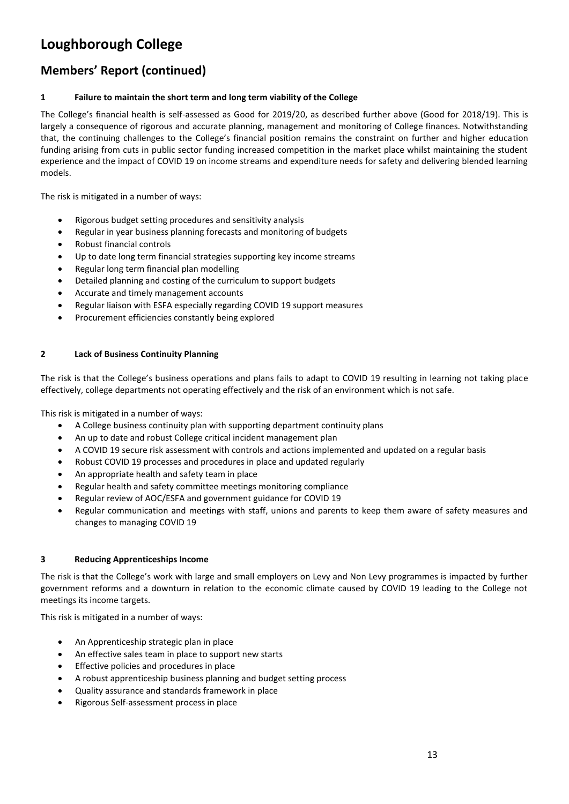### **Members' Report (continued)**

### **1 Failure to maintain the short term and long term viability of the College**

The College's financial health is self-assessed as Good for 2019/20, as described further above (Good for 2018/19). This is largely a consequence of rigorous and accurate planning, management and monitoring of College finances. Notwithstanding that, the continuing challenges to the College's financial position remains the constraint on further and higher education funding arising from cuts in public sector funding increased competition in the market place whilst maintaining the student experience and the impact of COVID 19 on income streams and expenditure needs for safety and delivering blended learning models.

The risk is mitigated in a number of ways:

- Rigorous budget setting procedures and sensitivity analysis
- Regular in year business planning forecasts and monitoring of budgets
- Robust financial controls
- Up to date long term financial strategies supporting key income streams
- Regular long term financial plan modelling
- Detailed planning and costing of the curriculum to support budgets
- Accurate and timely management accounts
- Regular liaison with ESFA especially regarding COVID 19 support measures
- Procurement efficiencies constantly being explored

#### **2 Lack of Business Continuity Planning**

The risk is that the College's business operations and plans fails to adapt to COVID 19 resulting in learning not taking place effectively, college departments not operating effectively and the risk of an environment which is not safe.

This risk is mitigated in a number of ways:

- A College business continuity plan with supporting department continuity plans
- An up to date and robust College critical incident management plan
- A COVID 19 secure risk assessment with controls and actions implemented and updated on a regular basis
- Robust COVID 19 processes and procedures in place and updated regularly
- An appropriate health and safety team in place
- Regular health and safety committee meetings monitoring compliance
- Regular review of AOC/ESFA and government guidance for COVID 19
- Regular communication and meetings with staff, unions and parents to keep them aware of safety measures and changes to managing COVID 19

#### **3 Reducing Apprenticeships Income**

The risk is that the College's work with large and small employers on Levy and Non Levy programmes is impacted by further government reforms and a downturn in relation to the economic climate caused by COVID 19 leading to the College not meetings its income targets.

This risk is mitigated in a number of ways:

- An Apprenticeship strategic plan in place
- An effective sales team in place to support new starts
- Effective policies and procedures in place
- A robust apprenticeship business planning and budget setting process
- Quality assurance and standards framework in place
- Rigorous Self-assessment process in place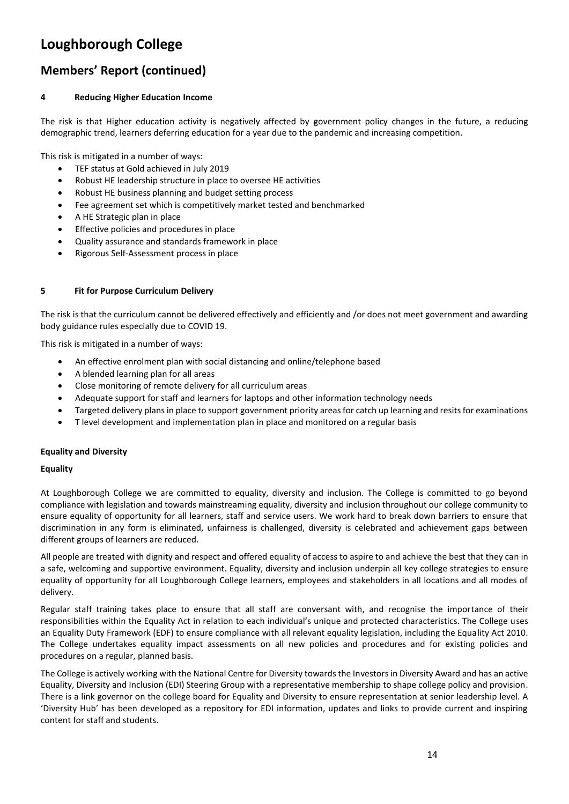### **Members' Report (continued)**

### **4 Reducing Higher Education Income**

The risk is that Higher education activity is negatively affected by government policy changes in the future, a reducing demographic trend, learners deferring education for a year due to the pandemic and increasing competition.

This risk is mitigated in a number of ways:

- TEF status at Gold achieved in July 2019
- Robust HE leadership structure in place to oversee HE activities
- Robust HE business planning and budget setting process
- Fee agreement set which is competitively market tested and benchmarked
- A HE Strategic plan in place
- Effective policies and procedures in place
- Quality assurance and standards framework in place
- Rigorous Self-Assessment process in place

#### **5 Fit for Purpose Curriculum Delivery**

The risk is that the curriculum cannot be delivered effectively and efficiently and /or does not meet government and awarding body guidance rules especially due to COVID 19.

This risk is mitigated in a number of ways:

- An effective enrolment plan with social distancing and online/telephone based
- A blended learning plan for all areas
- Close monitoring of remote delivery for all curriculum areas
- Adequate support for staff and learners for laptops and other information technology needs
- Targeted delivery plans in place to support government priority areas for catch up learning and resits for examinations
- T level development and implementation plan in place and monitored on a regular basis

#### **Equality and Diversity**

#### **Equality**

At Loughborough College we are committed to equality, diversity and inclusion. The College is committed to go beyond compliance with legislation and towards mainstreaming equality, diversity and inclusion throughout our college community to ensure equality of opportunity for all learners, staff and service users. We work hard to break down barriers to ensure that discrimination in any form is eliminated, unfairness is challenged, diversity is celebrated and achievement gaps between different groups of learners are reduced.

All people are treated with dignity and respect and offered equality of access to aspire to and achieve the best that they can in a safe, welcoming and supportive environment. Equality, diversity and inclusion underpin all key college strategies to ensure equality of opportunity for all Loughborough College learners, employees and stakeholders in all locations and all modes of delivery.

Regular staff training takes place to ensure that all staff are conversant with, and recognise the importance of their responsibilities within the Equality Act in relation to each individual's unique and protected characteristics. The College uses an Equality Duty Framework (EDF) to ensure compliance with all relevant equality legislation, including the Equality Act 2010. The College undertakes equality impact assessments on all new policies and procedures and for existing policies and procedures on a regular, planned basis.

The College is actively working with the National Centre for Diversity towards the Investors in Diversity Award and has an active Equality, Diversity and Inclusion (EDI) Steering Group with a representative membership to shape college policy and provision. There is a link governor on the college board for Equality and Diversity to ensure representation at senior leadership level. A 'Diversity Hub' has been developed as a repository for EDI information, updates and links to provide current and inspiring content for staff and students.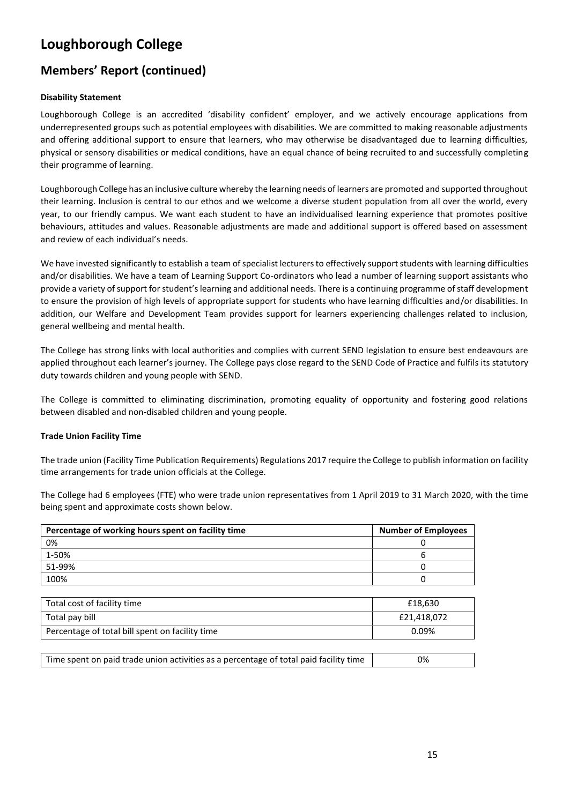### **Members' Report (continued)**

### **Disability Statement**

Loughborough College is an accredited 'disability confident' employer, and we actively encourage applications from underrepresented groups such as potential employees with disabilities. We are committed to making reasonable adjustments and offering additional support to ensure that learners, who may otherwise be disadvantaged due to learning difficulties, physical or sensory disabilities or medical conditions, have an equal chance of being recruited to and successfully completing their programme of learning.

Loughborough College has an inclusive culture whereby the learning needs of learners are promoted and supported throughout their learning. Inclusion is central to our ethos and we welcome a diverse student population from all over the world, every year, to our friendly campus. We want each student to have an individualised learning experience that promotes positive behaviours, attitudes and values. Reasonable adjustments are made and additional support is offered based on assessment and review of each individual's needs.

We have invested significantly to establish a team of specialist lecturers to effectively support students with learning difficulties and/or disabilities. We have a team of Learning Support Co-ordinators who lead a number of learning support assistants who provide a variety of support for student's learning and additional needs. There is a continuing programme of staff development to ensure the provision of high levels of appropriate support for students who have learning difficulties and/or disabilities. In addition, our Welfare and Development Team provides support for learners experiencing challenges related to inclusion, general wellbeing and mental health.

The College has strong links with local authorities and complies with current SEND legislation to ensure best endeavours are applied throughout each learner's journey. The College pays close regard to the SEND Code of Practice and fulfils its statutory duty towards children and young people with SEND.

The College is committed to eliminating discrimination, promoting equality of opportunity and fostering good relations between disabled and non-disabled children and young people.

#### **Trade Union Facility Time**

The trade union (Facility Time Publication Requirements) Regulations 2017 require the College to publish information on facility time arrangements for trade union officials at the College.

The College had 6 employees (FTE) who were trade union representatives from 1 April 2019 to 31 March 2020, with the time being spent and approximate costs shown below.

| Percentage of working hours spent on facility time | <b>Number of Employees</b> |
|----------------------------------------------------|----------------------------|
| 0%                                                 |                            |
| 1-50%                                              | 6                          |
| 51-99%                                             | 0                          |
| 100%                                               |                            |
|                                                    |                            |
| Total cost of facility time                        | £18,630                    |
| Total pay bill                                     | £21,418,072                |
| Percentage of total bill spent on facility time    | 0.09%                      |
|                                                    |                            |

| Time spent on paid trade union activities as a percentage of total paid facility time | 0% |
|---------------------------------------------------------------------------------------|----|
|---------------------------------------------------------------------------------------|----|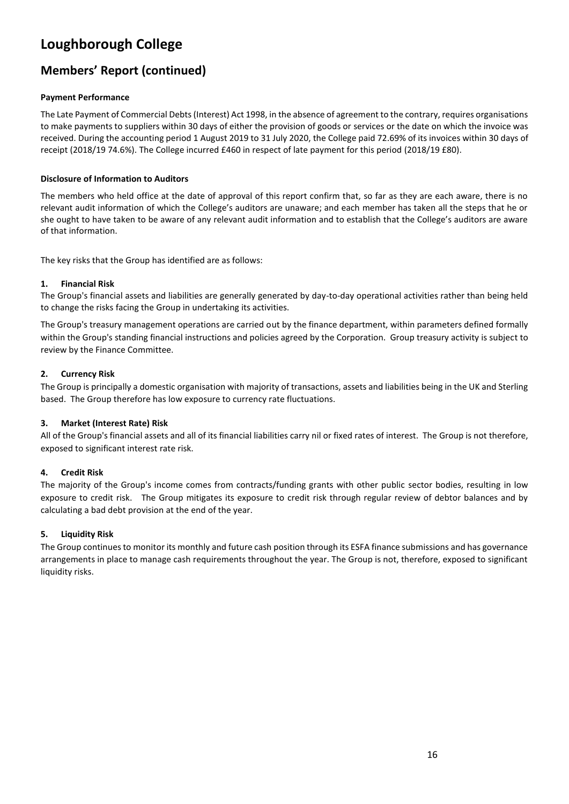### **Members' Report (continued)**

### **Payment Performance**

The Late Payment of Commercial Debts (Interest) Act 1998, in the absence of agreement to the contrary, requires organisations to make payments to suppliers within 30 days of either the provision of goods or services or the date on which the invoice was received. During the accounting period 1 August 2019 to 31 July 2020, the College paid 72.69% of its invoices within 30 days of receipt (2018/19 74.6%). The College incurred £460 in respect of late payment for this period (2018/19 £80).

#### **Disclosure of Information to Auditors**

The members who held office at the date of approval of this report confirm that, so far as they are each aware, there is no relevant audit information of which the College's auditors are unaware; and each member has taken all the steps that he or she ought to have taken to be aware of any relevant audit information and to establish that the College's auditors are aware of that information.

The key risks that the Group has identified are as follows:

#### **1. Financial Risk**

The Group's financial assets and liabilities are generally generated by day-to-day operational activities rather than being held to change the risks facing the Group in undertaking its activities.

The Group's treasury management operations are carried out by the finance department, within parameters defined formally within the Group's standing financial instructions and policies agreed by the Corporation. Group treasury activity is subject to review by the Finance Committee.

#### **2. Currency Risk**

The Group is principally a domestic organisation with majority of transactions, assets and liabilities being in the UK and Sterling based. The Group therefore has low exposure to currency rate fluctuations.

#### **3. Market (Interest Rate) Risk**

All of the Group's financial assets and all of its financial liabilities carry nil or fixed rates of interest. The Group is not therefore, exposed to significant interest rate risk.

#### **4. Credit Risk**

The majority of the Group's income comes from contracts/funding grants with other public sector bodies, resulting in low exposure to credit risk. The Group mitigates its exposure to credit risk through regular review of debtor balances and by calculating a bad debt provision at the end of the year.

#### **5. Liquidity Risk**

The Group continues to monitor its monthly and future cash position through its ESFA finance submissions and has governance arrangements in place to manage cash requirements throughout the year. The Group is not, therefore, exposed to significant liquidity risks.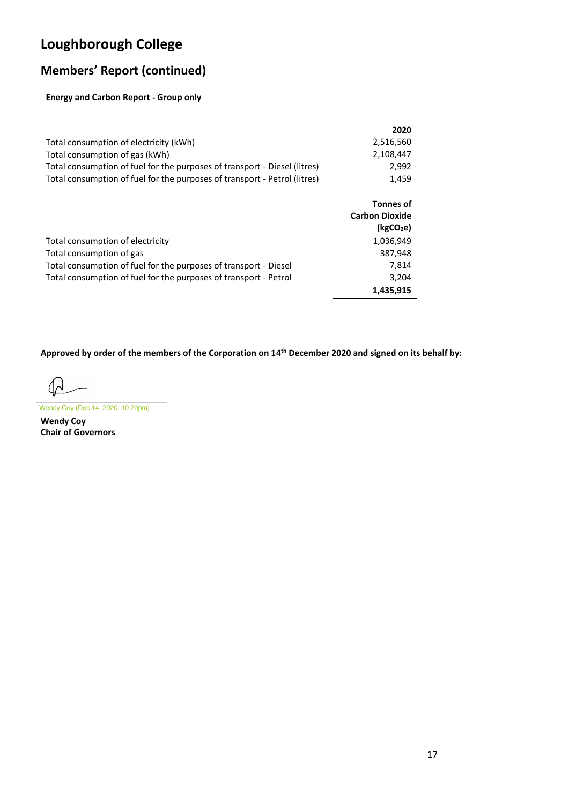# **Members' Report (continued)**

### **Energy and Carbon Report - Group only**

|                                                                           | 2020      |
|---------------------------------------------------------------------------|-----------|
| Total consumption of electricity (kWh)                                    | 2.516.560 |
| Total consumption of gas (kWh)                                            | 2.108.447 |
| Total consumption of fuel for the purposes of transport - Diesel (litres) | 2.992     |
| Total consumption of fuel for the purposes of transport - Petrol (litres) | 1.459     |

|                                                                  | <b>Tonnes of</b><br><b>Carbon Dioxide</b><br>(kgCO <sub>2</sub> e) |
|------------------------------------------------------------------|--------------------------------------------------------------------|
| Total consumption of electricity                                 | 1,036,949                                                          |
| Total consumption of gas                                         | 387,948                                                            |
| Total consumption of fuel for the purposes of transport - Diesel | 7.814                                                              |
| Total consumption of fuel for the purposes of transport - Petrol | 3,204                                                              |
|                                                                  | 1,435,915                                                          |

**Approved by order of the members of the Corporation on 14 th December 2020 and signed on its behalf by:**

 $\Omega$ 

**Wendy Coy Chair of Governors**  Wendy Coy (Dec 14, 2020, 10:20pm)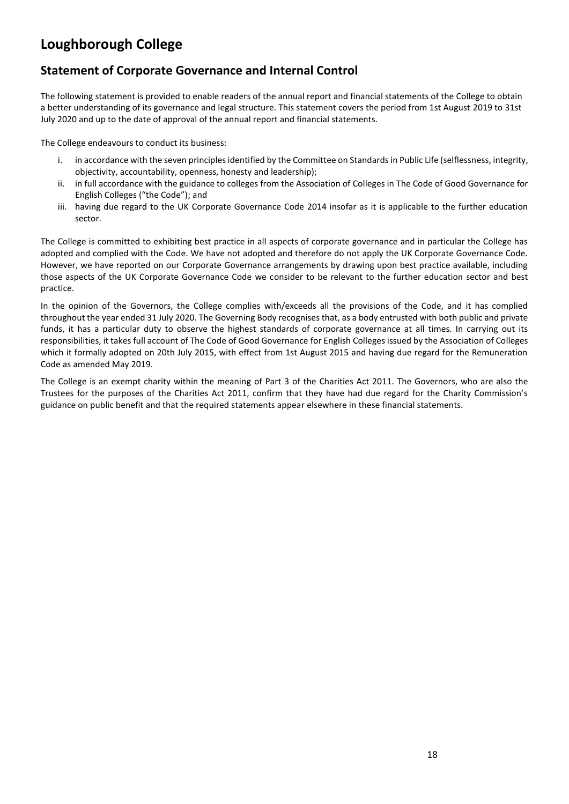### **Statement of Corporate Governance and Internal Control**

The following statement is provided to enable readers of the annual report and financial statements of the College to obtain a better understanding of its governance and legal structure. This statement covers the period from 1st August 2019 to 31st July 2020 and up to the date of approval of the annual report and financial statements.

The College endeavours to conduct its business:

- i. in accordance with the seven principles identified by the Committee on Standards in Public Life (selflessness, integrity, objectivity, accountability, openness, honesty and leadership);
- ii. in full accordance with the guidance to colleges from the Association of Colleges in The Code of Good Governance for English Colleges ("the Code"); and
- iii. having due regard to the UK Corporate Governance Code 2014 insofar as it is applicable to the further education sector.

The College is committed to exhibiting best practice in all aspects of corporate governance and in particular the College has adopted and complied with the Code. We have not adopted and therefore do not apply the UK Corporate Governance Code. However, we have reported on our Corporate Governance arrangements by drawing upon best practice available, including those aspects of the UK Corporate Governance Code we consider to be relevant to the further education sector and best practice.

In the opinion of the Governors, the College complies with/exceeds all the provisions of the Code, and it has complied throughout the year ended 31 July 2020. The Governing Body recognises that, as a body entrusted with both public and private funds, it has a particular duty to observe the highest standards of corporate governance at all times. In carrying out its responsibilities, it takes full account of The Code of Good Governance for English Colleges issued by the Association of Colleges which it formally adopted on 20th July 2015, with effect from 1st August 2015 and having due regard for the Remuneration Code as amended May 2019.

The College is an exempt charity within the meaning of Part 3 of the Charities Act 2011. The Governors, who are also the Trustees for the purposes of the Charities Act 2011, confirm that they have had due regard for the Charity Commission's guidance on public benefit and that the required statements appear elsewhere in these financial statements.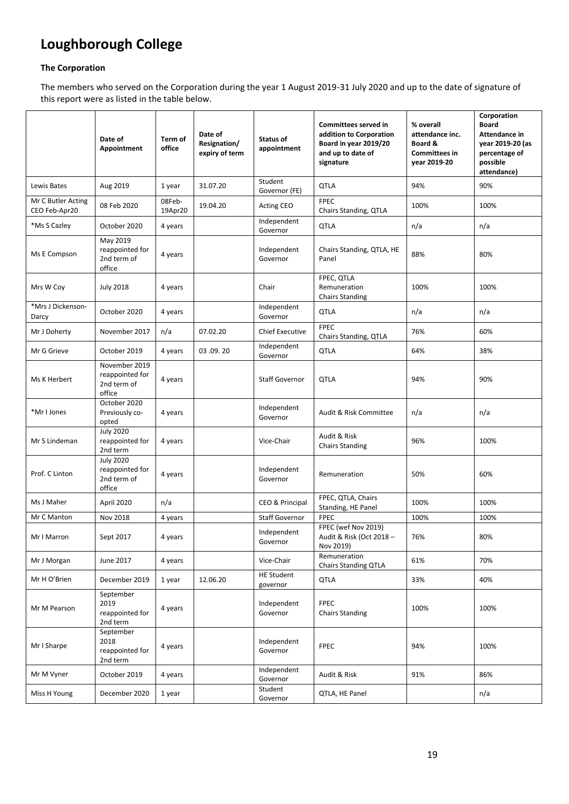#### **The Corporation**

The members who served on the Corporation during the year 1 August 2019-31 July 2020 and up to the date of signature of this report were as listed in the table below.

|                                     | Date of<br>Appointment                                       | Term of<br>office | Date of<br>Resignation/<br>expiry of term | Status of<br>appointment      | Committees served in<br>addition to Corporation<br>Board in year 2019/20<br>and up to date of<br>signature | % overall<br>attendance inc.<br>Board &<br><b>Committees in</b><br>vear 2019-20 | Corporation<br><b>Board</b><br>Attendance in<br>vear 2019-20 (as<br>percentage of<br>possible<br>attendance) |
|-------------------------------------|--------------------------------------------------------------|-------------------|-------------------------------------------|-------------------------------|------------------------------------------------------------------------------------------------------------|---------------------------------------------------------------------------------|--------------------------------------------------------------------------------------------------------------|
| Lewis Bates                         | Aug 2019                                                     | 1 year            | 31.07.20                                  | Student<br>Governor (FE)      | QTLA                                                                                                       | 94%                                                                             | 90%                                                                                                          |
| Mr C Butler Acting<br>CEO Feb-Apr20 | 08 Feb 2020                                                  | 08Feb-<br>19Apr20 | 19.04.20                                  | Acting CEO                    | <b>FPEC</b><br>Chairs Standing, QTLA                                                                       | 100%                                                                            | 100%                                                                                                         |
| *Ms S Cazley                        | October 2020                                                 | 4 years           |                                           | Independent<br>Governor       | <b>QTLA</b>                                                                                                | n/a                                                                             | n/a                                                                                                          |
| Ms E Compson                        | May 2019<br>reappointed for<br>2nd term of<br>office         | 4 years           |                                           | Independent<br>Governor       | Chairs Standing, QTLA, HE<br>Panel                                                                         | 88%                                                                             | 80%                                                                                                          |
| Mrs W Coy                           | <b>July 2018</b>                                             | 4 years           |                                           | Chair                         | FPEC, QTLA<br>Remuneration<br><b>Chairs Standing</b>                                                       | 100%                                                                            | 100%                                                                                                         |
| *Mrs J Dickenson-<br>Darcy          | October 2020                                                 | 4 years           |                                           | Independent<br>Governor       | QTLA                                                                                                       | n/a                                                                             | n/a                                                                                                          |
| Mr J Doherty                        | November 2017                                                | n/a               | 07.02.20                                  | <b>Chief Executive</b>        | <b>FPEC</b><br>Chairs Standing, QTLA                                                                       | 76%                                                                             | 60%                                                                                                          |
| Mr G Grieve                         | October 2019                                                 | 4 years           | 03.09.20                                  | Independent<br>Governor       | <b>QTLA</b>                                                                                                | 64%                                                                             | 38%                                                                                                          |
| Ms K Herbert                        | November 2019<br>reappointed for<br>2nd term of<br>office    | 4 years           |                                           | <b>Staff Governor</b>         | <b>QTLA</b>                                                                                                | 94%                                                                             | 90%                                                                                                          |
| *Mr I Jones                         | October 2020<br>Previously co-<br>opted                      | 4 years           |                                           | Independent<br>Governor       | Audit & Risk Committee                                                                                     | n/a                                                                             | n/a                                                                                                          |
| Mr S Lindeman                       | <b>July 2020</b><br>reappointed for<br>2nd term              | 4 years           |                                           | Vice-Chair                    | Audit & Risk<br><b>Chairs Standing</b>                                                                     | 96%                                                                             | 100%                                                                                                         |
| Prof. C Linton                      | <b>July 2020</b><br>reappointed for<br>2nd term of<br>office | 4 years           |                                           | Independent<br>Governor       | Remuneration                                                                                               | 50%                                                                             | 60%                                                                                                          |
| Ms J Maher                          | April 2020                                                   | n/a               |                                           | CEO & Principal               | FPEC, QTLA, Chairs<br>Standing, HE Panel                                                                   | 100%                                                                            | 100%                                                                                                         |
| Mr C Manton                         | Nov 2018                                                     | 4 years           |                                           | <b>Staff Governor</b>         | <b>FPEC</b>                                                                                                | 100%                                                                            | 100%                                                                                                         |
| Mr I Marron                         | Sept 2017                                                    | 4 years           |                                           | Independent<br>Governor       | FPEC (wef Nov 2019)<br>Audit & Risk (Oct 2018 -<br>Nov 2019)                                               | 76%                                                                             | 80%                                                                                                          |
| Mr J Morgan                         | June 2017                                                    | 4 years           |                                           | Vice-Chair                    | Remuneration<br>Chairs Standing QTLA                                                                       | 61%                                                                             | 70%                                                                                                          |
| Mr H O'Brien                        | December 2019                                                | 1 year            | 12.06.20                                  | <b>HE Student</b><br>governor | <b>QTLA</b>                                                                                                | 33%                                                                             | 40%                                                                                                          |
| Mr M Pearson                        | September<br>2019<br>reappointed for<br>2nd term             | 4 years           |                                           | Independent<br>Governor       | <b>FPEC</b><br><b>Chairs Standing</b>                                                                      | 100%                                                                            | 100%                                                                                                         |
| Mr I Sharpe                         | September<br>2018<br>reappointed for<br>2nd term             | 4 years           |                                           | Independent<br>Governor       | <b>FPEC</b>                                                                                                | 94%                                                                             | 100%                                                                                                         |
| Mr M Vyner                          | October 2019                                                 | 4 years           |                                           | Independent<br>Governor       | Audit & Risk                                                                                               | 91%                                                                             | 86%                                                                                                          |
| Miss H Young                        | December 2020                                                | 1 year            |                                           | Student<br>Governor           | QTLA, HE Panel                                                                                             |                                                                                 | n/a                                                                                                          |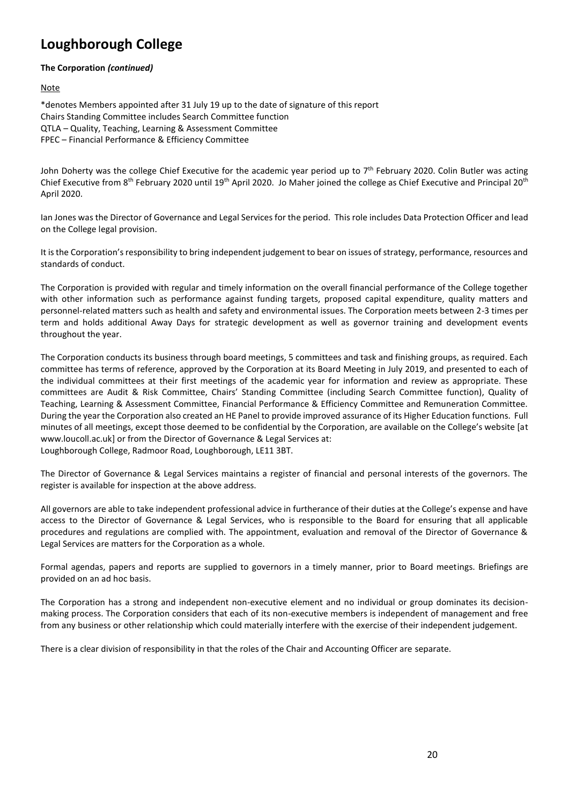**The Corporation** *(continued)*

**Note** 

\*denotes Members appointed after 31 July 19 up to the date of signature of this report Chairs Standing Committee includes Search Committee function QTLA – Quality, Teaching, Learning & Assessment Committee FPEC – Financial Performance & Efficiency Committee

John Doherty was the college Chief Executive for the academic year period up to 7<sup>th</sup> February 2020. Colin Butler was acting Chief Executive from 8th February 2020 until 19th April 2020. Jo Maher joined the college as Chief Executive and Principal 20th April 2020.

Ian Jones was the Director of Governance and Legal Services for the period. This role includes Data Protection Officer and lead on the College legal provision.

It is the Corporation's responsibility to bring independent judgement to bear on issues of strategy, performance, resources and standards of conduct.

The Corporation is provided with regular and timely information on the overall financial performance of the College together with other information such as performance against funding targets, proposed capital expenditure, quality matters and personnel-related matters such as health and safety and environmental issues. The Corporation meets between 2-3 times per term and holds additional Away Days for strategic development as well as governor training and development events throughout the year.

The Corporation conducts its business through board meetings, 5 committees and task and finishing groups, as required. Each committee has terms of reference, approved by the Corporation at its Board Meeting in July 2019, and presented to each of the individual committees at their first meetings of the academic year for information and review as appropriate. These committees are Audit & Risk Committee, Chairs' Standing Committee (including Search Committee function), Quality of Teaching, Learning & Assessment Committee, Financial Performance & Efficiency Committee and Remuneration Committee. During the year the Corporation also created an HE Panel to provide improved assurance of its Higher Education functions. Full minutes of all meetings, except those deemed to be confidential by the Corporation, are available on the College's website [at www.loucoll.ac.uk] or from the Director of Governance & Legal Services at: Loughborough College, Radmoor Road, Loughborough, LE11 3BT.

The Director of Governance & Legal Services maintains a register of financial and personal interests of the governors. The register is available for inspection at the above address.

All governors are able to take independent professional advice in furtherance of their duties at the College's expense and have access to the Director of Governance & Legal Services, who is responsible to the Board for ensuring that all applicable procedures and regulations are complied with. The appointment, evaluation and removal of the Director of Governance & Legal Services are matters for the Corporation as a whole.

Formal agendas, papers and reports are supplied to governors in a timely manner, prior to Board meetings. Briefings are provided on an ad hoc basis.

The Corporation has a strong and independent non-executive element and no individual or group dominates its decisionmaking process. The Corporation considers that each of its non-executive members is independent of management and free from any business or other relationship which could materially interfere with the exercise of their independent judgement.

There is a clear division of responsibility in that the roles of the Chair and Accounting Officer are separate.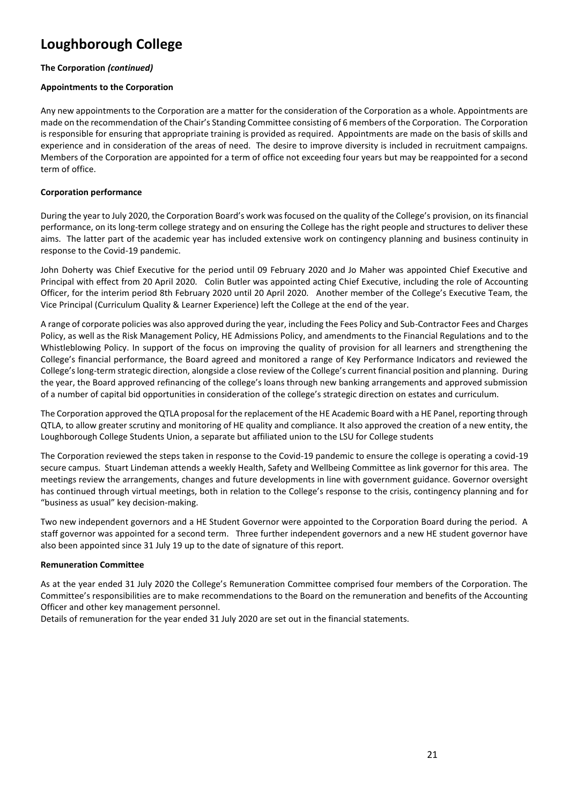#### **The Corporation** *(continued)*

#### **Appointments to the Corporation**

Any new appointments to the Corporation are a matter for the consideration of the Corporation as a whole. Appointments are made on the recommendation of the Chair's Standing Committee consisting of 6 members of the Corporation. The Corporation is responsible for ensuring that appropriate training is provided as required. Appointments are made on the basis of skills and experience and in consideration of the areas of need. The desire to improve diversity is included in recruitment campaigns. Members of the Corporation are appointed for a term of office not exceeding four years but may be reappointed for a second term of office.

#### **Corporation performance**

During the year to July 2020, the Corporation Board's work was focused on the quality of the College's provision, on its financial performance, on its long-term college strategy and on ensuring the College has the right people and structures to deliver these aims. The latter part of the academic year has included extensive work on contingency planning and business continuity in response to the Covid-19 pandemic.

John Doherty was Chief Executive for the period until 09 February 2020 and Jo Maher was appointed Chief Executive and Principal with effect from 20 April 2020. Colin Butler was appointed acting Chief Executive, including the role of Accounting Officer, for the interim period 8th February 2020 until 20 April 2020. Another member of the College's Executive Team, the Vice Principal (Curriculum Quality & Learner Experience) left the College at the end of the year.

A range of corporate policies was also approved during the year, including the Fees Policy and Sub-Contractor Fees and Charges Policy, as well as the Risk Management Policy, HE Admissions Policy, and amendments to the Financial Regulations and to the Whistleblowing Policy. In support of the focus on improving the quality of provision for all learners and strengthening the College's financial performance, the Board agreed and monitored a range of Key Performance Indicators and reviewed the College's long-term strategic direction, alongside a close review of the College's current financial position and planning. During the year, the Board approved refinancing of the college's loans through new banking arrangements and approved submission of a number of capital bid opportunities in consideration of the college's strategic direction on estates and curriculum.

The Corporation approved the QTLA proposal for the replacement of the HE Academic Board with a HE Panel, reporting through QTLA, to allow greater scrutiny and monitoring of HE quality and compliance. It also approved the creation of a new entity, the Loughborough College Students Union, a separate but affiliated union to the LSU for College students

The Corporation reviewed the steps taken in response to the Covid-19 pandemic to ensure the college is operating a covid-19 secure campus. Stuart Lindeman attends a weekly Health, Safety and Wellbeing Committee as link governor for this area. The meetings review the arrangements, changes and future developments in line with government guidance. Governor oversight has continued through virtual meetings, both in relation to the College's response to the crisis, contingency planning and for "business as usual" key decision-making.

Two new independent governors and a HE Student Governor were appointed to the Corporation Board during the period. A staff governor was appointed for a second term. Three further independent governors and a new HE student governor have also been appointed since 31 July 19 up to the date of signature of this report.

#### **Remuneration Committee**

As at the year ended 31 July 2020 the College's Remuneration Committee comprised four members of the Corporation. The Committee's responsibilities are to make recommendations to the Board on the remuneration and benefits of the Accounting Officer and other key management personnel.

Details of remuneration for the year ended 31 July 2020 are set out in the financial statements.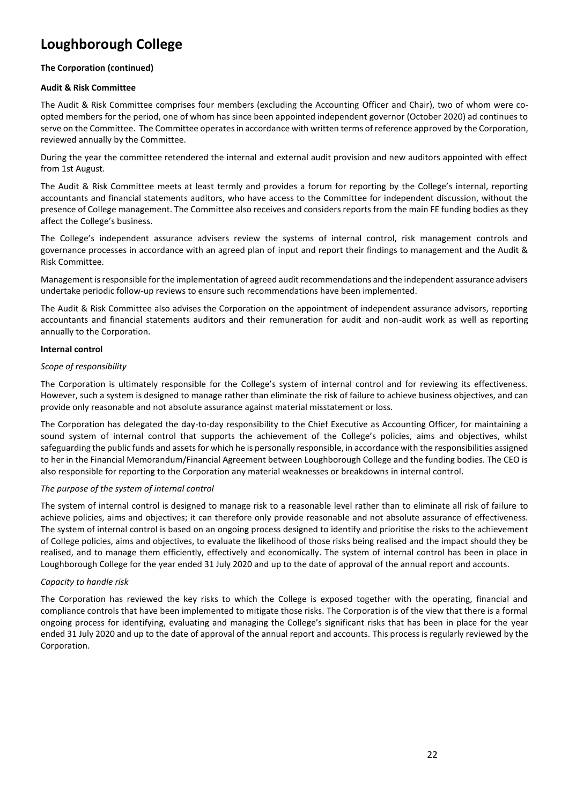#### **The Corporation (continued)**

#### **Audit & Risk Committee**

The Audit & Risk Committee comprises four members (excluding the Accounting Officer and Chair), two of whom were coopted members for the period, one of whom has since been appointed independent governor (October 2020) ad continues to serve on the Committee. The Committee operates in accordance with written terms of reference approved by the Corporation, reviewed annually by the Committee.

During the year the committee retendered the internal and external audit provision and new auditors appointed with effect from 1st August.

The Audit & Risk Committee meets at least termly and provides a forum for reporting by the College's internal, reporting accountants and financial statements auditors, who have access to the Committee for independent discussion, without the presence of College management. The Committee also receives and considers reports from the main FE funding bodies as they affect the College's business.

The College's independent assurance advisers review the systems of internal control, risk management controls and governance processes in accordance with an agreed plan of input and report their findings to management and the Audit & Risk Committee.

Management is responsible for the implementation of agreed audit recommendations and the independent assurance advisers undertake periodic follow-up reviews to ensure such recommendations have been implemented.

The Audit & Risk Committee also advises the Corporation on the appointment of independent assurance advisors, reporting accountants and financial statements auditors and their remuneration for audit and non-audit work as well as reporting annually to the Corporation.

#### **Internal control**

#### *Scope of responsibility*

The Corporation is ultimately responsible for the College's system of internal control and for reviewing its effectiveness. However, such a system is designed to manage rather than eliminate the risk of failure to achieve business objectives, and can provide only reasonable and not absolute assurance against material misstatement or loss.

The Corporation has delegated the day-to-day responsibility to the Chief Executive as Accounting Officer, for maintaining a sound system of internal control that supports the achievement of the College's policies, aims and objectives, whilst safeguarding the public funds and assets for which he is personally responsible, in accordance with the responsibilities assigned to her in the Financial Memorandum/Financial Agreement between Loughborough College and the funding bodies. The CEO is also responsible for reporting to the Corporation any material weaknesses or breakdowns in internal control.

#### *The purpose of the system of internal control*

The system of internal control is designed to manage risk to a reasonable level rather than to eliminate all risk of failure to achieve policies, aims and objectives; it can therefore only provide reasonable and not absolute assurance of effectiveness. The system of internal control is based on an ongoing process designed to identify and prioritise the risks to the achievement of College policies, aims and objectives, to evaluate the likelihood of those risks being realised and the impact should they be realised, and to manage them efficiently, effectively and economically. The system of internal control has been in place in Loughborough College for the year ended 31 July 2020 and up to the date of approval of the annual report and accounts.

#### *Capacity to handle risk*

The Corporation has reviewed the key risks to which the College is exposed together with the operating, financial and compliance controls that have been implemented to mitigate those risks. The Corporation is of the view that there is a formal ongoing process for identifying, evaluating and managing the College's significant risks that has been in place for the year ended 31 July 2020 and up to the date of approval of the annual report and accounts. This process is regularly reviewed by the Corporation.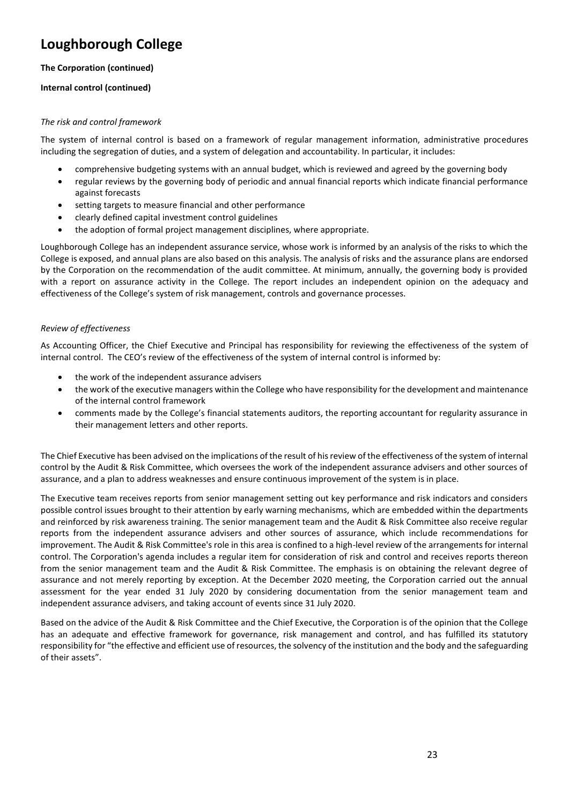#### **The Corporation (continued)**

#### **Internal control (continued)**

#### *The risk and control framework*

The system of internal control is based on a framework of regular management information, administrative procedures including the segregation of duties, and a system of delegation and accountability. In particular, it includes:

- comprehensive budgeting systems with an annual budget, which is reviewed and agreed by the governing body
- regular reviews by the governing body of periodic and annual financial reports which indicate financial performance against forecasts
- setting targets to measure financial and other performance
- clearly defined capital investment control guidelines
- the adoption of formal project management disciplines, where appropriate.

Loughborough College has an independent assurance service, whose work is informed by an analysis of the risks to which the College is exposed, and annual plans are also based on this analysis. The analysis of risks and the assurance plans are endorsed by the Corporation on the recommendation of the audit committee. At minimum, annually, the governing body is provided with a report on assurance activity in the College. The report includes an independent opinion on the adequacy and effectiveness of the College's system of risk management, controls and governance processes.

#### *Review of effectiveness*

As Accounting Officer, the Chief Executive and Principal has responsibility for reviewing the effectiveness of the system of internal control. The CEO's review of the effectiveness of the system of internal control is informed by:

- the work of the independent assurance advisers
- the work of the executive managers within the College who have responsibility for the development and maintenance of the internal control framework
- comments made by the College's financial statements auditors, the reporting accountant for regularity assurance in their management letters and other reports.

The Chief Executive has been advised on the implications of the result of his review of the effectiveness of the system of internal control by the Audit & Risk Committee, which oversees the work of the independent assurance advisers and other sources of assurance, and a plan to address weaknesses and ensure continuous improvement of the system is in place.

The Executive team receives reports from senior management setting out key performance and risk indicators and considers possible control issues brought to their attention by early warning mechanisms, which are embedded within the departments and reinforced by risk awareness training. The senior management team and the Audit & Risk Committee also receive regular reports from the independent assurance advisers and other sources of assurance, which include recommendations for improvement. The Audit & Risk Committee's role in this area is confined to a high-level review of the arrangements for internal control. The Corporation's agenda includes a regular item for consideration of risk and control and receives reports thereon from the senior management team and the Audit & Risk Committee. The emphasis is on obtaining the relevant degree of assurance and not merely reporting by exception. At the December 2020 meeting, the Corporation carried out the annual assessment for the year ended 31 July 2020 by considering documentation from the senior management team and independent assurance advisers, and taking account of events since 31 July 2020.

Based on the advice of the Audit & Risk Committee and the Chief Executive, the Corporation is of the opinion that the College has an adequate and effective framework for governance, risk management and control, and has fulfilled its statutory responsibility for "the effective and efficient use of resources, the solvency of the institution and the body and the safeguarding of their assets".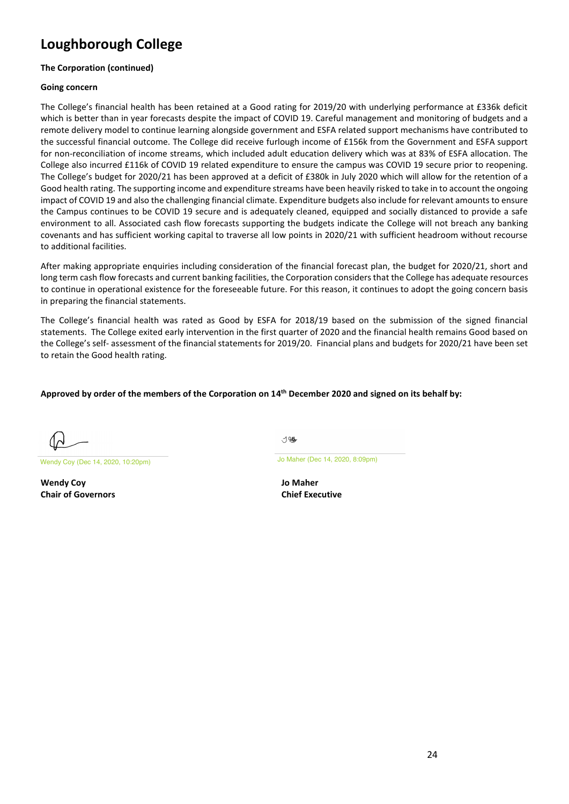#### **The Corporation (continued)**

#### **Going concern**

The College's financial health has been retained at a Good rating for 2019/20 with underlying performance at £336k deficit which is better than in year forecasts despite the impact of COVID 19. Careful management and monitoring of budgets and a remote delivery model to continue learning alongside government and ESFA related support mechanisms have contributed to the successful financial outcome. The College did receive furlough income of £156k from the Government and ESFA support for non-reconciliation of income streams, which included adult education delivery which was at 83% of ESFA allocation. The College also incurred £116k of COVID 19 related expenditure to ensure the campus was COVID 19 secure prior to reopening. The College's budget for 2020/21 has been approved at a deficit of £380k in July 2020 which will allow for the retention of a Good health rating. The supporting income and expenditure streams have been heavily risked to take in to account the ongoing impact of COVID 19 and also the challenging financial climate. Expenditure budgets also include for relevant amounts to ensure the Campus continues to be COVID 19 secure and is adequately cleaned, equipped and socially distanced to provide a safe environment to all. Associated cash flow forecasts supporting the budgets indicate the College will not breach any banking covenants and has sufficient working capital to traverse all low points in 2020/21 with sufficient headroom without recourse to additional facilities.

After making appropriate enquiries including consideration of the financial forecast plan, the budget for 2020/21, short and long term cash flow forecasts and current banking facilities, the Corporation considers that the College has adequate resources to continue in operational existence for the foreseeable future. For this reason, it continues to adopt the going concern basis in preparing the financial statements.

The College's financial health was rated as Good by ESFA for 2018/19 based on the submission of the signed financial statements. The College exited early intervention in the first quarter of 2020 and the financial health remains Good based on the College's self- assessment of the financial statements for 2019/20. Financial plans and budgets for 2020/21 have been set to retain the Good health rating.

#### **Approved by order of the members of the Corporation on 14 th December 2020 and signed on its behalf by:**

Wendy Coy (Dec 14, 2020, 10:20pm) Jo Maher (Dec 14, 2020, 8:09pm)

**Wendy Coy Jo Maher Chair of Governors Chief Executive**

 $-1.94$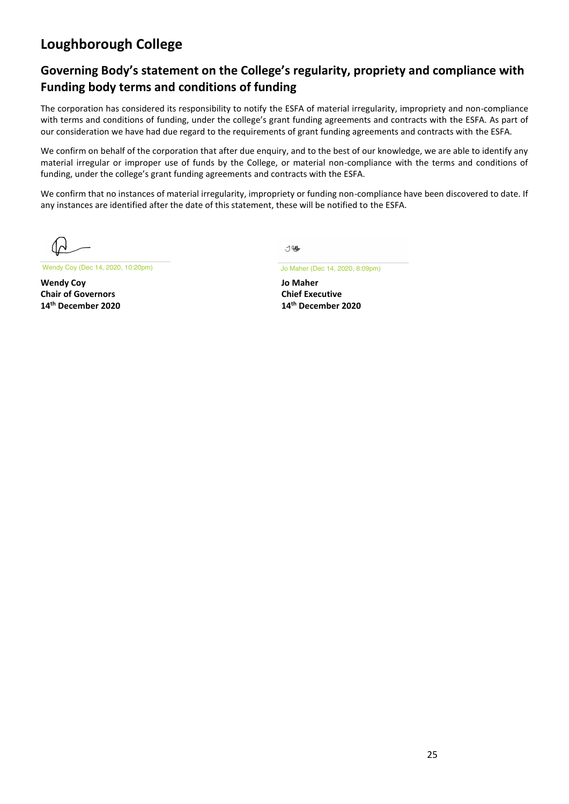### **Governing Body's statement on the College's regularity, propriety and compliance with Funding body terms and conditions of funding**

The corporation has considered its responsibility to notify the ESFA of material irregularity, impropriety and non-compliance with terms and conditions of funding, under the college's grant funding agreements and contracts with the ESFA. As part of our consideration we have had due regard to the requirements of grant funding agreements and contracts with the ESFA.

We confirm on behalf of the corporation that after due enquiry, and to the best of our knowledge, we are able to identify any material irregular or improper use of funds by the College, or material non-compliance with the terms and conditions of funding, under the college's grant funding agreements and contracts with the ESFA.

We confirm that no instances of material irregularity, impropriety or funding non-compliance have been discovered to date. If any instances are identified after the date of this statement, these will be notified to the ESFA.

Wendy Coy (Dec 14, 2020, 10:20pm) Jo Maher (Dec 14, 2020, 8:09pm)

**Wendy Coy Jo Maher Chair of Governors Chief Executive** 14<sup>th</sup> December 2020

寸< 10

**th December 2020 14th December 2020**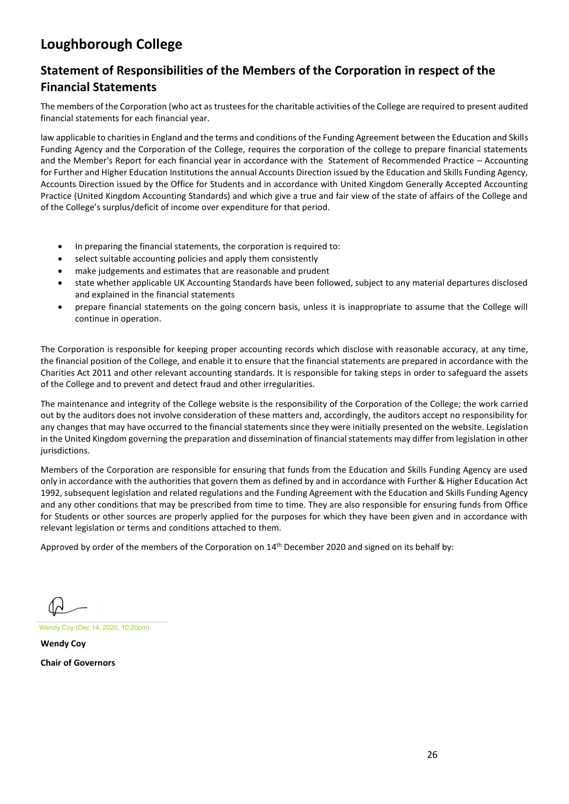### **Statement of Responsibilities of the Members of the Corporation in respect of the Financial Statements**

The members of the Corporation (who act as trustees for the charitable activities of the College are required to present audited financial statements for each financial year.

law applicable to charities in England and the terms and conditions of the Funding Agreement between the Education and Skills Funding Agency and the Corporation of the College, requires the corporation of the college to prepare financial statements and the Member's Report for each financial year in accordance with the Statement of Recommended Practice – Accounting for Further and Higher Education Institutions the annual Accounts Direction issued by the Education and Skills Funding Agency, Accounts Direction issued by the Office for Students and in accordance with United Kingdom Generally Accepted Accounting Practice (United Kingdom Accounting Standards) and which give a true and fair view of the state of affairs of the College and of the College's surplus/deficit of income over expenditure for that period.

- In preparing the financial statements, the corporation is required to:
- select suitable accounting policies and apply them consistently
- make judgements and estimates that are reasonable and prudent
- state whether applicable UK Accounting Standards have been followed, subject to any material departures disclosed and explained in the financial statements
- prepare financial statements on the going concern basis, unless it is inappropriate to assume that the College will continue in operation.

The Corporation is responsible for keeping proper accounting records which disclose with reasonable accuracy, at any time, the financial position of the College, and enable it to ensure that the financial statements are prepared in accordance with the Charities Act 2011 and other relevant accounting standards. It is responsible for taking steps in order to safeguard the assets of the College and to prevent and detect fraud and other irregularities.

The maintenance and integrity of the College website is the responsibility of the Corporation of the College; the work carried out by the auditors does not involve consideration of these matters and, accordingly, the auditors accept no responsibility for any changes that may have occurred to the financial statements since they were initially presented on the website. Legislation in the United Kingdom governing the preparation and dissemination of financial statements may differ from legislation in other jurisdictions.

Members of the Corporation are responsible for ensuring that funds from the Education and Skills Funding Agency are used only in accordance with the authorities that govern them as defined by and in accordance with Further & Higher Education Act 1992, subsequent legislation and related regulations and the Funding Agreement with the Education and Skills Funding Agency and any other conditions that may be prescribed from time to time. They are also responsible for ensuring funds from Office for Students or other sources are properly applied for the purposes for which they have been given and in accordance with relevant legislation or terms and conditions attached to them.

Approved by order of the members of the Corporation on 14<sup>th</sup> December 2020 and signed on its behalf by:

Wendy Coy (Dec 14, 2020, 10:20pm)

**Wendy Coy Chair of Governors**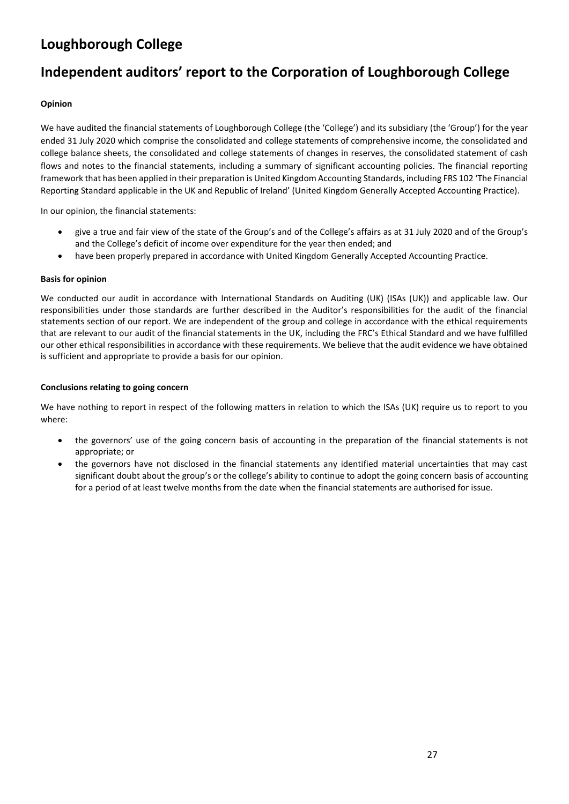# **Independent auditors' report to the Corporation of Loughborough College**

#### **Opinion**

We have audited the financial statements of Loughborough College (the 'College') and its subsidiary (the 'Group') for the year ended 31 July 2020 which comprise the consolidated and college statements of comprehensive income, the consolidated and college balance sheets, the consolidated and college statements of changes in reserves, the consolidated statement of cash flows and notes to the financial statements, including a summary of significant accounting policies. The financial reporting framework that has been applied in their preparation is United Kingdom Accounting Standards, including FRS 102 'The Financial Reporting Standard applicable in the UK and Republic of Ireland' (United Kingdom Generally Accepted Accounting Practice).

In our opinion, the financial statements:

- give a true and fair view of the state of the Group's and of the College's affairs as at 31 July 2020 and of the Group's and the College's deficit of income over expenditure for the year then ended; and
- have been properly prepared in accordance with United Kingdom Generally Accepted Accounting Practice.

#### **Basis for opinion**

We conducted our audit in accordance with International Standards on Auditing (UK) (ISAs (UK)) and applicable law. Our responsibilities under those standards are further described in the Auditor's responsibilities for the audit of the financial statements section of our report. We are independent of the group and college in accordance with the ethical requirements that are relevant to our audit of the financial statements in the UK, including the FRC's Ethical Standard and we have fulfilled our other ethical responsibilities in accordance with these requirements. We believe that the audit evidence we have obtained is sufficient and appropriate to provide a basis for our opinion.

#### **Conclusions relating to going concern**

We have nothing to report in respect of the following matters in relation to which the ISAs (UK) require us to report to you where:

- the governors' use of the going concern basis of accounting in the preparation of the financial statements is not appropriate; or
- the governors have not disclosed in the financial statements any identified material uncertainties that may cast significant doubt about the group's or the college's ability to continue to adopt the going concern basis of accounting for a period of at least twelve months from the date when the financial statements are authorised for issue.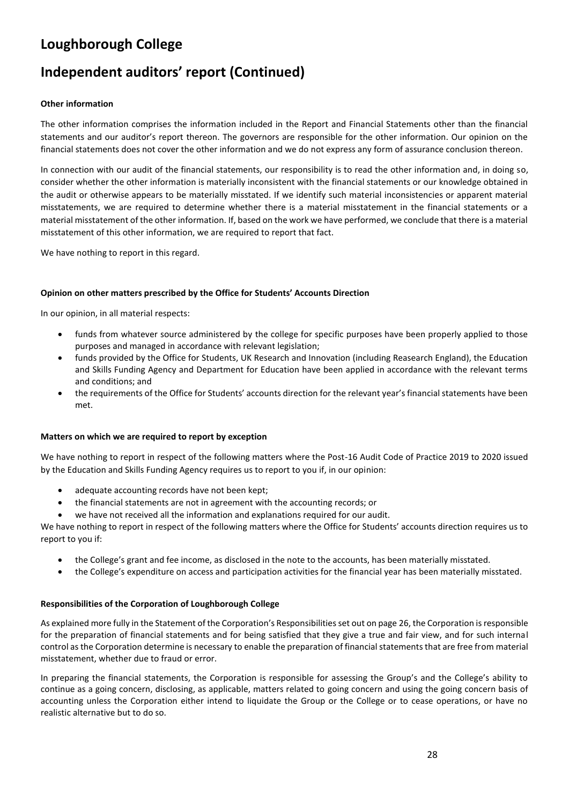# **Independent auditors' report (Continued)**

#### **Other information**

The other information comprises the information included in the Report and Financial Statements other than the financial statements and our auditor's report thereon. The governors are responsible for the other information. Our opinion on the financial statements does not cover the other information and we do not express any form of assurance conclusion thereon.

In connection with our audit of the financial statements, our responsibility is to read the other information and, in doing so, consider whether the other information is materially inconsistent with the financial statements or our knowledge obtained in the audit or otherwise appears to be materially misstated. If we identify such material inconsistencies or apparent material misstatements, we are required to determine whether there is a material misstatement in the financial statements or a material misstatement of the other information. If, based on the work we have performed, we conclude that there is a material misstatement of this other information, we are required to report that fact.

We have nothing to report in this regard.

#### **Opinion on other matters prescribed by the Office for Students' Accounts Direction**

In our opinion, in all material respects:

- funds from whatever source administered by the college for specific purposes have been properly applied to those purposes and managed in accordance with relevant legislation;
- funds provided by the Office for Students, UK Research and Innovation (including Reasearch England), the Education and Skills Funding Agency and Department for Education have been applied in accordance with the relevant terms and conditions; and
- the requirements of the Office for Students' accounts direction for the relevant year's financial statements have been met.

#### **Matters on which we are required to report by exception**

We have nothing to report in respect of the following matters where the Post-16 Audit Code of Practice 2019 to 2020 issued by the Education and Skills Funding Agency requires us to report to you if, in our opinion:

- adequate accounting records have not been kept:
- the financial statements are not in agreement with the accounting records; or
- we have not received all the information and explanations required for our audit.

We have nothing to report in respect of the following matters where the Office for Students' accounts direction requires us to report to you if:

- the College's grant and fee income, as disclosed in the note to the accounts, has been materially misstated.
- the College's expenditure on access and participation activities for the financial year has been materially misstated.

#### **Responsibilities of the Corporation of Loughborough College**

As explained more fully in the Statement of the Corporation's Responsibilities set out on page 26, the Corporation isresponsible for the preparation of financial statements and for being satisfied that they give a true and fair view, and for such internal control as the Corporation determine is necessary to enable the preparation of financial statements that are free from material misstatement, whether due to fraud or error.

In preparing the financial statements, the Corporation is responsible for assessing the Group's and the College's ability to continue as a going concern, disclosing, as applicable, matters related to going concern and using the going concern basis of accounting unless the Corporation either intend to liquidate the Group or the College or to cease operations, or have no realistic alternative but to do so.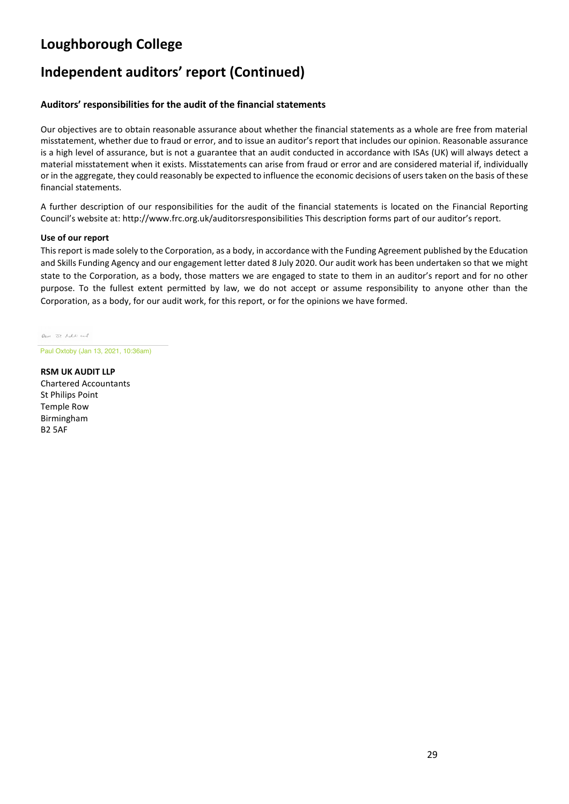# **Independent auditors' report (Continued)**

#### **Auditors' responsibilities for the audit of the financial statements**

Our objectives are to obtain reasonable assurance about whether the financial statements as a whole are free from material misstatement, whether due to fraud or error, and to issue an auditor's report that includes our opinion. Reasonable assurance is a high level of assurance, but is not a guarantee that an audit conducted in accordance with ISAs (UK) will always detect a material misstatement when it exists. Misstatements can arise from fraud or error and are considered material if, individually or in the aggregate, they could reasonably be expected to influence the economic decisions of users taken on the basis of these financial statements.

A further description of our responsibilities for the audit of the financial statements is located on the Financial Reporting Council's website at: http://www.frc.org.uk/auditorsresponsibilities This description forms part of our auditor's report.

#### **Use of our report**

This report is made solely to the Corporation, as a body, in accordance with the Funding Agreement published by the Education and Skills Funding Agency and our engagement letter dated 8 July 2020. Our audit work has been undertaken so that we might state to the Corporation, as a body, those matters we are engaged to state to them in an auditor's report and for no other purpose. To the fullest extent permitted by law, we do not accept or assume responsibility to anyone other than the Corporation, as a body, for our audit work, for this report, or for the opinions we have formed.

low or lab and

Paul Oxtoby (Jan 13, 2021, 10:36am)

**RSM UK AUDIT LLP** Chartered Accountants St Philips Point Temple Row Birmingham B2 5AF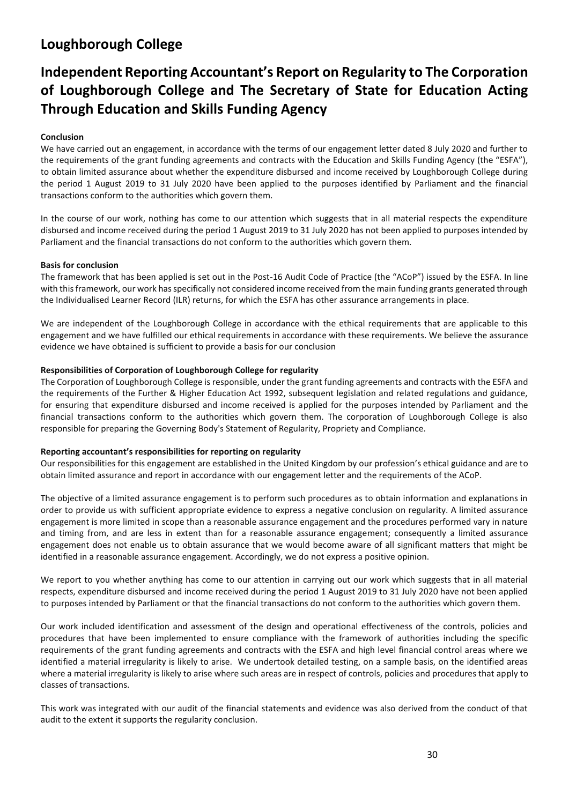# **Independent Reporting Accountant's Report on Regularity to The Corporation of Loughborough College and The Secretary of State for Education Acting Through Education and Skills Funding Agency**

#### **Conclusion**

We have carried out an engagement, in accordance with the terms of our engagement letter dated 8 July 2020 and further to the requirements of the grant funding agreements and contracts with the Education and Skills Funding Agency (the "ESFA"), to obtain limited assurance about whether the expenditure disbursed and income received by Loughborough College during the period 1 August 2019 to 31 July 2020 have been applied to the purposes identified by Parliament and the financial transactions conform to the authorities which govern them.

In the course of our work, nothing has come to our attention which suggests that in all material respects the expenditure disbursed and income received during the period 1 August 2019 to 31 July 2020 has not been applied to purposes intended by Parliament and the financial transactions do not conform to the authorities which govern them.

#### **Basis for conclusion**

The framework that has been applied is set out in the Post-16 Audit Code of Practice (the "ACoP") issued by the ESFA. In line with this framework, our work has specifically not considered income received from the main funding grants generated through the Individualised Learner Record (ILR) returns, for which the ESFA has other assurance arrangements in place.

We are independent of the Loughborough College in accordance with the ethical requirements that are applicable to this engagement and we have fulfilled our ethical requirements in accordance with these requirements. We believe the assurance evidence we have obtained is sufficient to provide a basis for our conclusion

#### **Responsibilities of Corporation of Loughborough College for regularity**

The Corporation of Loughborough College is responsible, under the grant funding agreements and contracts with the ESFA and the requirements of the Further & Higher Education Act 1992, subsequent legislation and related regulations and guidance, for ensuring that expenditure disbursed and income received is applied for the purposes intended by Parliament and the financial transactions conform to the authorities which govern them. The corporation of Loughborough College is also responsible for preparing the Governing Body's Statement of Regularity, Propriety and Compliance.

#### **Reporting accountant's responsibilities for reporting on regularity**

Our responsibilities for this engagement are established in the United Kingdom by our profession's ethical guidance and are to obtain limited assurance and report in accordance with our engagement letter and the requirements of the ACoP.

The objective of a limited assurance engagement is to perform such procedures as to obtain information and explanations in order to provide us with sufficient appropriate evidence to express a negative conclusion on regularity. A limited assurance engagement is more limited in scope than a reasonable assurance engagement and the procedures performed vary in nature and timing from, and are less in extent than for a reasonable assurance engagement; consequently a limited assurance engagement does not enable us to obtain assurance that we would become aware of all significant matters that might be identified in a reasonable assurance engagement. Accordingly, we do not express a positive opinion.

We report to you whether anything has come to our attention in carrying out our work which suggests that in all material respects, expenditure disbursed and income received during the period 1 August 2019 to 31 July 2020 have not been applied to purposes intended by Parliament or that the financial transactions do not conform to the authorities which govern them.

Our work included identification and assessment of the design and operational effectiveness of the controls, policies and procedures that have been implemented to ensure compliance with the framework of authorities including the specific requirements of the grant funding agreements and contracts with the ESFA and high level financial control areas where we identified a material irregularity is likely to arise. We undertook detailed testing, on a sample basis, on the identified areas where a material irregularity is likely to arise where such areas are in respect of controls, policies and procedures that apply to classes of transactions.

This work was integrated with our audit of the financial statements and evidence was also derived from the conduct of that audit to the extent it supports the regularity conclusion.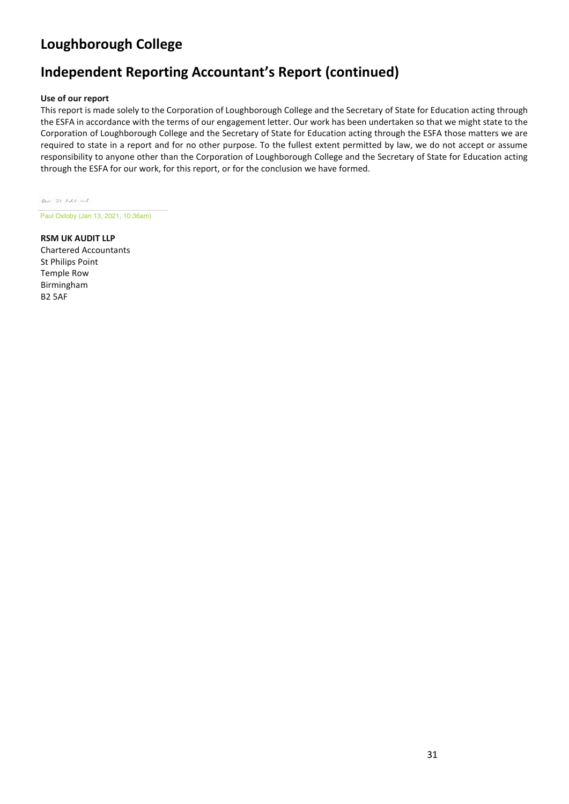# **Independent Reporting Accountant's Report (continued)**

#### **Use of our report**

This report is made solely to the Corporation of Loughborough College and the Secretary of State for Education acting through the ESFA in accordance with the terms of our engagement letter. Our work has been undertaken so that we might state to the Corporation of Loughborough College and the Secretary of State for Education acting through the ESFA those matters we are required to state in a report and for no other purpose. To the fullest extent permitted by law, we do not accept or assume responsibility to anyone other than the Corporation of Loughborough College and the Secretary of State for Education acting through the ESFA for our work, for this report, or for the conclusion we have formed.

love of holl and

Paul Oxtoby (Jan 13, 2021, 10:36am)

**RSM UK AUDIT LLP**  Chartered Accountants St Philips Point Temple Row Birmingham B2 5AF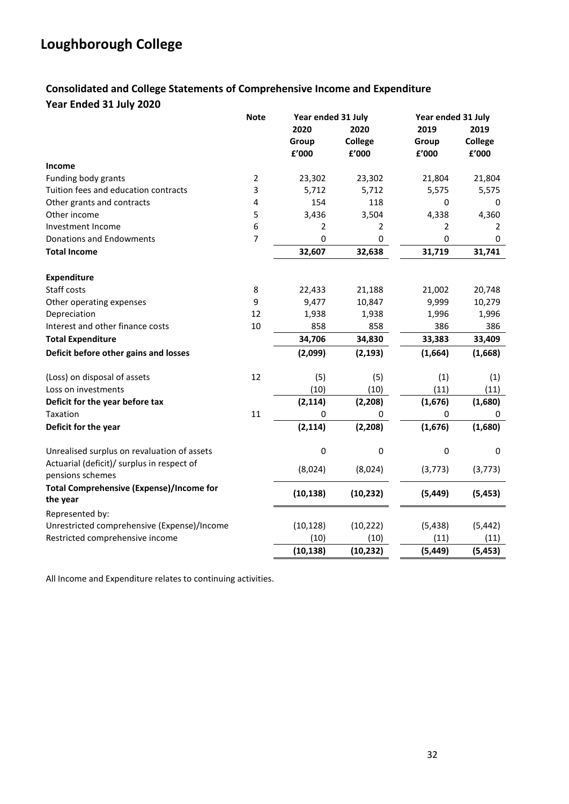### **Consolidated and College Statements of Comprehensive Income and Expenditure Year Ended 31 July 2020**

|                                                                | <b>Note</b><br>Year ended 31 July |              |                | Year ended 31 July |                |  |
|----------------------------------------------------------------|-----------------------------------|--------------|----------------|--------------------|----------------|--|
|                                                                |                                   | 2020         | 2020           | 2019               | 2019           |  |
|                                                                |                                   | Group        | <b>College</b> | Group              | <b>College</b> |  |
|                                                                |                                   | £'000        | £'000          | £'000              | £'000          |  |
| <b>Income</b>                                                  |                                   |              |                |                    |                |  |
| Funding body grants                                            | $\overline{2}$                    | 23,302       | 23,302         | 21,804             | 21,804         |  |
| Tuition fees and education contracts                           | 3                                 | 5,712        | 5,712          | 5,575              | 5,575          |  |
| Other grants and contracts                                     | 4                                 | 154          | 118            | 0                  | 0              |  |
| Other income                                                   | 5                                 | 3,436        | 3,504          | 4,338              | 4,360          |  |
| Investment Income                                              | 6                                 | 2            | 2              | 2                  | 2              |  |
| <b>Donations and Endowments</b>                                | $\overline{7}$                    | $\mathbf{0}$ | 0              | 0                  | 0              |  |
| <b>Total Income</b>                                            |                                   | 32,607       | 32,638         | 31,719             | 31,741         |  |
| <b>Expenditure</b>                                             |                                   |              |                |                    |                |  |
| Staff costs                                                    | 8                                 | 22,433       | 21,188         | 21,002             | 20,748         |  |
| Other operating expenses                                       | 9                                 | 9,477        | 10,847         | 9,999              | 10,279         |  |
| Depreciation                                                   | 12                                | 1,938        | 1,938          | 1,996              | 1,996          |  |
| Interest and other finance costs                               | 10                                | 858          | 858            | 386                | 386            |  |
| <b>Total Expenditure</b>                                       |                                   | 34,706       | 34,830         | 33,383             | 33,409         |  |
| Deficit before other gains and losses                          |                                   | (2,099)      | (2, 193)       | (1,664)            | (1,668)        |  |
| (Loss) on disposal of assets                                   | 12                                | (5)          | (5)            | (1)                | (1)            |  |
| Loss on investments                                            |                                   | (10)         | (10)           | (11)               | (11)           |  |
| Deficit for the year before tax                                |                                   | (2, 114)     | (2, 208)       | (1,676)            | (1,680)        |  |
| Taxation                                                       | 11                                | 0            | 0              | 0                  | 0              |  |
| Deficit for the year                                           |                                   | (2, 114)     | (2, 208)       | (1,676)            | (1,680)        |  |
| Unrealised surplus on revaluation of assets                    |                                   | $\pmb{0}$    | $\pmb{0}$      | $\pmb{0}$          | 0              |  |
| Actuarial (deficit)/ surplus in respect of<br>pensions schemes |                                   | (8,024)      | (8,024)        | (3, 773)           | (3, 773)       |  |
| <b>Total Comprehensive (Expense)/Income for</b><br>the year    |                                   | (10, 138)    | (10, 232)      | (5, 449)           | (5, 453)       |  |
| Represented by:                                                |                                   |              |                |                    |                |  |
| Unrestricted comprehensive (Expense)/Income                    |                                   | (10, 128)    | (10, 222)      | (5, 438)           | (5, 442)       |  |
| Restricted comprehensive income                                |                                   | (10)         | (10)           | (11)               | (11)           |  |
|                                                                |                                   | (10, 138)    | (10, 232)      | (5, 449)           | (5, 453)       |  |

All Income and Expenditure relates to continuing activities.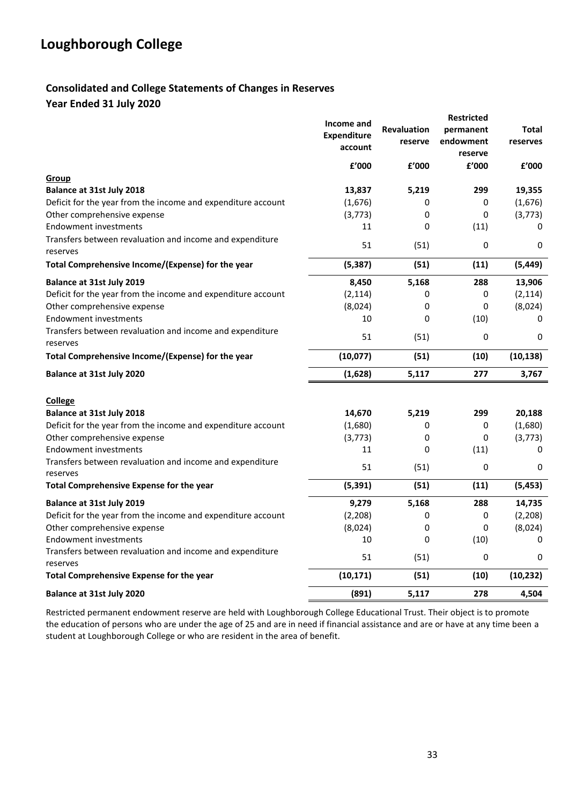### **Consolidated and College Statements of Changes in Reserves Year Ended 31 July 2020**

|                                                                      | Income and<br><b>Expenditure</b> | <b>Revaluation</b> | <b>Restricted</b><br>permanent | Total     |
|----------------------------------------------------------------------|----------------------------------|--------------------|--------------------------------|-----------|
|                                                                      | account                          | reserve            | endowment<br>reserve           | reserves  |
|                                                                      | £'000                            | f'000              | £'000                          | £'000     |
| Group                                                                |                                  |                    |                                |           |
| Balance at 31st July 2018                                            | 13,837                           | 5,219              | 299                            | 19,355    |
| Deficit for the year from the income and expenditure account         | (1,676)                          | 0                  | 0                              | (1,676)   |
| Other comprehensive expense                                          | (3, 773)                         | 0                  | 0                              | (3,773)   |
| <b>Endowment investments</b>                                         | 11                               | 0                  | (11)                           | 0         |
| Transfers between revaluation and income and expenditure<br>reserves | 51                               | (51)               | 0                              | 0         |
| Total Comprehensive Income/(Expense) for the year                    | (5, 387)                         | (51)               | (11)                           | (5, 449)  |
| Balance at 31st July 2019                                            | 8,450                            | 5,168              | 288                            | 13,906    |
| Deficit for the year from the income and expenditure account         | (2, 114)                         | 0                  | 0                              | (2, 114)  |
| Other comprehensive expense                                          | (8,024)                          | 0                  | 0                              | (8,024)   |
| <b>Endowment investments</b>                                         | 10                               | 0                  | (10)                           | 0         |
| Transfers between revaluation and income and expenditure<br>reserves | 51                               | (51)               | 0                              | 0         |
| Total Comprehensive Income/(Expense) for the year                    | (10,077)                         | (51)               | (10)                           | (10, 138) |
| <b>Balance at 31st July 2020</b>                                     | (1,628)                          | 5,117              | 277                            | 3,767     |
|                                                                      |                                  |                    |                                |           |
| <b>College</b><br><b>Balance at 31st July 2018</b>                   | 14,670                           | 5,219              | 299                            | 20,188    |
| Deficit for the year from the income and expenditure account         | (1,680)                          | 0                  | 0                              | (1,680)   |
| Other comprehensive expense                                          | (3,773)                          | 0                  | 0                              | (3,773)   |
| <b>Endowment investments</b>                                         | 11                               | 0                  | (11)                           | 0         |
| Transfers between revaluation and income and expenditure<br>reserves | 51                               | (51)               | 0                              | 0         |
| Total Comprehensive Expense for the year                             | (5, 391)                         | (51)               | (11)                           | (5, 453)  |
| <b>Balance at 31st July 2019</b>                                     | 9,279                            | 5,168              | 288                            | 14,735    |
| Deficit for the year from the income and expenditure account         | (2, 208)                         | 0                  | 0                              | (2, 208)  |
| Other comprehensive expense                                          | (8,024)                          | 0                  | 0                              | (8,024)   |
| <b>Endowment investments</b>                                         | 10                               | 0                  | (10)                           | 0         |
| Transfers between revaluation and income and expenditure<br>reserves | 51                               | (51)               | 0                              | 0         |
| Total Comprehensive Expense for the year                             | (10, 171)                        | (51)               | (10)                           | (10, 232) |
| <b>Balance at 31st July 2020</b>                                     | (891)                            | 5,117              | 278                            | 4,504     |

Restricted permanent endowment reserve are held with Loughborough College Educational Trust. Their object is to promote the education of persons who are under the age of 25 and are in need if financial assistance and are or have at any time been a student at Loughborough College or who are resident in the area of benefit.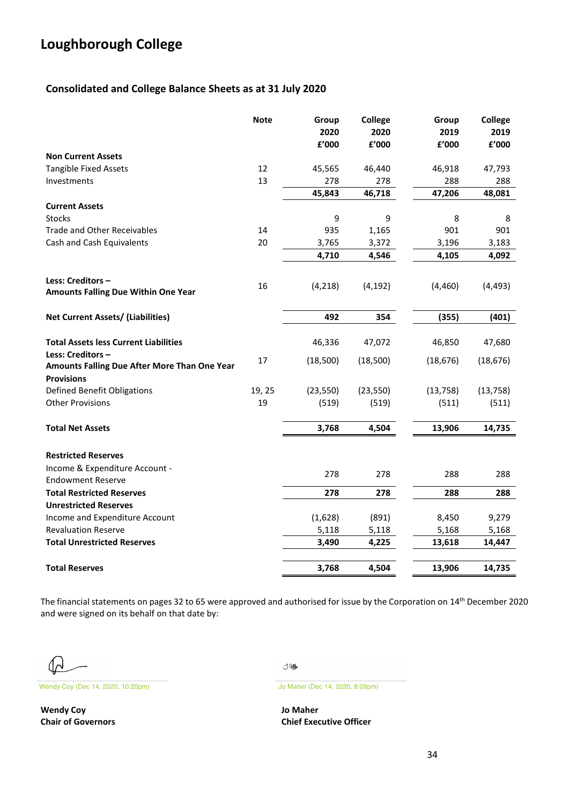### **Consolidated and College Balance Sheets as at 31 July 2020**

|                                                                                        | <b>Note</b> | Group<br>2020<br>£'000 | College<br>2020<br>£'000 | Group<br>2019<br>£'000 | <b>College</b><br>2019<br>£'000 |
|----------------------------------------------------------------------------------------|-------------|------------------------|--------------------------|------------------------|---------------------------------|
| <b>Non Current Assets</b>                                                              |             |                        |                          |                        |                                 |
| <b>Tangible Fixed Assets</b>                                                           | 12          | 45,565                 | 46,440                   | 46,918                 | 47,793                          |
| Investments                                                                            | 13          | 278                    | 278                      | 288                    | 288                             |
|                                                                                        |             | 45,843                 | 46,718                   | 47,206                 | 48,081                          |
| <b>Current Assets</b>                                                                  |             |                        |                          |                        |                                 |
| <b>Stocks</b>                                                                          |             | 9                      | 9                        | 8                      | 8                               |
| <b>Trade and Other Receivables</b>                                                     | 14          | 935                    | 1,165                    | 901                    | 901                             |
| Cash and Cash Equivalents                                                              | 20          | 3,765                  | 3,372                    | 3,196                  | 3,183                           |
|                                                                                        |             | 4,710                  | 4,546                    | 4,105                  | 4,092                           |
| Less: Creditors -<br>Amounts Falling Due Within One Year                               | 16          | (4, 218)               | (4, 192)                 | (4,460)                | (4, 493)                        |
| Net Current Assets/ (Liabilities)                                                      |             | 492                    | 354                      | (355)                  | (401)                           |
| <b>Total Assets less Current Liabilities</b>                                           |             | 46,336                 | 47,072                   | 46,850                 | 47,680                          |
| Less: Creditors -<br>Amounts Falling Due After More Than One Year<br><b>Provisions</b> | 17          | (18,500)               | (18,500)                 | (18, 676)              | (18, 676)                       |
| <b>Defined Benefit Obligations</b>                                                     | 19, 25      | (23, 550)              | (23, 550)                | (13, 758)              | (13, 758)                       |
| <b>Other Provisions</b>                                                                | 19          | (519)                  | (519)                    | (511)                  | (511)                           |
| <b>Total Net Assets</b>                                                                |             | 3,768                  | 4,504                    | 13,906                 | 14,735                          |
| <b>Restricted Reserves</b>                                                             |             |                        |                          |                        |                                 |
| Income & Expenditure Account -<br><b>Endowment Reserve</b>                             |             | 278                    | 278                      | 288                    | 288                             |
| <b>Total Restricted Reserves</b>                                                       |             | 278                    | 278                      | 288                    | 288                             |
| <b>Unrestricted Reserves</b>                                                           |             |                        |                          |                        |                                 |
| Income and Expenditure Account                                                         |             | (1,628)                | (891)                    | 8,450                  | 9,279                           |
| <b>Revaluation Reserve</b>                                                             |             | 5,118                  | 5,118                    | 5,168                  | 5,168                           |
| <b>Total Unrestricted Reserves</b>                                                     |             | 3,490                  | 4,225                    | 13,618                 | 14,447                          |
| <b>Total Reserves</b>                                                                  |             | 3,768                  | 4,504                    | 13,906                 | 14,735                          |

The financial statements on pages 32 to 65 were approved and authorised for issue by the Corporation on 14th December 2020 and were signed on its behalf on that date by:

᠕

Wendy Coy (Dec 14, 2020, 10:20pm) Jo Maher (Dec 14, 2020, 8:09pm)

**Wendy Coy Jo Maher**

**J.8\$** 

**Chair of Governors Chief Executive Officer**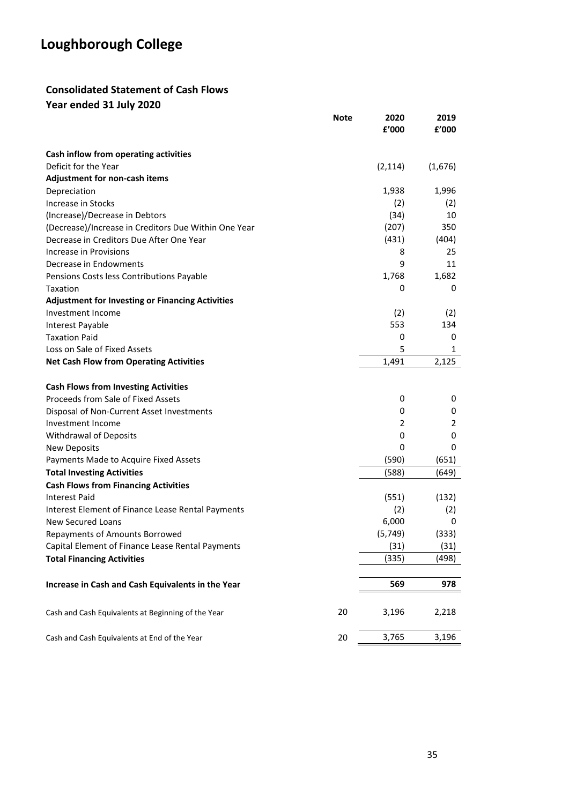### **Consolidated Statement of Cash Flows**

**Year ended 31 July 2020**

|                                                         | <b>Note</b> | 2020<br>£'000 | 2019<br>£'000 |
|---------------------------------------------------------|-------------|---------------|---------------|
|                                                         |             |               |               |
| Cash inflow from operating activities                   |             |               |               |
| Deficit for the Year                                    |             | (2, 114)      | (1,676)       |
| Adjustment for non-cash items                           |             |               |               |
| Depreciation                                            |             | 1,938         | 1,996         |
| <b>Increase in Stocks</b>                               |             | (2)           | (2)           |
| (Increase)/Decrease in Debtors                          |             | (34)          | 10            |
| (Decrease)/Increase in Creditors Due Within One Year    |             | (207)         | 350           |
| Decrease in Creditors Due After One Year                |             | (431)         | (404)         |
| Increase in Provisions                                  |             | 8             | 25            |
| Decrease in Endowments                                  |             | 9             | 11            |
| Pensions Costs less Contributions Payable               |             | 1,768         | 1,682         |
| Taxation                                                |             | 0             | 0             |
| <b>Adjustment for Investing or Financing Activities</b> |             |               |               |
| Investment Income                                       |             | (2)           | (2)           |
| Interest Payable                                        |             | 553           | 134           |
| <b>Taxation Paid</b>                                    |             | 0             | 0             |
| Loss on Sale of Fixed Assets                            |             | 5             | 1             |
| <b>Net Cash Flow from Operating Activities</b>          |             | 1,491         | 2,125         |
| <b>Cash Flows from Investing Activities</b>             |             |               |               |
| Proceeds from Sale of Fixed Assets                      |             | 0             | 0             |
| Disposal of Non-Current Asset Investments               |             | 0             | 0             |
| Investment Income                                       |             | 2             | 2             |
| <b>Withdrawal of Deposits</b>                           |             | 0             | 0             |
| <b>New Deposits</b>                                     |             | 0             | 0             |
| Payments Made to Acquire Fixed Assets                   |             | (590)         | (651)         |
| <b>Total Investing Activities</b>                       |             | (588)         | (649)         |
| <b>Cash Flows from Financing Activities</b>             |             |               |               |
| <b>Interest Paid</b>                                    |             | (551)         | (132)         |
| Interest Element of Finance Lease Rental Payments       |             | (2)           | (2)           |
| <b>New Secured Loans</b>                                |             | 6,000         | 0             |
| <b>Repayments of Amounts Borrowed</b>                   |             | (5, 749)      | (333)         |
| Capital Element of Finance Lease Rental Payments        |             | (31)          | (31)          |
| <b>Total Financing Activities</b>                       |             | (335)         | (498)         |
|                                                         |             |               |               |
| Increase in Cash and Cash Equivalents in the Year       |             | 569           | 978           |
| Cash and Cash Equivalents at Beginning of the Year      | 20          | 3,196         | 2,218         |
| Cash and Cash Equivalents at End of the Year            | 20          | 3,765         | 3,196         |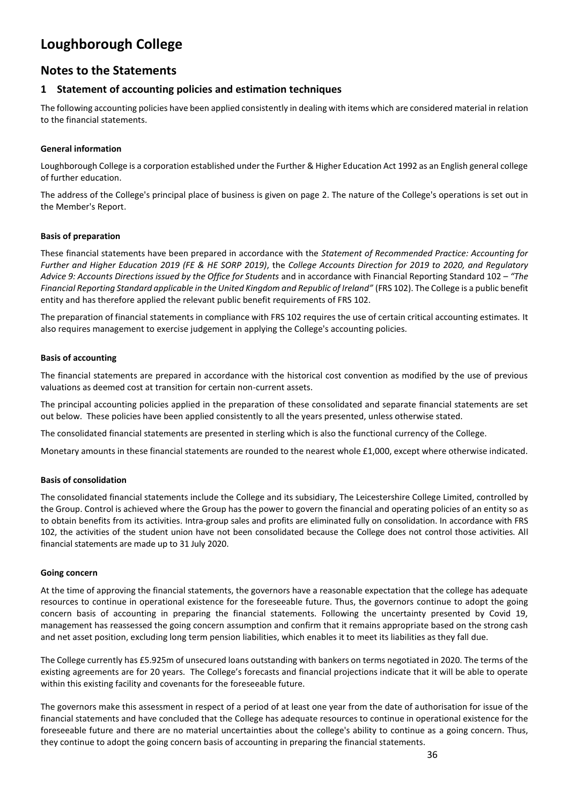### **Notes to the Statements**

### **1 Statement of accounting policies and estimation techniques**

The following accounting policies have been applied consistently in dealing with items which are considered material in relation to the financial statements.

#### **General information**

Loughborough College is a corporation established under the Further & Higher Education Act 1992 as an English general college of further education.

The address of the College's principal place of business is given on page 2. The nature of the College's operations is set out in the Member's Report.

#### **Basis of preparation**

These financial statements have been prepared in accordance with the *Statement of Recommended Practice: Accounting for Further and Higher Education 2019 (FE & HE SORP 2019)*, the *College Accounts Direction for 2019 to 2020, and Regulatory Advice 9: Accounts Directions issued by the Office for Students* and in accordance with Financial Reporting Standard 102 – *"The Financial Reporting Standard applicable in the United Kingdom and Republic of Ireland"* (FRS 102). The College is a public benefit entity and has therefore applied the relevant public benefit requirements of FRS 102.

The preparation of financial statements in compliance with FRS 102 requires the use of certain critical accounting estimates. It also requires management to exercise judgement in applying the College's accounting policies.

#### **Basis of accounting**

The financial statements are prepared in accordance with the historical cost convention as modified by the use of previous valuations as deemed cost at transition for certain non-current assets.

The principal accounting policies applied in the preparation of these consolidated and separate financial statements are set out below. These policies have been applied consistently to all the years presented, unless otherwise stated.

The consolidated financial statements are presented in sterling which is also the functional currency of the College.

Monetary amounts in these financial statements are rounded to the nearest whole £1,000, except where otherwise indicated.

#### **Basis of consolidation**

The consolidated financial statements include the College and its subsidiary, The Leicestershire College Limited, controlled by the Group. Control is achieved where the Group has the power to govern the financial and operating policies of an entity so as to obtain benefits from its activities. Intra-group sales and profits are eliminated fully on consolidation. In accordance with FRS 102, the activities of the student union have not been consolidated because the College does not control those activities. All financial statements are made up to 31 July 2020.

#### **Going concern**

At the time of approving the financial statements, the governors have a reasonable expectation that the college has adequate resources to continue in operational existence for the foreseeable future. Thus, the governors continue to adopt the going concern basis of accounting in preparing the financial statements. Following the uncertainty presented by Covid 19, management has reassessed the going concern assumption and confirm that it remains appropriate based on the strong cash and net asset position, excluding long term pension liabilities, which enables it to meet its liabilities as they fall due.

The College currently has £5.925m of unsecured loans outstanding with bankers on terms negotiated in 2020. The terms of the existing agreements are for 20 years. The College's forecasts and financial projections indicate that it will be able to operate within this existing facility and covenants for the foreseeable future.

The governors make this assessment in respect of a period of at least one year from the date of authorisation for issue of the financial statements and have concluded that the College has adequate resources to continue in operational existence for the foreseeable future and there are no material uncertainties about the college's ability to continue as a going concern. Thus, they continue to adopt the going concern basis of accounting in preparing the financial statements.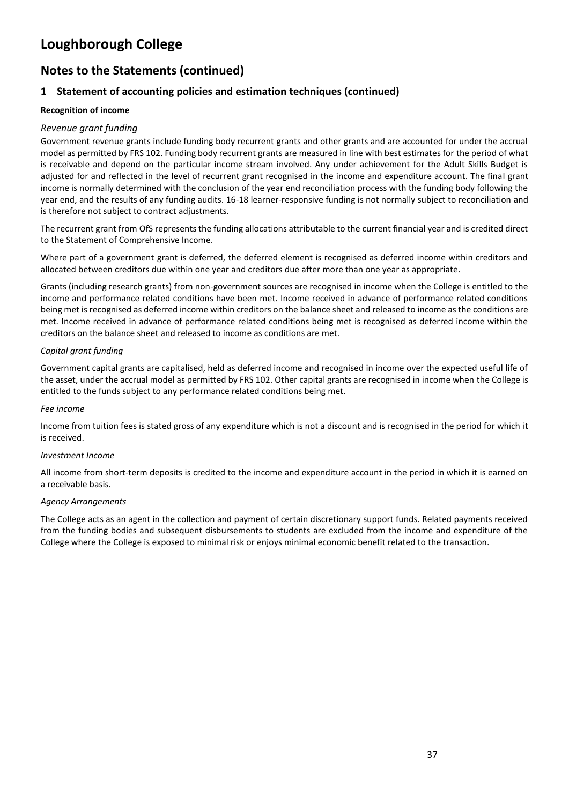### **Notes to the Statements (continued)**

### **1 Statement of accounting policies and estimation techniques (continued)**

#### **Recognition of income**

### *Revenue grant funding*

Government revenue grants include funding body recurrent grants and other grants and are accounted for under the accrual model as permitted by FRS 102. Funding body recurrent grants are measured in line with best estimates for the period of what is receivable and depend on the particular income stream involved. Any under achievement for the Adult Skills Budget is adjusted for and reflected in the level of recurrent grant recognised in the income and expenditure account. The final grant income is normally determined with the conclusion of the year end reconciliation process with the funding body following the year end, and the results of any funding audits. 16-18 learner-responsive funding is not normally subject to reconciliation and is therefore not subject to contract adjustments.

The recurrent grant from OfS represents the funding allocations attributable to the current financial year and is credited direct to the Statement of Comprehensive Income.

Where part of a government grant is deferred, the deferred element is recognised as deferred income within creditors and allocated between creditors due within one year and creditors due after more than one year as appropriate.

Grants (including research grants) from non-government sources are recognised in income when the College is entitled to the income and performance related conditions have been met. Income received in advance of performance related conditions being met is recognised as deferred income within creditors on the balance sheet and released to income as the conditions are met. Income received in advance of performance related conditions being met is recognised as deferred income within the creditors on the balance sheet and released to income as conditions are met.

#### *Capital grant funding*

Government capital grants are capitalised, held as deferred income and recognised in income over the expected useful life of the asset, under the accrual model as permitted by FRS 102. Other capital grants are recognised in income when the College is entitled to the funds subject to any performance related conditions being met.

#### *Fee income*

Income from tuition fees is stated gross of any expenditure which is not a discount and is recognised in the period for which it is received.

#### *Investment Income*

All income from short-term deposits is credited to the income and expenditure account in the period in which it is earned on a receivable basis.

#### *Agency Arrangements*

The College acts as an agent in the collection and payment of certain discretionary support funds. Related payments received from the funding bodies and subsequent disbursements to students are excluded from the income and expenditure of the College where the College is exposed to minimal risk or enjoys minimal economic benefit related to the transaction.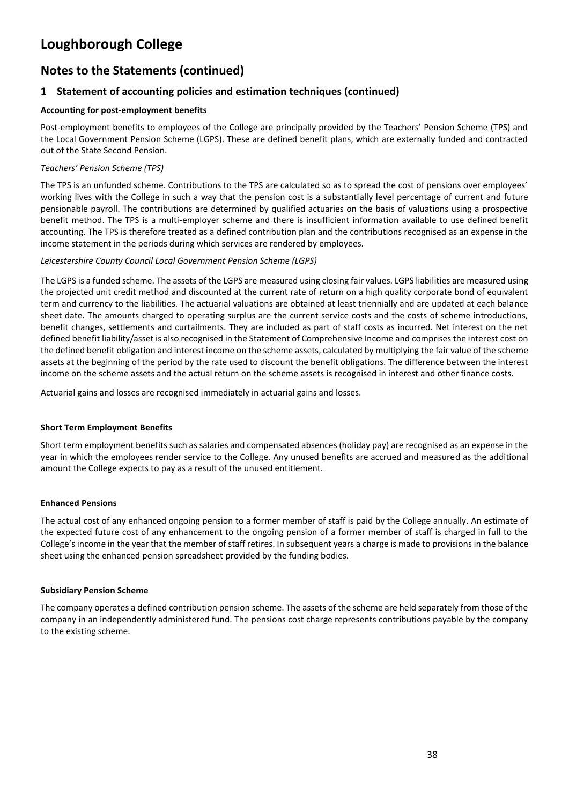### **Notes to the Statements (continued)**

### **1 Statement of accounting policies and estimation techniques (continued)**

#### **Accounting for post-employment benefits**

Post-employment benefits to employees of the College are principally provided by the Teachers' Pension Scheme (TPS) and the Local Government Pension Scheme (LGPS). These are defined benefit plans, which are externally funded and contracted out of the State Second Pension.

#### *Teachers' Pension Scheme (TPS)*

The TPS is an unfunded scheme. Contributions to the TPS are calculated so as to spread the cost of pensions over employees' working lives with the College in such a way that the pension cost is a substantially level percentage of current and future pensionable payroll. The contributions are determined by qualified actuaries on the basis of valuations using a prospective benefit method. The TPS is a multi-employer scheme and there is insufficient information available to use defined benefit accounting. The TPS is therefore treated as a defined contribution plan and the contributions recognised as an expense in the income statement in the periods during which services are rendered by employees.

#### *Leicestershire County Council Local Government Pension Scheme (LGPS)*

The LGPS is a funded scheme. The assets of the LGPS are measured using closing fair values. LGPS liabilities are measured using the projected unit credit method and discounted at the current rate of return on a high quality corporate bond of equivalent term and currency to the liabilities. The actuarial valuations are obtained at least triennially and are updated at each balance sheet date. The amounts charged to operating surplus are the current service costs and the costs of scheme introductions, benefit changes, settlements and curtailments. They are included as part of staff costs as incurred. Net interest on the net defined benefit liability/asset is also recognised in the Statement of Comprehensive Income and comprises the interest cost on the defined benefit obligation and interest income on the scheme assets, calculated by multiplying the fair value of the scheme assets at the beginning of the period by the rate used to discount the benefit obligations. The difference between the interest income on the scheme assets and the actual return on the scheme assets is recognised in interest and other finance costs.

Actuarial gains and losses are recognised immediately in actuarial gains and losses.

#### **Short Term Employment Benefits**

Short term employment benefits such as salaries and compensated absences (holiday pay) are recognised as an expense in the year in which the employees render service to the College. Any unused benefits are accrued and measured as the additional amount the College expects to pay as a result of the unused entitlement.

#### **Enhanced Pensions**

The actual cost of any enhanced ongoing pension to a former member of staff is paid by the College annually. An estimate of the expected future cost of any enhancement to the ongoing pension of a former member of staff is charged in full to the College's income in the year that the member of staff retires. In subsequent years a charge is made to provisions in the balance sheet using the enhanced pension spreadsheet provided by the funding bodies.

#### **Subsidiary Pension Scheme**

The company operates a defined contribution pension scheme. The assets of the scheme are held separately from those of the company in an independently administered fund. The pensions cost charge represents contributions payable by the company to the existing scheme.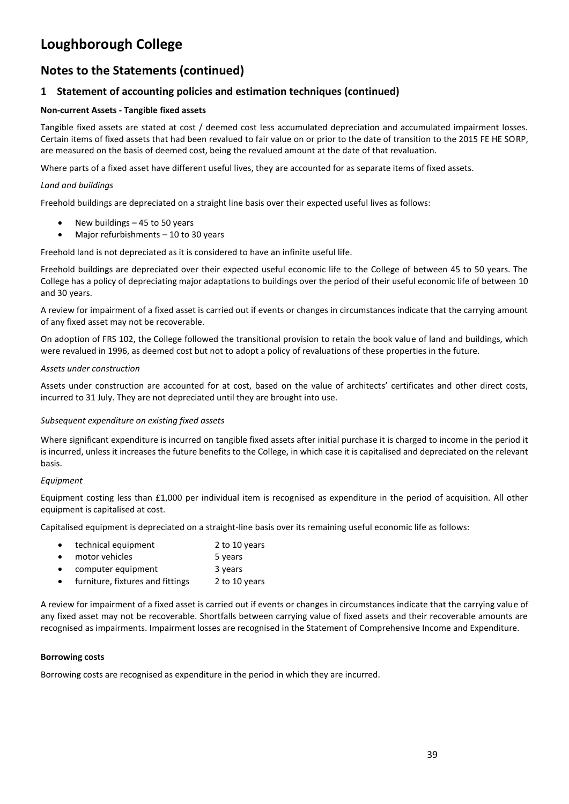### **Notes to the Statements (continued)**

### **1 Statement of accounting policies and estimation techniques (continued)**

#### **Non-current Assets - Tangible fixed assets**

Tangible fixed assets are stated at cost / deemed cost less accumulated depreciation and accumulated impairment losses. Certain items of fixed assets that had been revalued to fair value on or prior to the date of transition to the 2015 FE HE SORP, are measured on the basis of deemed cost, being the revalued amount at the date of that revaluation.

Where parts of a fixed asset have different useful lives, they are accounted for as separate items of fixed assets.

#### *Land and buildings*

Freehold buildings are depreciated on a straight line basis over their expected useful lives as follows:

- New buildings 45 to 50 years
- Major refurbishments 10 to 30 years

Freehold land is not depreciated as it is considered to have an infinite useful life.

Freehold buildings are depreciated over their expected useful economic life to the College of between 45 to 50 years. The College has a policy of depreciating major adaptations to buildings over the period of their useful economic life of between 10 and 30 years.

A review for impairment of a fixed asset is carried out if events or changes in circumstances indicate that the carrying amount of any fixed asset may not be recoverable.

On adoption of FRS 102, the College followed the transitional provision to retain the book value of land and buildings, which were revalued in 1996, as deemed cost but not to adopt a policy of revaluations of these properties in the future.

#### *Assets under construction*

Assets under construction are accounted for at cost, based on the value of architects' certificates and other direct costs, incurred to 31 July. They are not depreciated until they are brought into use.

#### *Subsequent expenditure on existing fixed assets*

Where significant expenditure is incurred on tangible fixed assets after initial purchase it is charged to income in the period it is incurred, unless it increases the future benefits to the College, in which case it is capitalised and depreciated on the relevant basis.

#### *Equipment*

Equipment costing less than £1,000 per individual item is recognised as expenditure in the period of acquisition. All other equipment is capitalised at cost.

Capitalised equipment is depreciated on a straight-line basis over its remaining useful economic life as follows:

| technical equipment | 2 to 10 years |
|---------------------|---------------|

- motor vehicles 5 years
- computer equipment 3 years
- furniture, fixtures and fittings 2 to 10 years

A review for impairment of a fixed asset is carried out if events or changes in circumstances indicate that the carrying value of any fixed asset may not be recoverable. Shortfalls between carrying value of fixed assets and their recoverable amounts are recognised as impairments. Impairment losses are recognised in the Statement of Comprehensive Income and Expenditure.

#### **Borrowing costs**

Borrowing costs are recognised as expenditure in the period in which they are incurred.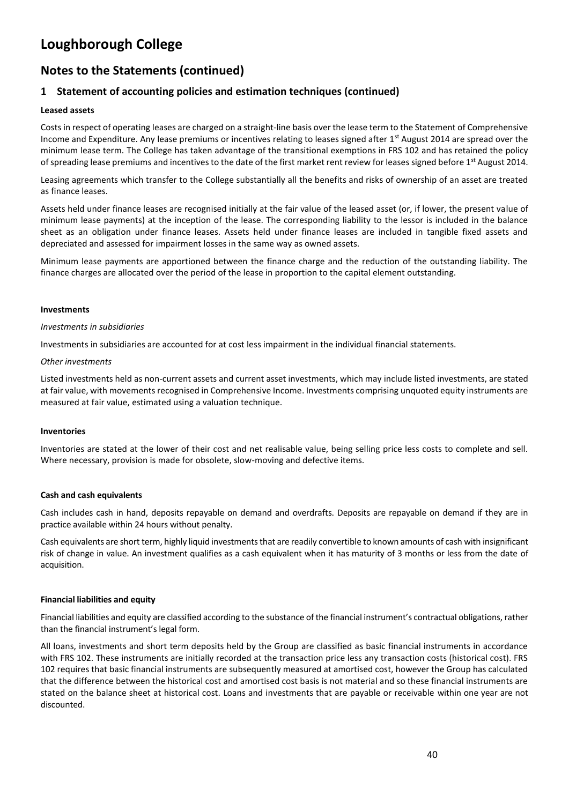### **Notes to the Statements (continued)**

### **1 Statement of accounting policies and estimation techniques (continued)**

#### **Leased assets**

Costs in respect of operating leases are charged on a straight-line basis over the lease term to the Statement of Comprehensive Income and Expenditure. Any lease premiums or incentives relating to leases signed after  $1<sup>st</sup>$  August 2014 are spread over the minimum lease term. The College has taken advantage of the transitional exemptions in FRS 102 and has retained the policy of spreading lease premiums and incentives to the date of the first market rent review for leases signed before 1<sup>st</sup> August 2014.

Leasing agreements which transfer to the College substantially all the benefits and risks of ownership of an asset are treated as finance leases.

Assets held under finance leases are recognised initially at the fair value of the leased asset (or, if lower, the present value of minimum lease payments) at the inception of the lease. The corresponding liability to the lessor is included in the balance sheet as an obligation under finance leases. Assets held under finance leases are included in tangible fixed assets and depreciated and assessed for impairment losses in the same way as owned assets.

Minimum lease payments are apportioned between the finance charge and the reduction of the outstanding liability. The finance charges are allocated over the period of the lease in proportion to the capital element outstanding.

#### **Investments**

#### *Investments in subsidiaries*

Investments in subsidiaries are accounted for at cost less impairment in the individual financial statements.

#### *Other investments*

Listed investments held as non-current assets and current asset investments, which may include listed investments, are stated at fair value, with movements recognised in Comprehensive Income. Investments comprising unquoted equity instruments are measured at fair value, estimated using a valuation technique.

#### **Inventories**

Inventories are stated at the lower of their cost and net realisable value, being selling price less costs to complete and sell. Where necessary, provision is made for obsolete, slow-moving and defective items.

#### **Cash and cash equivalents**

Cash includes cash in hand, deposits repayable on demand and overdrafts. Deposits are repayable on demand if they are in practice available within 24 hours without penalty.

Cash equivalents are short term, highly liquid investments that are readily convertible to known amounts of cash with insignificant risk of change in value. An investment qualifies as a cash equivalent when it has maturity of 3 months or less from the date of acquisition.

#### **Financial liabilities and equity**

Financial liabilities and equity are classified according to the substance of the financial instrument's contractual obligations, rather than the financial instrument's legal form.

All loans, investments and short term deposits held by the Group are classified as basic financial instruments in accordance with FRS 102. These instruments are initially recorded at the transaction price less any transaction costs (historical cost). FRS 102 requires that basic financial instruments are subsequently measured at amortised cost, however the Group has calculated that the difference between the historical cost and amortised cost basis is not material and so these financial instruments are stated on the balance sheet at historical cost. Loans and investments that are payable or receivable within one year are not discounted.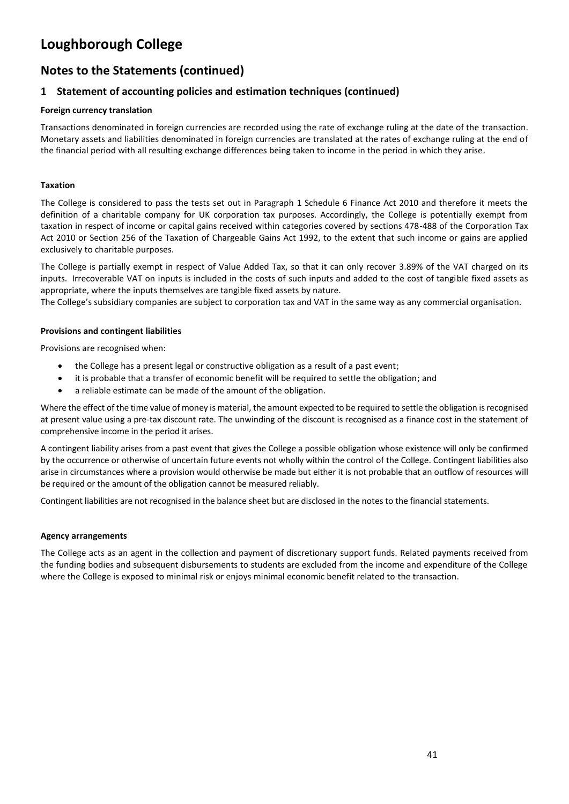### **Notes to the Statements (continued)**

### **1 Statement of accounting policies and estimation techniques (continued)**

#### **Foreign currency translation**

Transactions denominated in foreign currencies are recorded using the rate of exchange ruling at the date of the transaction. Monetary assets and liabilities denominated in foreign currencies are translated at the rates of exchange ruling at the end of the financial period with all resulting exchange differences being taken to income in the period in which they arise.

#### **Taxation**

The College is considered to pass the tests set out in Paragraph 1 Schedule 6 Finance Act 2010 and therefore it meets the definition of a charitable company for UK corporation tax purposes. Accordingly, the College is potentially exempt from taxation in respect of income or capital gains received within categories covered by sections 478-488 of the Corporation Tax Act 2010 or Section 256 of the Taxation of Chargeable Gains Act 1992, to the extent that such income or gains are applied exclusively to charitable purposes.

The College is partially exempt in respect of Value Added Tax, so that it can only recover 3.89% of the VAT charged on its inputs. Irrecoverable VAT on inputs is included in the costs of such inputs and added to the cost of tangible fixed assets as appropriate, where the inputs themselves are tangible fixed assets by nature.

The College's subsidiary companies are subject to corporation tax and VAT in the same way as any commercial organisation.

#### **Provisions and contingent liabilities**

Provisions are recognised when:

- the College has a present legal or constructive obligation as a result of a past event;
- it is probable that a transfer of economic benefit will be required to settle the obligation; and
- a reliable estimate can be made of the amount of the obligation.

Where the effect of the time value of money is material, the amount expected to be required to settle the obligation is recognised at present value using a pre-tax discount rate. The unwinding of the discount is recognised as a finance cost in the statement of comprehensive income in the period it arises.

A contingent liability arises from a past event that gives the College a possible obligation whose existence will only be confirmed by the occurrence or otherwise of uncertain future events not wholly within the control of the College. Contingent liabilities also arise in circumstances where a provision would otherwise be made but either it is not probable that an outflow of resources will be required or the amount of the obligation cannot be measured reliably.

Contingent liabilities are not recognised in the balance sheet but are disclosed in the notes to the financial statements.

#### **Agency arrangements**

The College acts as an agent in the collection and payment of discretionary support funds. Related payments received from the funding bodies and subsequent disbursements to students are excluded from the income and expenditure of the College where the College is exposed to minimal risk or enjoys minimal economic benefit related to the transaction.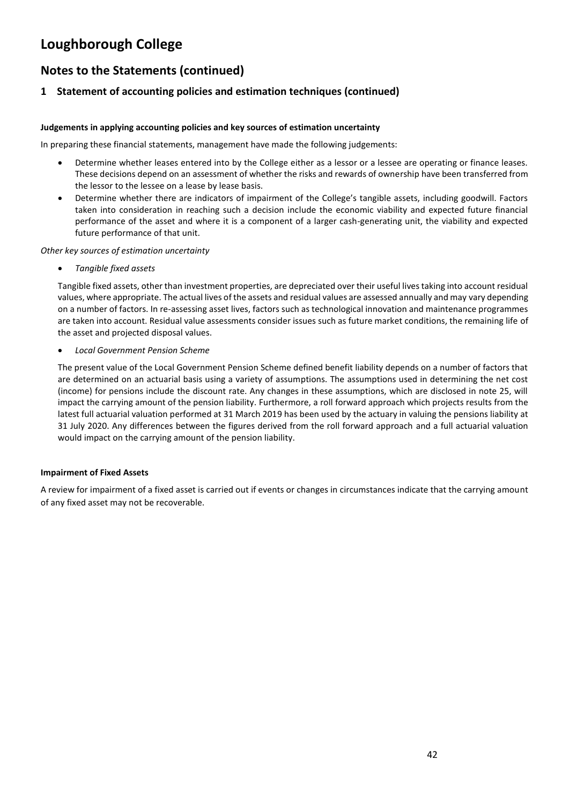### **Notes to the Statements (continued)**

### **1 Statement of accounting policies and estimation techniques (continued)**

#### **Judgements in applying accounting policies and key sources of estimation uncertainty**

In preparing these financial statements, management have made the following judgements:

- Determine whether leases entered into by the College either as a lessor or a lessee are operating or finance leases. These decisions depend on an assessment of whether the risks and rewards of ownership have been transferred from the lessor to the lessee on a lease by lease basis.
- Determine whether there are indicators of impairment of the College's tangible assets, including goodwill. Factors taken into consideration in reaching such a decision include the economic viability and expected future financial performance of the asset and where it is a component of a larger cash-generating unit, the viability and expected future performance of that unit.

*Other key sources of estimation uncertainty*

• *Tangible fixed assets*

Tangible fixed assets, other than investment properties, are depreciated over their useful lives taking into account residual values, where appropriate. The actual lives of the assets and residual values are assessed annually and may vary depending on a number of factors. In re-assessing asset lives, factors such as technological innovation and maintenance programmes are taken into account. Residual value assessments consider issues such as future market conditions, the remaining life of the asset and projected disposal values.

• *Local Government Pension Scheme*

The present value of the Local Government Pension Scheme defined benefit liability depends on a number of factors that are determined on an actuarial basis using a variety of assumptions. The assumptions used in determining the net cost (income) for pensions include the discount rate. Any changes in these assumptions, which are disclosed in note 25, will impact the carrying amount of the pension liability. Furthermore, a roll forward approach which projects results from the latest full actuarial valuation performed at 31 March 2019 has been used by the actuary in valuing the pensions liability at 31 July 2020. Any differences between the figures derived from the roll forward approach and a full actuarial valuation would impact on the carrying amount of the pension liability.

#### **Impairment of Fixed Assets**

A review for impairment of a fixed asset is carried out if events or changes in circumstances indicate that the carrying amount of any fixed asset may not be recoverable.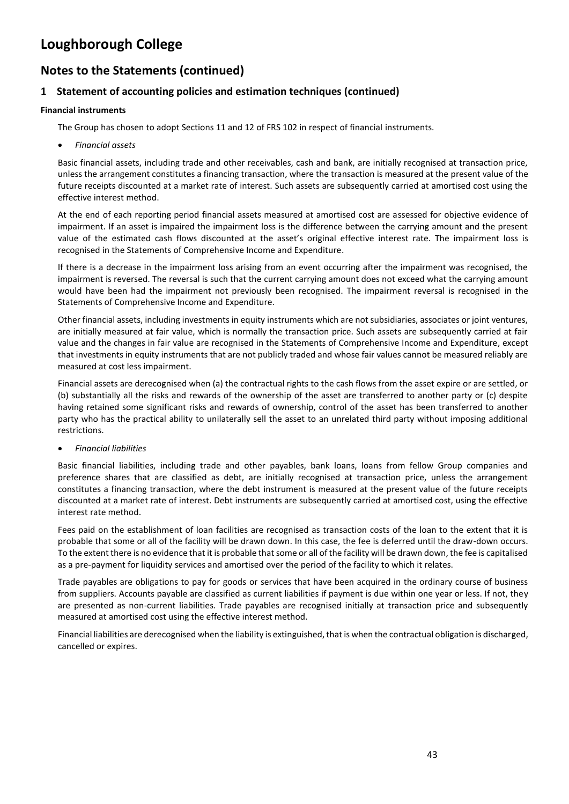### **Notes to the Statements (continued)**

### **1 Statement of accounting policies and estimation techniques (continued)**

#### **Financial instruments**

The Group has chosen to adopt Sections 11 and 12 of FRS 102 in respect of financial instruments.

• *Financial assets*

Basic financial assets, including trade and other receivables, cash and bank, are initially recognised at transaction price, unless the arrangement constitutes a financing transaction, where the transaction is measured at the present value of the future receipts discounted at a market rate of interest. Such assets are subsequently carried at amortised cost using the effective interest method.

At the end of each reporting period financial assets measured at amortised cost are assessed for objective evidence of impairment. If an asset is impaired the impairment loss is the difference between the carrying amount and the present value of the estimated cash flows discounted at the asset's original effective interest rate. The impairment loss is recognised in the Statements of Comprehensive Income and Expenditure.

If there is a decrease in the impairment loss arising from an event occurring after the impairment was recognised, the impairment is reversed. The reversal is such that the current carrying amount does not exceed what the carrying amount would have been had the impairment not previously been recognised. The impairment reversal is recognised in the Statements of Comprehensive Income and Expenditure.

Other financial assets, including investments in equity instruments which are not subsidiaries, associates or joint ventures, are initially measured at fair value, which is normally the transaction price. Such assets are subsequently carried at fair value and the changes in fair value are recognised in the Statements of Comprehensive Income and Expenditure, except that investments in equity instruments that are not publicly traded and whose fair values cannot be measured reliably are measured at cost less impairment.

Financial assets are derecognised when (a) the contractual rights to the cash flows from the asset expire or are settled, or (b) substantially all the risks and rewards of the ownership of the asset are transferred to another party or (c) despite having retained some significant risks and rewards of ownership, control of the asset has been transferred to another party who has the practical ability to unilaterally sell the asset to an unrelated third party without imposing additional restrictions.

#### • *Financial liabilities*

Basic financial liabilities, including trade and other payables, bank loans, loans from fellow Group companies and preference shares that are classified as debt, are initially recognised at transaction price, unless the arrangement constitutes a financing transaction, where the debt instrument is measured at the present value of the future receipts discounted at a market rate of interest. Debt instruments are subsequently carried at amortised cost, using the effective interest rate method.

Fees paid on the establishment of loan facilities are recognised as transaction costs of the loan to the extent that it is probable that some or all of the facility will be drawn down. In this case, the fee is deferred until the draw-down occurs. To the extent there is no evidence that it is probable that some or all of the facility will be drawn down, the fee is capitalised as a pre-payment for liquidity services and amortised over the period of the facility to which it relates.

Trade payables are obligations to pay for goods or services that have been acquired in the ordinary course of business from suppliers. Accounts payable are classified as current liabilities if payment is due within one year or less. If not, they are presented as non-current liabilities. Trade payables are recognised initially at transaction price and subsequently measured at amortised cost using the effective interest method.

Financial liabilities are derecognised when the liability is extinguished, that is when the contractual obligation is discharged, cancelled or expires.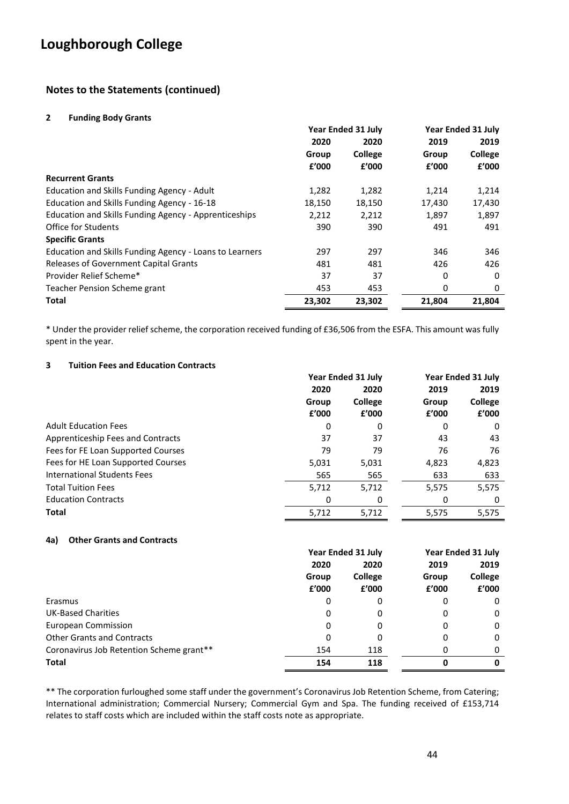### **Notes to the Statements (continued)**

#### **2 Funding Body Grants**

|                                                         | <b>Year Ended 31 July</b> |                |        | <b>Year Ended 31 July</b> |
|---------------------------------------------------------|---------------------------|----------------|--------|---------------------------|
|                                                         | 2020                      | 2020           | 2019   | 2019                      |
|                                                         | Group                     | <b>College</b> | Group  | College                   |
|                                                         | f'000                     | £'000          | f'000  | f'000                     |
| <b>Recurrent Grants</b>                                 |                           |                |        |                           |
| Education and Skills Funding Agency - Adult             | 1,282                     | 1,282          | 1,214  | 1,214                     |
| Education and Skills Funding Agency - 16-18             | 18,150                    | 18,150         | 17,430 | 17,430                    |
| Education and Skills Funding Agency - Apprenticeships   | 2,212                     | 2,212          | 1,897  | 1,897                     |
| Office for Students                                     | 390                       | 390            | 491    | 491                       |
| <b>Specific Grants</b>                                  |                           |                |        |                           |
| Education and Skills Funding Agency - Loans to Learners | 297                       | 297            | 346    | 346                       |
| <b>Releases of Government Capital Grants</b>            | 481                       | 481            | 426    | 426                       |
| Provider Relief Scheme*                                 | 37                        | 37             | 0      | 0                         |
| Teacher Pension Scheme grant                            | 453                       | 453            | 0      | 0                         |
| Total                                                   | 23,302                    | 23,302         | 21,804 | 21.804                    |

\* Under the provider relief scheme, the corporation received funding of £36,506 from the ESFA. This amount was fully spent in the year.

#### **3 Tuition Fees and Education Contracts**

|                                    | Year Ended 31 July |                | Year Ended 31 July |         |
|------------------------------------|--------------------|----------------|--------------------|---------|
|                                    | 2020               | 2020           | 2019               | 2019    |
|                                    | Group              | <b>College</b> | Group              | College |
|                                    | £'000              | f'000          | f'000              | £'000   |
| <b>Adult Education Fees</b>        | 0                  | 0              | 0                  | 0       |
| Apprenticeship Fees and Contracts  | 37                 | 37             | 43                 | 43      |
| Fees for FE Loan Supported Courses | 79                 | 79             | 76                 | 76      |
| Fees for HE Loan Supported Courses | 5,031              | 5,031          | 4,823              | 4,823   |
| International Students Fees        | 565                | 565            | 633                | 633     |
| <b>Total Tuition Fees</b>          | 5,712              | 5,712          | 5,575              | 5,575   |
| <b>Education Contracts</b>         | 0                  | 0              | 0                  | 0       |
| <b>Total</b>                       | 5,712              | 5,712          | 5,575              | 5,575   |

#### **4a) Other Grants and Contracts**

|                                          | Year Ended 31 July |                | Year Ended 31 July |                |  |
|------------------------------------------|--------------------|----------------|--------------------|----------------|--|
|                                          | 2020<br>2020       |                | 2019               | 2019           |  |
|                                          | Group              | <b>College</b> | Group              | <b>College</b> |  |
|                                          | £'000              | f'000          | f'000              | £'000          |  |
| Erasmus                                  | 0                  | 0              | 0                  | 0              |  |
| <b>UK-Based Charities</b>                | 0                  | 0              | 0                  | 0              |  |
| European Commission                      | 0                  | 0              | 0                  | 0              |  |
| <b>Other Grants and Contracts</b>        | 0                  | 0              | 0                  | 0              |  |
| Coronavirus Job Retention Scheme grant** | 154                | 118            | Ω                  | 0              |  |
| <b>Total</b>                             | 154                | 118            |                    | 0              |  |

\*\* The corporation furloughed some staff under the government's Coronavirus Job Retention Scheme, from Catering; International administration; Commercial Nursery; Commercial Gym and Spa. The funding received of £153,714 relates to staff costs which are included within the staff costs note as appropriate.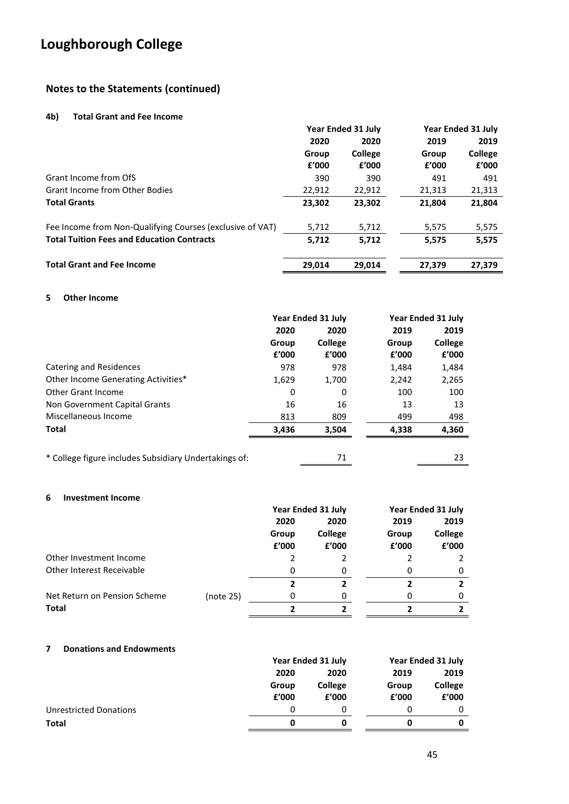### **Notes to the Statements (continued)**

#### **4b) Total Grant and Fee Income**

|                                                           | Year Ended 31 July |                | Year Ended 31 July |         |
|-----------------------------------------------------------|--------------------|----------------|--------------------|---------|
|                                                           | 2020               | 2020           | 2019               | 2019    |
|                                                           | Group              | <b>College</b> | Group              | College |
|                                                           | f'000              | £'000          | £'000              | f'000   |
| Grant Income from OfS                                     | 390                | 390            | 491                | 491     |
| <b>Grant Income from Other Bodies</b>                     | 22,912             | 22,912         | 21,313             | 21,313  |
| <b>Total Grants</b>                                       | 23,302             | 23,302         | 21,804             | 21,804  |
| Fee Income from Non-Qualifying Courses (exclusive of VAT) | 5,712              | 5,712          | 5,575              | 5,575   |
| <b>Total Tuition Fees and Education Contracts</b>         | 5,712              | 5,712          | 5.575              | 5,575   |
| <b>Total Grant and Fee Income</b>                         | 29.014             | 29.014         | 27.379             | 27.379  |

#### **5 Other Income**

|                                                       | <b>Year Ended 31 July</b> |                | Year Ended 31 July |                |
|-------------------------------------------------------|---------------------------|----------------|--------------------|----------------|
|                                                       | 2020                      | 2020           | 2019               | 2019           |
|                                                       | Group                     | <b>College</b> | Group              | <b>College</b> |
|                                                       | £'000                     | £'000          | f'000              | £'000          |
| Catering and Residences                               | 978                       | 978            | 1,484              | 1,484          |
| Other Income Generating Activities*                   | 1,629                     | 1,700          | 2,242              | 2,265          |
| Other Grant Income                                    | 0                         | 0              | 100                | 100            |
| Non Government Capital Grants                         | 16                        | 16             | 13                 | 13             |
| Miscellaneous Income                                  | 813                       | 809            | 499                | 498            |
| Total                                                 | 3,436                     | 3.504          | 4,338              | 4,360          |
| * College figure includes Subsidiary Undertakings of: |                           | 71             |                    | 23             |

#### **6 Investment Income**

|                                  |           | <b>Year Ended 31 July</b> |                         |                | Year Ended 31 July |
|----------------------------------|-----------|---------------------------|-------------------------|----------------|--------------------|
|                                  |           | 2020                      | 2020                    | 2019           | 2019               |
|                                  |           | Group<br>£'000            | <b>College</b><br>f'000 | Group<br>f'000 | College<br>f'000   |
| Other Investment Income          |           |                           |                         |                |                    |
| <b>Other Interest Receivable</b> |           | 0                         | 0                       | 0              | 0                  |
|                                  |           |                           |                         |                |                    |
| Net Return on Pension Scheme     | (note 25) | 0                         |                         |                | 0                  |
| <b>Total</b>                     |           |                           |                         |                |                    |

#### **7 Donations and Endowments**

|                        |       | Year Ended 31 July |       | Year Ended 31 July |
|------------------------|-------|--------------------|-------|--------------------|
|                        | 2020  | 2020               | 2019  | 2019               |
|                        | Group | College            | Group | College            |
|                        | £'000 | £'000              | f'000 | £'000              |
| Unrestricted Donations | O     |                    |       |                    |
| Total                  |       | 0                  |       |                    |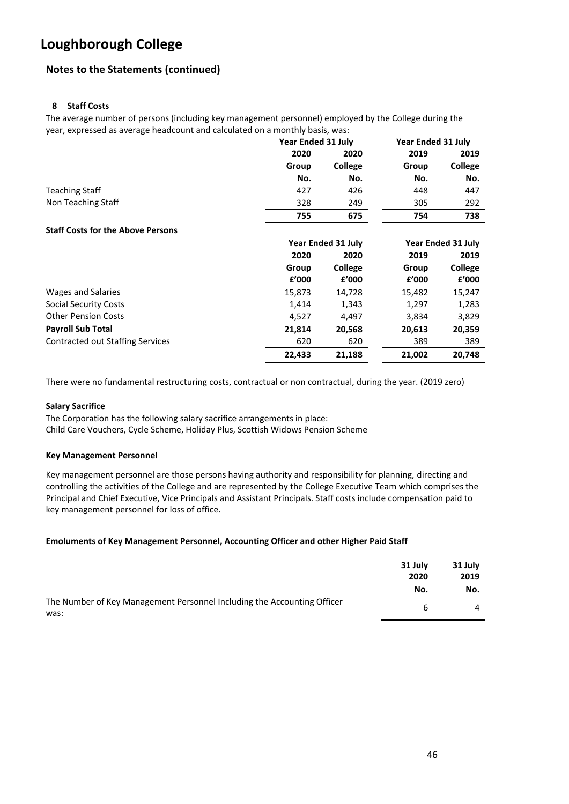### **Notes to the Statements (continued)**

#### **8 Staff Costs**

The average number of persons (including key management personnel) employed by the College during the year, expressed as average headcount and calculated on a monthly basis, was:

|                                          | <b>Year Ended 31 July</b> |                           | <b>Year Ended 31 July</b> |                           |
|------------------------------------------|---------------------------|---------------------------|---------------------------|---------------------------|
|                                          | 2020                      | 2020                      | 2019                      | 2019                      |
|                                          | Group                     | College                   | Group                     | College                   |
|                                          | No.                       | No.                       | No.                       | No.                       |
| <b>Teaching Staff</b>                    | 427                       | 426                       | 448                       | 447                       |
| Non Teaching Staff                       | 328                       | 249                       | 305                       | 292                       |
|                                          | 755                       | 675                       | 754                       | 738                       |
| <b>Staff Costs for the Above Persons</b> |                           |                           |                           |                           |
|                                          |                           | <b>Year Ended 31 July</b> |                           | <b>Year Ended 31 July</b> |
|                                          | 2020                      | 2020                      | 2019                      | 2019                      |
|                                          | Group                     | College                   | Group                     | College                   |
|                                          | £'000                     | £'000                     | £'000                     | f'000                     |
| Wages and Salaries                       | 15,873                    | 14,728                    | 15,482                    | 15,247                    |
| Social Security Costs                    | 1,414                     | 1,343                     | 1,297                     | 1,283                     |
| <b>Other Pension Costs</b>               | 4,527                     | 4,497                     | 3,834                     | 3,829                     |
| <b>Payroll Sub Total</b>                 | 21,814                    | 20,568                    | 20,613                    | 20,359                    |
| <b>Contracted out Staffing Services</b>  | 620                       | 620                       | 389                       | 389                       |
|                                          | 22,433                    | 21,188                    | 21,002                    | 20,748                    |

There were no fundamental restructuring costs, contractual or non contractual, during the year. (2019 zero)

#### **Salary Sacrifice**

The Corporation has the following salary sacrifice arrangements in place: Child Care Vouchers, Cycle Scheme, Holiday Plus, Scottish Widows Pension Scheme

#### **Key Management Personnel**

Key management personnel are those persons having authority and responsibility for planning, directing and controlling the activities of the College and are represented by the College Executive Team which comprises the Principal and Chief Executive, Vice Principals and Assistant Principals. Staff costs include compensation paid to key management personnel for loss of office.

#### **Emoluments of Key Management Personnel, Accounting Officer and other Higher Paid Staff**

|                                                                         | 31 July | 31 July        |
|-------------------------------------------------------------------------|---------|----------------|
|                                                                         | 2020    | 2019           |
|                                                                         | No.     | No.            |
| The Number of Key Management Personnel Including the Accounting Officer |         | $\overline{a}$ |
| was:                                                                    |         |                |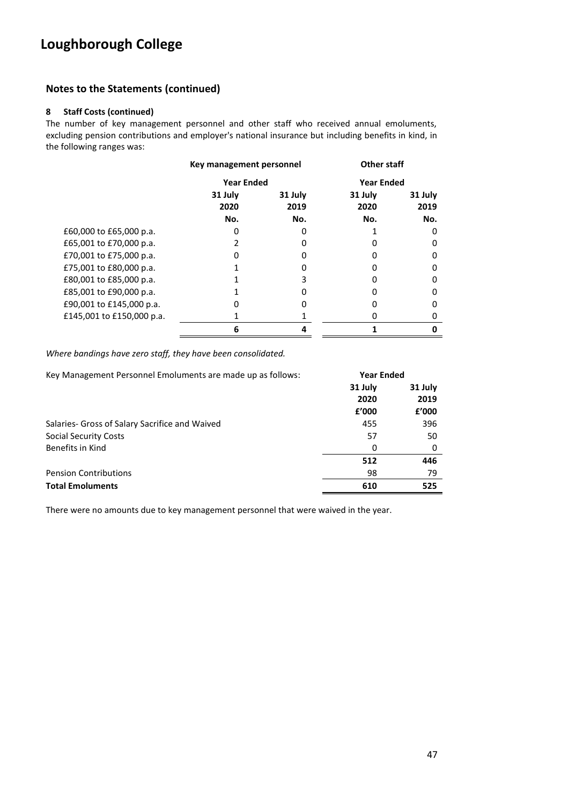### **Notes to the Statements (continued)**

#### **8 Staff Costs (continued)**

The number of key management personnel and other staff who received annual emoluments, excluding pension contributions and employer's national insurance but including benefits in kind, in the following ranges was:

|                           | Key management personnel |                   | <b>Other staff</b> |                   |
|---------------------------|--------------------------|-------------------|--------------------|-------------------|
|                           |                          | <b>Year Ended</b> |                    | <b>Year Ended</b> |
|                           | 31 July<br>2020          | 31 July<br>2019   | 31 July<br>2020    | 31 July<br>2019   |
|                           | No.                      | No.               | No.                | No.               |
| £60,000 to £65,000 p.a.   |                          |                   |                    | 0                 |
| £65,001 to £70,000 p.a.   |                          |                   |                    | 0                 |
| £70,001 to £75,000 p.a.   | 0                        |                   |                    | 0                 |
| £75,001 to £80,000 p.a.   |                          |                   | n                  | 0                 |
| £80,001 to £85,000 p.a.   |                          |                   |                    | 0                 |
| £85,001 to £90,000 p.a.   |                          |                   |                    | 0                 |
| £90,001 to £145,000 p.a.  |                          |                   |                    | 0                 |
| £145,001 to £150,000 p.a. |                          |                   |                    | Ω                 |
|                           | 6                        |                   |                    | 0                 |

*Where bandings have zero staff, they have been consolidated.*

| Key Management Personnel Emoluments are made up as follows: |         | <b>Year Ended</b> |
|-------------------------------------------------------------|---------|-------------------|
|                                                             | 31 July | 31 July           |
|                                                             | 2020    | 2019              |
|                                                             | f'000   | f'000             |
| Salaries- Gross of Salary Sacrifice and Waived              | 455     | 396               |
| <b>Social Security Costs</b>                                | 57      | 50                |
| Benefits in Kind                                            | 0       | 0                 |
|                                                             | 512     | 446               |
| <b>Pension Contributions</b>                                | 98      | 79                |
| <b>Total Emoluments</b>                                     | 610     | 525               |

There were no amounts due to key management personnel that were waived in the year.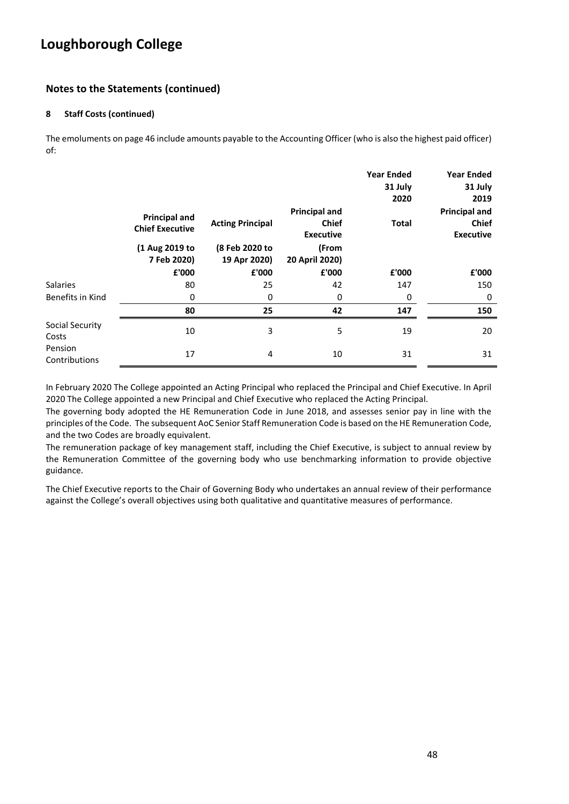### **Notes to the Statements (continued)**

#### **8 Staff Costs (continued)**

The emoluments on page 46 include amounts payable to the Accounting Officer (who is also the highest paid officer) of:

|                          |                                                |                                |                                                          | <b>Year Ended</b><br>31 July<br>2020 | <b>Year Ended</b><br>31 July<br>2019                     |
|--------------------------|------------------------------------------------|--------------------------------|----------------------------------------------------------|--------------------------------------|----------------------------------------------------------|
|                          | <b>Principal and</b><br><b>Chief Executive</b> | <b>Acting Principal</b>        | <b>Principal and</b><br><b>Chief</b><br><b>Executive</b> | <b>Total</b>                         | <b>Principal and</b><br><b>Chief</b><br><b>Executive</b> |
|                          | (1 Aug 2019 to<br>7 Feb 2020)                  | (8 Feb 2020 to<br>19 Apr 2020) | (From<br>20 April 2020)                                  |                                      |                                                          |
|                          | £'000                                          | £'000                          | £'000                                                    | £'000                                | £'000                                                    |
| <b>Salaries</b>          | 80                                             | 25                             | 42                                                       | 147                                  | 150                                                      |
| Benefits in Kind         | 0                                              | 0                              | 0                                                        | 0                                    | 0                                                        |
|                          | 80                                             | 25                             | 42                                                       | 147                                  | 150                                                      |
| Social Security<br>Costs | 10                                             | 3                              | 5                                                        | 19                                   | 20                                                       |
| Pension<br>Contributions | 17                                             | 4                              | 10                                                       | 31                                   | 31                                                       |

In February 2020 The College appointed an Acting Principal who replaced the Principal and Chief Executive. In April 2020 The College appointed a new Principal and Chief Executive who replaced the Acting Principal.

The governing body adopted the HE Remuneration Code in June 2018, and assesses senior pay in line with the principles of the Code. The subsequent AoC Senior Staff Remuneration Code is based on the HE Remuneration Code, and the two Codes are broadly equivalent.

The remuneration package of key management staff, including the Chief Executive, is subject to annual review by the Remuneration Committee of the governing body who use benchmarking information to provide objective guidance.

The Chief Executive reports to the Chair of Governing Body who undertakes an annual review of their performance against the College's overall objectives using both qualitative and quantitative measures of performance.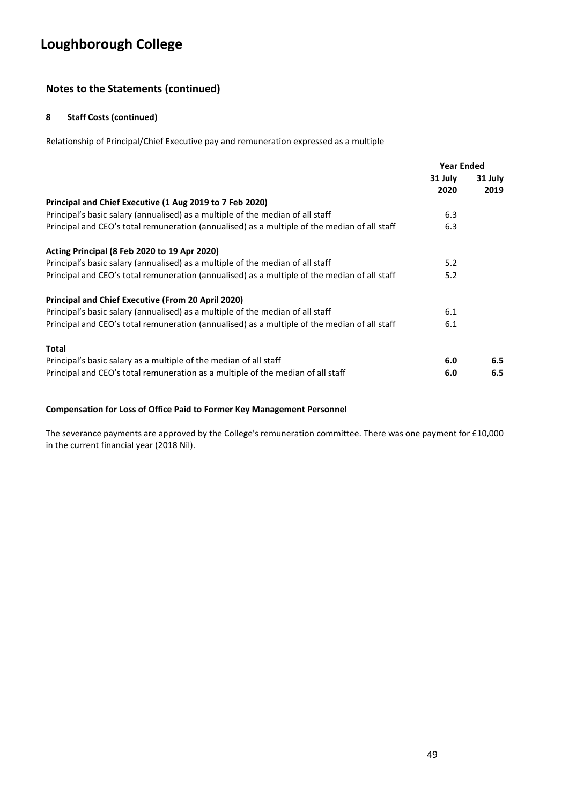### **Notes to the Statements (continued)**

#### **8 Staff Costs (continued)**

Relationship of Principal/Chief Executive pay and remuneration expressed as a multiple

|                                                                                              | <b>Year Ended</b> |                 |
|----------------------------------------------------------------------------------------------|-------------------|-----------------|
|                                                                                              | 31 July<br>2020   | 31 July<br>2019 |
| Principal and Chief Executive (1 Aug 2019 to 7 Feb 2020)                                     |                   |                 |
| Principal's basic salary (annualised) as a multiple of the median of all staff               | 6.3               |                 |
| Principal and CEO's total remuneration (annualised) as a multiple of the median of all staff | 6.3               |                 |
| Acting Principal (8 Feb 2020 to 19 Apr 2020)                                                 |                   |                 |
| Principal's basic salary (annualised) as a multiple of the median of all staff               | 5.2               |                 |
| Principal and CEO's total remuneration (annualised) as a multiple of the median of all staff | 5.2               |                 |
| <b>Principal and Chief Executive (From 20 April 2020)</b>                                    |                   |                 |
| Principal's basic salary (annualised) as a multiple of the median of all staff               | 6.1               |                 |
| Principal and CEO's total remuneration (annualised) as a multiple of the median of all staff | 6.1               |                 |
| Total                                                                                        |                   |                 |
| Principal's basic salary as a multiple of the median of all staff                            | 6.0               | 6.5             |
| Principal and CEO's total remuneration as a multiple of the median of all staff              | 6.0               | 6.5             |

#### **Compensation for Loss of Office Paid to Former Key Management Personnel**

The severance payments are approved by the College's remuneration committee. There was one payment for £10,000 in the current financial year (2018 Nil).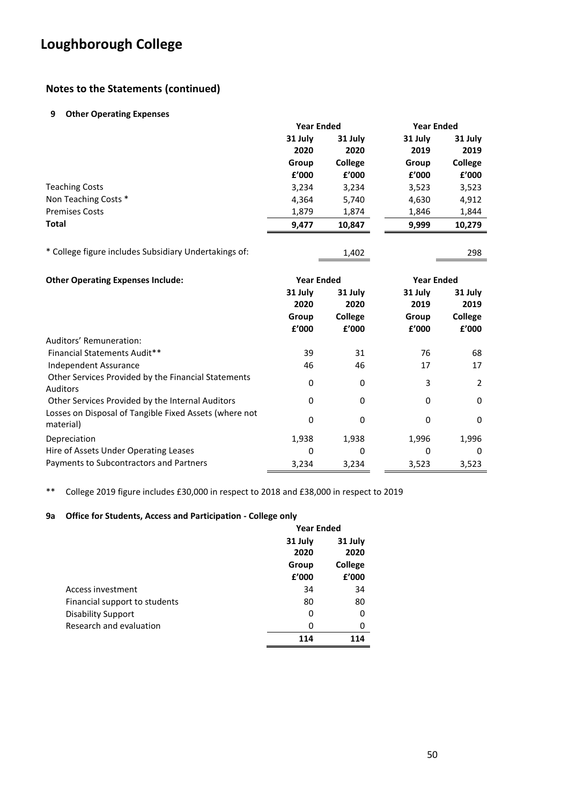### **Notes to the Statements (continued)**

#### **9 Other Operating Expenses**

|                       |         | <b>Year Ended</b> |         | <b>Year Ended</b> |
|-----------------------|---------|-------------------|---------|-------------------|
|                       | 31 July | 31 July           | 31 July | 31 July           |
|                       | 2020    | 2020              | 2019    | 2019              |
|                       | Group   | <b>College</b>    | Group   | College           |
|                       | £'000   | £'000             | £'000   | f'000             |
| <b>Teaching Costs</b> | 3,234   | 3,234             | 3,523   | 3,523             |
| Non Teaching Costs *  | 4,364   | 5,740             | 4,630   | 4,912             |
| <b>Premises Costs</b> | 1,879   | 1,874             | 1,846   | 1,844             |
| Total                 | 9,477   | 10,847            | 9,999   | 10,279            |
|                       |         |                   |         |                   |

| * College figure includes Subsidiary Undertakings of: | 1,402 | 298 |
|-------------------------------------------------------|-------|-----|
|                                                       |       |     |

| <b>Other Operating Expenses Include:</b>                               | <b>Year Ended</b> |                         |                 | <b>Year Ended</b> |  |
|------------------------------------------------------------------------|-------------------|-------------------------|-----------------|-------------------|--|
|                                                                        | 31 July<br>2020   | 31 July<br>2020         | 31 July<br>2019 | 31 July<br>2019   |  |
|                                                                        | Group<br>f'000    | <b>College</b><br>f'000 | Group<br>f'000  | College<br>f'000  |  |
| Auditors' Remuneration:                                                |                   |                         |                 |                   |  |
| Financial Statements Audit**                                           | 39                | 31                      | 76              | 68                |  |
| Independent Assurance                                                  | 46                | 46                      | 17              | 17                |  |
| Other Services Provided by the Financial Statements<br><b>Auditors</b> | 0                 | 0                       | 3               | 2                 |  |
| Other Services Provided by the Internal Auditors                       | 0                 | 0                       | $\Omega$        | 0                 |  |
| Losses on Disposal of Tangible Fixed Assets (where not<br>material)    | 0                 | 0                       | 0               | 0                 |  |
| Depreciation                                                           | 1,938             | 1,938                   | 1,996           | 1,996             |  |
| Hire of Assets Under Operating Leases                                  | 0                 | 0                       | 0               | 0                 |  |
| Payments to Subcontractors and Partners                                | 3,234             | 3,234                   | 3,523           | 3,523             |  |

\*\* College 2019 figure includes £30,000 in respect to 2018 and £38,000 in respect to 2019

### **9a Office for Students, Access and Participation - College only**

|                               | <b>Year Ended</b> |         |  |
|-------------------------------|-------------------|---------|--|
|                               | 31 July           | 31 July |  |
|                               | 2020              | 2020    |  |
|                               | Group             | College |  |
|                               | £'000             | £'000   |  |
| Access investment             | 34                | 34      |  |
| Financial support to students | 80                | 80      |  |
| <b>Disability Support</b>     | 0                 | 0       |  |
| Research and evaluation       | 0                 | 0       |  |
|                               | 114               | 114     |  |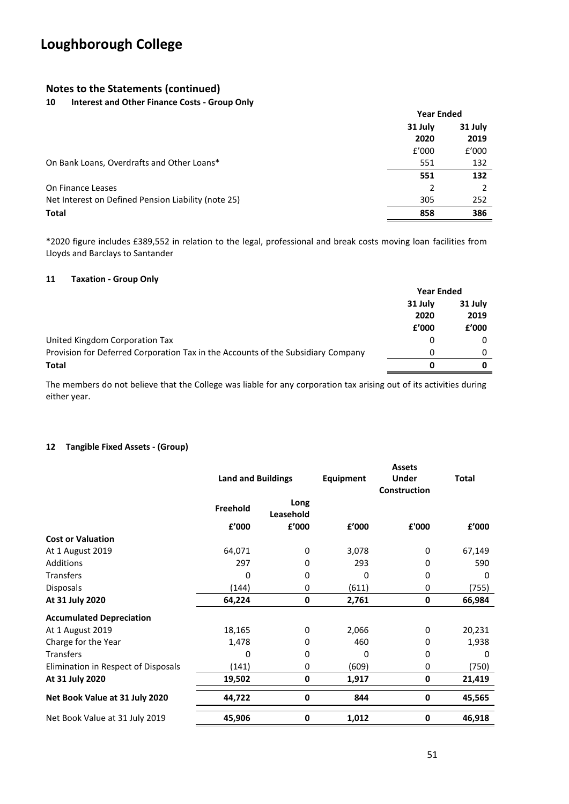### **Notes to the Statements (continued)**

#### **10 Interest and Other Finance Costs - Group Only**

|                                                     | <b>Year Ended</b> |         |
|-----------------------------------------------------|-------------------|---------|
|                                                     | 31 July           | 31 July |
|                                                     | 2020              | 2019    |
|                                                     | f'000             | f'000   |
| On Bank Loans, Overdrafts and Other Loans*          | 551               | 132     |
|                                                     | 551               | 132     |
| On Finance Leases                                   | 2                 |         |
| Net Interest on Defined Pension Liability (note 25) | 305               | 252     |
| <b>Total</b>                                        | 858               | 386     |

\*2020 figure includes £389,552 in relation to the legal, professional and break costs moving loan facilities from Lloyds and Barclays to Santander

#### **11 Taxation - Group Only**

|                                                                                  | <b>Year Ended</b> |         |
|----------------------------------------------------------------------------------|-------------------|---------|
|                                                                                  | 31 July           | 31 July |
|                                                                                  | 2020              | 2019    |
|                                                                                  | £'000             | f'000   |
| United Kingdom Corporation Tax                                                   | 0                 |         |
| Provision for Deferred Corporation Tax in the Accounts of the Subsidiary Company | 0                 |         |
| <b>Total</b>                                                                     | 0                 |         |

The members do not believe that the College was liable for any corporation tax arising out of its activities during either year.

#### **12 Tangible Fixed Assets - (Group)**

|                                     | <b>Land and Buildings</b> |                   | Equipment | <b>Assets</b><br>Under | <b>Total</b> |
|-------------------------------------|---------------------------|-------------------|-----------|------------------------|--------------|
|                                     |                           |                   |           | Construction           |              |
|                                     | Freehold                  | Long<br>Leasehold |           |                        |              |
|                                     | £'000                     | £'000             | £'000     | £'000                  | £'000        |
| <b>Cost or Valuation</b>            |                           |                   |           |                        |              |
| At 1 August 2019                    | 64,071                    | 0                 | 3,078     | 0                      | 67,149       |
| <b>Additions</b>                    | 297                       | 0                 | 293       | 0                      | 590          |
| Transfers                           | 0                         | 0                 | 0         | 0                      | 0            |
| <b>Disposals</b>                    | (144)                     | 0                 | (611)     | 0                      | (755)        |
| At 31 July 2020                     | 64,224                    | 0                 | 2,761     | 0                      | 66,984       |
| <b>Accumulated Depreciation</b>     |                           |                   |           |                        |              |
| At 1 August 2019                    | 18,165                    | 0                 | 2,066     | 0                      | 20,231       |
| Charge for the Year                 | 1,478                     | 0                 | 460       | 0                      | 1,938        |
| <b>Transfers</b>                    | 0                         | 0                 | 0         | 0                      | 0            |
| Elimination in Respect of Disposals | (141)                     | 0                 | (609)     | 0                      | (750)        |
| At 31 July 2020                     | 19,502                    | 0                 | 1,917     | 0                      | 21,419       |
| Net Book Value at 31 July 2020      | 44,722                    | 0                 | 844       | 0                      | 45,565       |
| Net Book Value at 31 July 2019      | 45,906                    | 0                 | 1,012     | 0                      | 46,918       |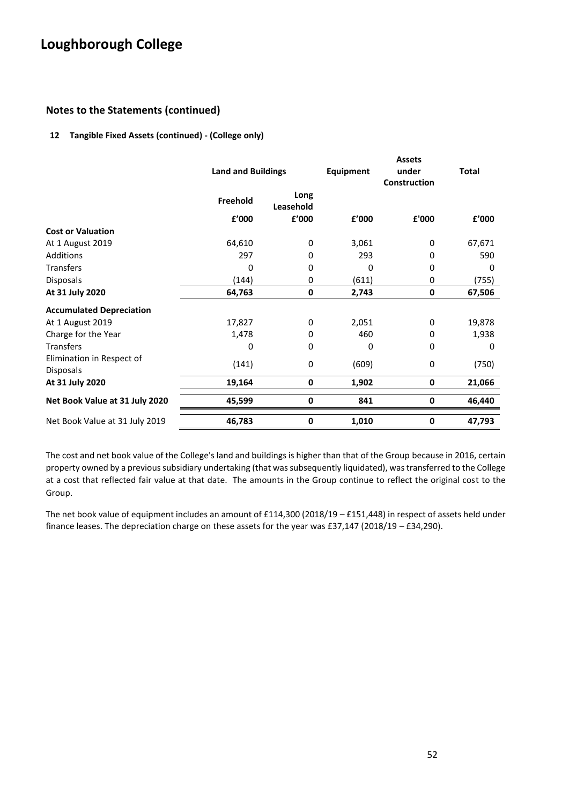### **Notes to the Statements (continued)**

#### **12 Tangible Fixed Assets (continued) - (College only)**

|                                 | <b>Land and Buildings</b> |                   | Equipment | <b>Assets</b><br>under<br>Construction | <b>Total</b> |
|---------------------------------|---------------------------|-------------------|-----------|----------------------------------------|--------------|
|                                 | Freehold                  | Long<br>Leasehold |           |                                        |              |
|                                 | £'000                     | £'000             | £'000     | £'000                                  | £'000        |
| <b>Cost or Valuation</b>        |                           |                   |           |                                        |              |
| At 1 August 2019                | 64,610                    | 0                 | 3,061     | 0                                      | 67,671       |
| Additions                       | 297                       | 0                 | 293       | 0                                      | 590          |
| <b>Transfers</b>                | 0                         | 0                 | 0         | 0                                      | 0            |
| <b>Disposals</b>                | (144)                     | 0                 | (611)     | 0                                      | (755)        |
| At 31 July 2020                 | 64,763                    | 0                 | 2,743     | 0                                      | 67,506       |
| <b>Accumulated Depreciation</b> |                           |                   |           |                                        |              |
| At 1 August 2019                | 17,827                    | 0                 | 2,051     | 0                                      | 19,878       |
| Charge for the Year             | 1,478                     | 0                 | 460       | 0                                      | 1,938        |
| <b>Transfers</b>                | 0                         | 0                 | 0         | 0                                      | 0            |
| Elimination in Respect of       |                           | 0                 |           | 0                                      |              |
| <b>Disposals</b>                | (141)                     |                   | (609)     |                                        | (750)        |
| At 31 July 2020                 | 19,164                    | 0                 | 1,902     | $\bf{0}$                               | 21,066       |
| Net Book Value at 31 July 2020  | 45,599                    | 0                 | 841       | 0                                      | 46,440       |
| Net Book Value at 31 July 2019  | 46,783                    | 0                 | 1,010     | $\bf{0}$                               | 47,793       |

The cost and net book value of the College's land and buildings is higher than that of the Group because in 2016, certain property owned by a previous subsidiary undertaking (that was subsequently liquidated), was transferred to the College at a cost that reflected fair value at that date. The amounts in the Group continue to reflect the original cost to the Group.

The net book value of equipment includes an amount of £114,300 (2018/19 – £151,448) in respect of assets held under finance leases. The depreciation charge on these assets for the year was £37,147 (2018/19 – £34,290).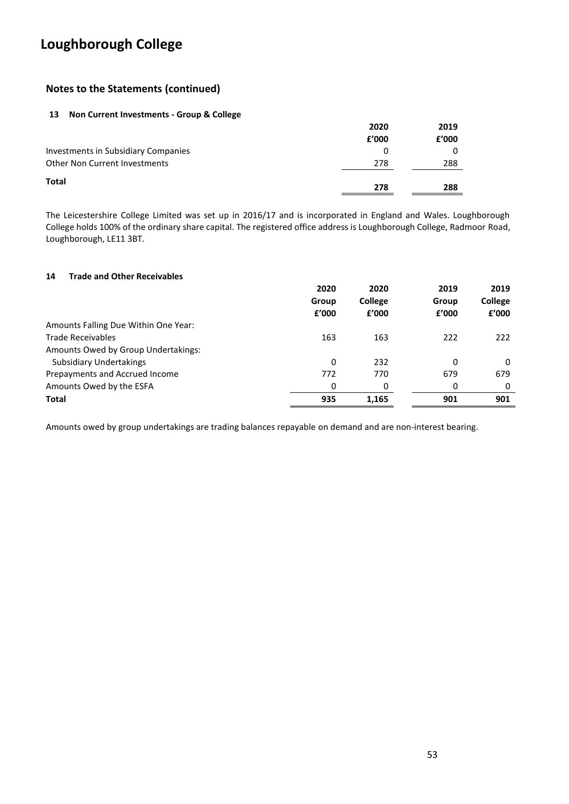### **Notes to the Statements (continued)**

#### **13 Non Current Investments - Group & College**

|                                     | 2020  | 2019  |
|-------------------------------------|-------|-------|
|                                     | f'000 | £'000 |
| Investments in Subsidiary Companies | 0     |       |
| Other Non Current Investments       | 278   | 288   |
| <b>Total</b>                        | 278   | 288   |

The Leicestershire College Limited was set up in 2016/17 and is incorporated in England and Wales. Loughborough College holds 100% of the ordinary share capital. The registered office address is Loughborough College, Radmoor Road, Loughborough, LE11 3BT.

#### **14 Trade and Other Receivables**

|                                      | 2020  | 2020    | 2019  | 2019           |
|--------------------------------------|-------|---------|-------|----------------|
|                                      | Group | College | Group | <b>College</b> |
|                                      | £'000 | f'000   | £'000 | £'000          |
| Amounts Falling Due Within One Year: |       |         |       |                |
| <b>Trade Receivables</b>             | 163   | 163     | 222   | 222            |
| Amounts Owed by Group Undertakings:  |       |         |       |                |
| <b>Subsidiary Undertakings</b>       | 0     | 232     | 0     | 0              |
| Prepayments and Accrued Income       | 772   | 770     | 679   | 679            |
| Amounts Owed by the ESFA             | 0     | 0       | 0     | 0              |
| <b>Total</b>                         | 935   | 1,165   | 901   | 901            |

Amounts owed by group undertakings are trading balances repayable on demand and are non-interest bearing.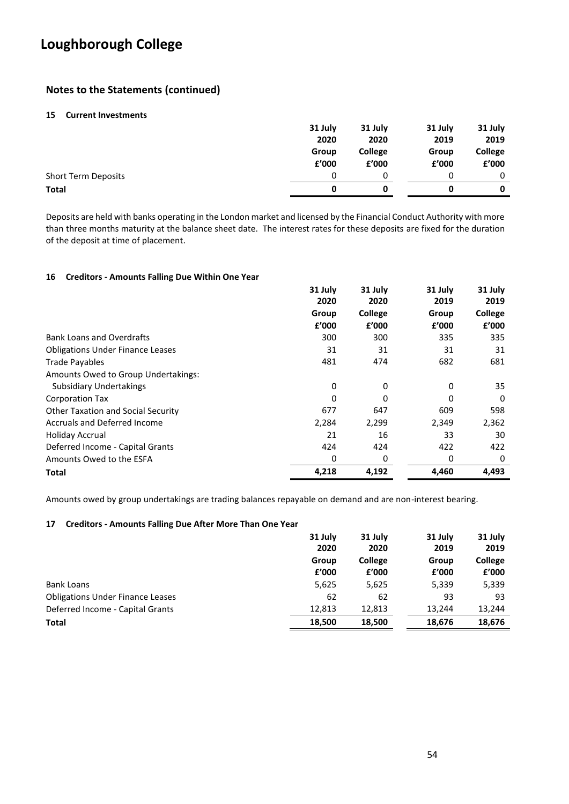### **Notes to the Statements (continued)**

#### **15 Current Investments**

|                            | 31 July | 31 July        | 31 July | 31 July        |
|----------------------------|---------|----------------|---------|----------------|
|                            | 2020    | 2020           | 2019    | 2019           |
|                            | Group   | <b>College</b> | Group   | <b>College</b> |
|                            | £'000   | £'000          | £'000   | £'000          |
| <b>Short Term Deposits</b> | 0       |                | 0       | 0              |
| <b>Total</b>               | 0       | 0              |         | 0              |

Deposits are held with banks operating in the London market and licensed by the Financial Conduct Authority with more than three months maturity at the balance sheet date. The interest rates for these deposits are fixed for the duration of the deposit at time of placement.

#### **16 Creditors - Amounts Falling Due Within One Year**

|                                         | 31 July<br>2020 | 31 July<br>2020 | 31 July<br>2019 | 31 July<br>2019 |
|-----------------------------------------|-----------------|-----------------|-----------------|-----------------|
|                                         | Group           | College         | Group           | College         |
|                                         | £'000           | £'000           | £'000           | £'000           |
| <b>Bank Loans and Overdrafts</b>        | 300             | 300             | 335             | 335             |
| <b>Obligations Under Finance Leases</b> | 31              | 31              | 31              | 31              |
| <b>Trade Payables</b>                   | 481             | 474             | 682             | 681             |
| Amounts Owed to Group Undertakings:     |                 |                 |                 |                 |
| <b>Subsidiary Undertakings</b>          | 0               | 0               | $\Omega$        | 35              |
| Corporation Tax                         | 0               | 0               | O               | 0               |
| Other Taxation and Social Security      | 677             | 647             | 609             | 598             |
| <b>Accruals and Deferred Income</b>     | 2,284           | 2,299           | 2,349           | 2,362           |
| <b>Holiday Accrual</b>                  | 21              | 16              | 33              | 30              |
| Deferred Income - Capital Grants        | 424             | 424             | 422             | 422             |
| Amounts Owed to the ESFA                | 0               | 0               | 0               | 0               |
| Total                                   | 4,218           | 4,192           | 4,460           | 4,493           |

Amounts owed by group undertakings are trading balances repayable on demand and are non-interest bearing.

#### **17 Creditors - Amounts Falling Due After More Than One Year**

|                                         | 31 July<br>2020 | 31 July<br>2020         | 31 July<br>2019 | 31 July<br>2019         |
|-----------------------------------------|-----------------|-------------------------|-----------------|-------------------------|
|                                         | Group<br>£'000  | <b>College</b><br>f'000 | Group<br>£'000  | <b>College</b><br>f'000 |
| <b>Bank Loans</b>                       | 5,625           | 5,625                   | 5,339           | 5,339                   |
| <b>Obligations Under Finance Leases</b> | 62              | 62                      | 93              | 93                      |
| Deferred Income - Capital Grants        | 12,813          | 12,813                  | 13.244          | 13,244                  |
| <b>Total</b>                            | 18,500          | 18,500                  | 18,676          | 18,676                  |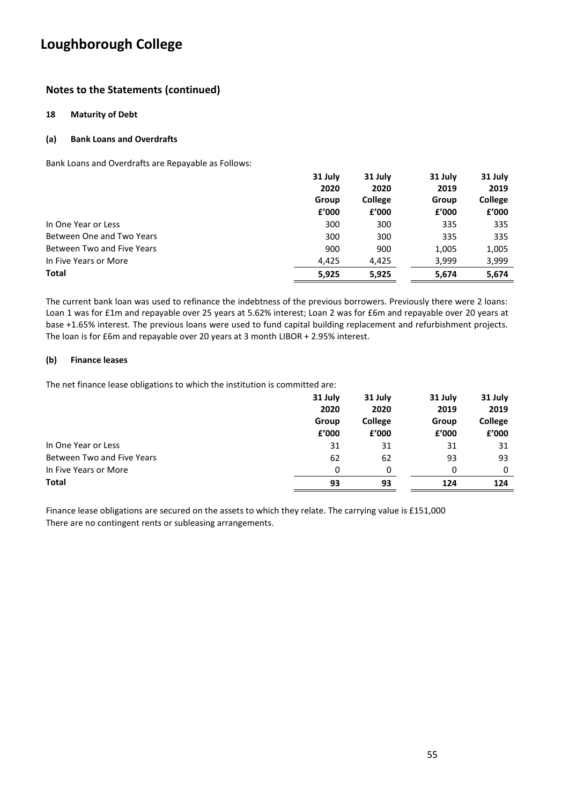### **Notes to the Statements (continued)**

#### **18 Maturity of Debt**

#### **(a) Bank Loans and Overdrafts**

Bank Loans and Overdrafts are Repayable as Follows:

|                            | 31 July | 31 July        | 31 July | 31 July        |
|----------------------------|---------|----------------|---------|----------------|
|                            | 2020    | 2020           | 2019    | 2019           |
|                            | Group   | <b>College</b> | Group   | <b>College</b> |
|                            | f'000   | f'000          | £'000   | £'000          |
| In One Year or Less        | 300     | 300            | 335     | 335            |
| Between One and Two Years  | 300     | 300            | 335     | 335            |
| Between Two and Five Years | 900     | 900            | 1,005   | 1,005          |
| In Five Years or More      | 4,425   | 4,425          | 3,999   | 3,999          |
| <b>Total</b>               | 5,925   | 5,925          | 5,674   | 5,674          |

The current bank loan was used to refinance the indebtness of the previous borrowers. Previously there were 2 loans: Loan 1 was for £1m and repayable over 25 years at 5.62% interest; Loan 2 was for £6m and repayable over 20 years at base +1.65% interest. The previous loans were used to fund capital building replacement and refurbishment projects. The loan is for £6m and repayable over 20 years at 3 month LIBOR + 2.95% interest.

#### **(b) Finance leases**

The net finance lease obligations to which the institution is committed are:

|                            | 31 July | 31 July        | 31 July | 31 July |
|----------------------------|---------|----------------|---------|---------|
|                            | 2020    | 2020           | 2019    | 2019    |
|                            | Group   | <b>College</b> | Group   | College |
|                            | f'000   | f'000          | £'000   | f'000   |
| In One Year or Less        | 31      | 31             | 31      | 31      |
| Between Two and Five Years | 62      | 62             | 93      | 93      |
| In Five Years or More      | 0       | 0              | 0       | 0       |
| <b>Total</b>               | 93      | 93             | 124     | 124     |

Finance lease obligations are secured on the assets to which they relate. The carrying value is £151,000 There are no contingent rents or subleasing arrangements.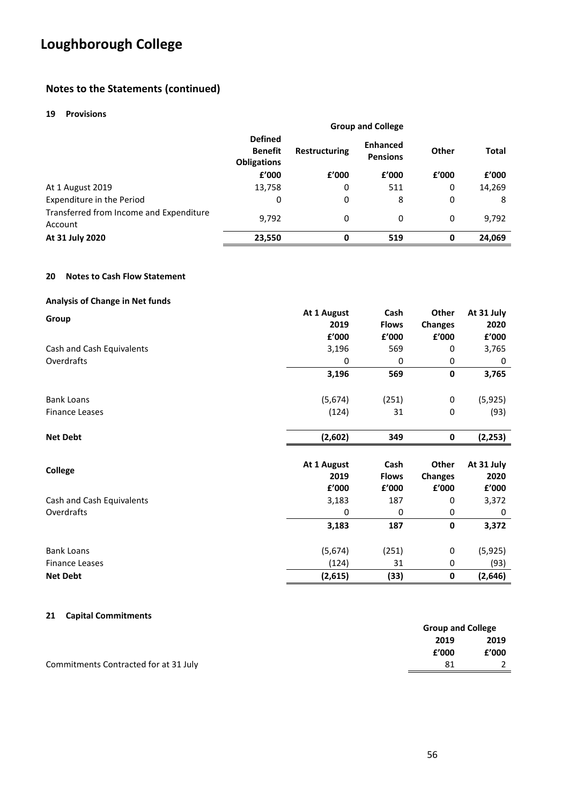### **Notes to the Statements (continued)**

#### **19 Provisions**

|                                                    | <b>Group and College</b>                                                       |                                    |       |              |        |
|----------------------------------------------------|--------------------------------------------------------------------------------|------------------------------------|-------|--------------|--------|
|                                                    | <b>Defined</b><br><b>Benefit</b><br><b>Restructuring</b><br><b>Obligations</b> | <b>Enhanced</b><br><b>Pensions</b> | Other | <b>Total</b> |        |
|                                                    | f'000                                                                          | £'000                              | f'000 | f'000        | f'000  |
| At 1 August 2019                                   | 13,758                                                                         | 0                                  | 511   | 0            | 14,269 |
| Expenditure in the Period                          | 0                                                                              | 0                                  | 8     | 0            | 8      |
| Transferred from Income and Expenditure<br>Account | 9,792                                                                          | 0                                  | 0     | 0            | 9,792  |
| At 31 July 2020                                    | 23,550                                                                         | 0                                  | 519   | 0            | 24,069 |

#### **20 Notes to Cash Flow Statement**

#### **Analysis of Change in Net funds**

|                           | At 1 August | Cash         | Other          | At 31 July |
|---------------------------|-------------|--------------|----------------|------------|
| Group                     | 2019        | <b>Flows</b> | <b>Changes</b> | 2020       |
|                           | £'000       | £'000        | £'000          | £'000      |
| Cash and Cash Equivalents | 3,196       | 569          | 0              | 3,765      |
| Overdrafts                | 0           | 0            | 0              | 0          |
|                           | 3,196       | 569          | 0              | 3,765      |
| <b>Bank Loans</b>         | (5,674)     | (251)        | 0              | (5, 925)   |
| <b>Finance Leases</b>     | (124)       | 31           | 0              | (93)       |
| <b>Net Debt</b>           | (2,602)     | 349          | 0              | (2, 253)   |
| <b>College</b>            | At 1 August | Cash         | <b>Other</b>   | At 31 July |
|                           | 2019        | <b>Flows</b> | <b>Changes</b> | 2020       |
|                           | £'000       | £'000        | £'000          | £'000      |
| Cash and Cash Equivalents | 3,183       | 187          | 0              | 3,372      |
| Overdrafts                | 0           | 0            | 0              | 0          |
|                           | 3,183       | 187          | 0              | 3,372      |
| <b>Bank Loans</b>         | (5,674)     | (251)        | 0              | (5,925)    |
| <b>Finance Leases</b>     | (124)       | 31           | 0              | (93)       |
| <b>Net Debt</b>           | (2,615)     | (33)         | 0              | (2,646)    |

#### **21 Capital Commitments**

|                                       | <b>Group and College</b> |       |
|---------------------------------------|--------------------------|-------|
|                                       | 2019                     | 2019  |
|                                       | £'000                    | £'000 |
| Commitments Contracted for at 31 July |                          |       |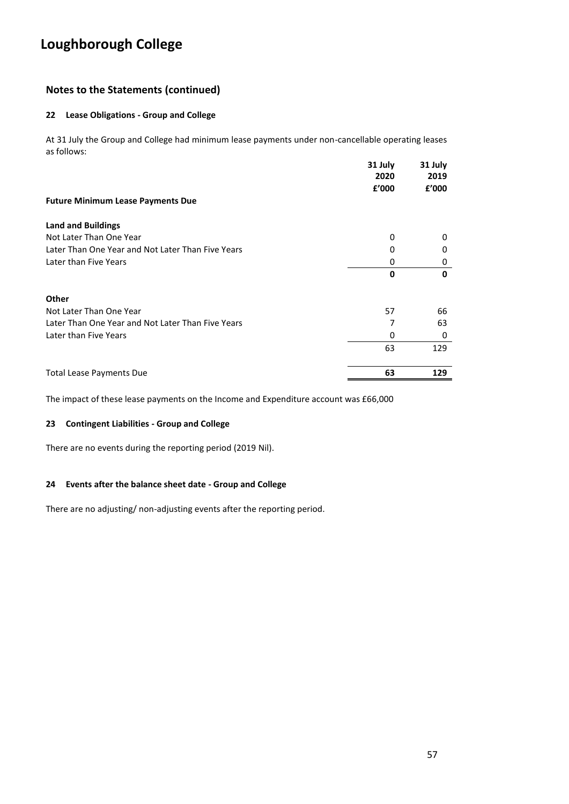### **Notes to the Statements (continued)**

#### **22 Lease Obligations - Group and College**

At 31 July the Group and College had minimum lease payments under non-cancellable operating leases as follows:

|                                                   | 31 July<br>2020 | 31 July<br>2019 |
|---------------------------------------------------|-----------------|-----------------|
|                                                   | £'000           | £'000           |
| <b>Future Minimum Lease Payments Due</b>          |                 |                 |
| <b>Land and Buildings</b>                         |                 |                 |
| Not Later Than One Year                           | 0               | 0               |
| Later Than One Year and Not Later Than Five Years | 0               | 0               |
| Later than Five Years                             | 0               | 0               |
|                                                   | 0               | 0               |
| Other                                             |                 |                 |
| Not Later Than One Year                           | 57              | 66              |
| Later Than One Year and Not Later Than Five Years | 7               | 63              |
| Later than Five Years                             | 0               | 0               |
|                                                   | 63              | 129             |
| <b>Total Lease Payments Due</b>                   | 63              | 129             |

The impact of these lease payments on the Income and Expenditure account was £66,000

#### **23 Contingent Liabilities - Group and College**

There are no events during the reporting period (2019 Nil).

#### **24 Events after the balance sheet date - Group and College**

There are no adjusting/ non-adjusting events after the reporting period.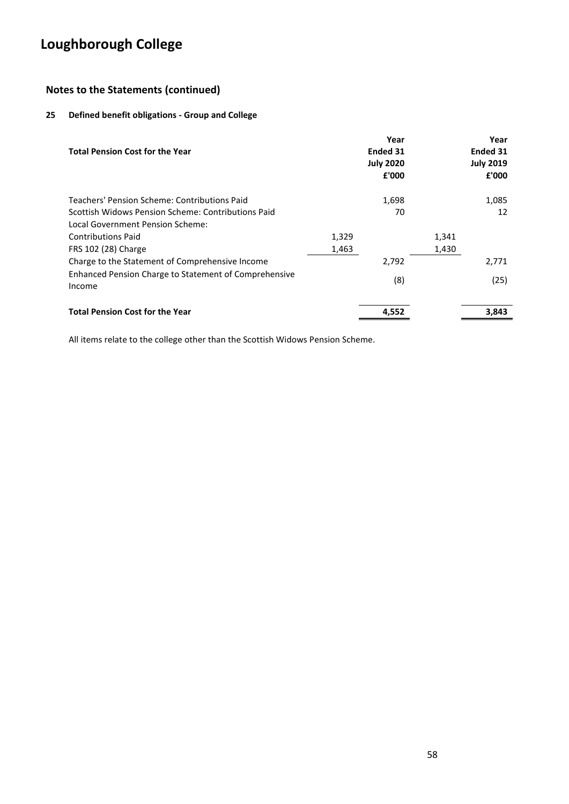### **Notes to the Statements (continued)**

### **25 Defined benefit obligations - Group and College**

| <b>Total Pension Cost for the Year</b>                          |       | Year<br><b>Ended 31</b><br><b>July 2020</b><br>£'000 |       | Year<br>Ended 31<br><b>July 2019</b><br>£'000 |
|-----------------------------------------------------------------|-------|------------------------------------------------------|-------|-----------------------------------------------|
| Teachers' Pension Scheme: Contributions Paid                    |       | 1,698                                                |       | 1,085                                         |
| Scottish Widows Pension Scheme: Contributions Paid              |       | 70                                                   |       | 12                                            |
| Local Government Pension Scheme:                                |       |                                                      |       |                                               |
| <b>Contributions Paid</b>                                       | 1,329 |                                                      | 1,341 |                                               |
| FRS 102 (28) Charge                                             | 1,463 |                                                      | 1,430 |                                               |
| Charge to the Statement of Comprehensive Income                 |       | 2,792                                                |       | 2,771                                         |
| Enhanced Pension Charge to Statement of Comprehensive<br>Income |       | (8)                                                  |       | (25)                                          |
| <b>Total Pension Cost for the Year</b>                          |       | 4,552                                                |       | 3,843                                         |

All items relate to the college other than the Scottish Widows Pension Scheme.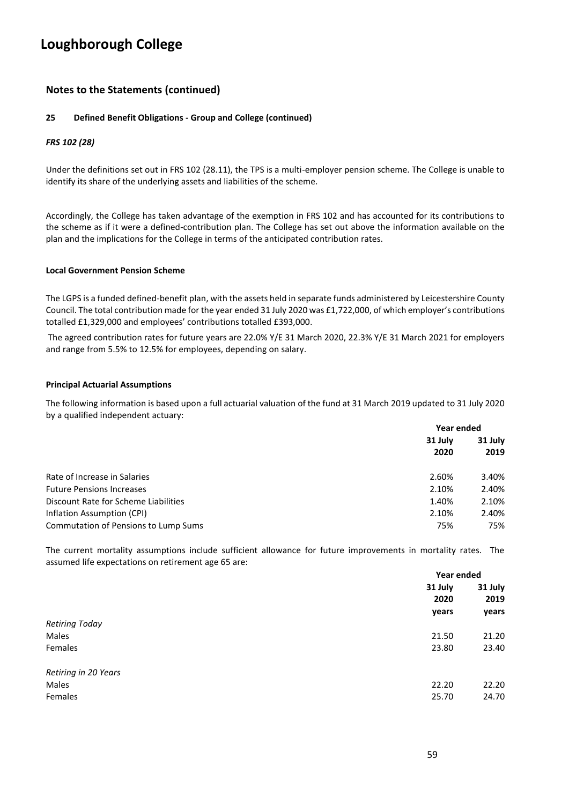### **Notes to the Statements (continued)**

#### **25 Defined Benefit Obligations - Group and College (continued)**

#### *FRS 102 (28)*

Under the definitions set out in FRS 102 (28.11), the TPS is a multi-employer pension scheme. The College is unable to identify its share of the underlying assets and liabilities of the scheme.

Accordingly, the College has taken advantage of the exemption in FRS 102 and has accounted for its contributions to the scheme as if it were a defined-contribution plan. The College has set out above the information available on the plan and the implications for the College in terms of the anticipated contribution rates.

#### **Local Government Pension Scheme**

The LGPS is a funded defined-benefit plan, with the assets held in separate funds administered by Leicestershire County Council. The total contribution made for the year ended 31 July 2020 was £1,722,000, of which employer's contributions totalled £1,329,000 and employees' contributions totalled £393,000.

The agreed contribution rates for future years are 22.0% Y/E 31 March 2020, 22.3% Y/E 31 March 2021 for employers and range from 5.5% to 12.5% for employees, depending on salary.

#### **Principal Actuarial Assumptions**

The following information is based upon a full actuarial valuation of the fund at 31 March 2019 updated to 31 July 2020 by a qualified independent actuary:

|                                      |                 | Year ended      |  |
|--------------------------------------|-----------------|-----------------|--|
|                                      | 31 July<br>2020 | 31 July<br>2019 |  |
| Rate of Increase in Salaries         | 2.60%           | 3.40%           |  |
| <b>Future Pensions Increases</b>     | 2.10%           | 2.40%           |  |
| Discount Rate for Scheme Liabilities | 1.40%           | 2.10%           |  |
| Inflation Assumption (CPI)           | 2.10%           | 2.40%           |  |
| Commutation of Pensions to Lump Sums | 75%             | 75%             |  |

The current mortality assumptions include sufficient allowance for future improvements in mortality rates. The assumed life expectations on retirement age 65 are:

|                       | Year ended      |                 |
|-----------------------|-----------------|-----------------|
|                       | 31 July<br>2020 | 31 July<br>2019 |
|                       | years           | years           |
| <b>Retiring Today</b> |                 |                 |
| Males                 | 21.50           | 21.20           |
| Females               | 23.80           | 23.40           |
| Retiring in 20 Years  |                 |                 |
| Males                 | 22.20           | 22.20           |
| Females               | 25.70           | 24.70           |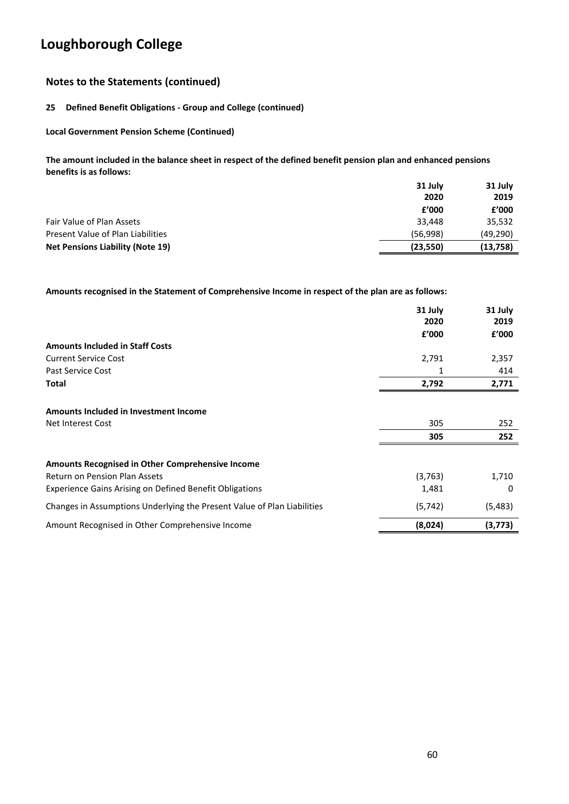### **Notes to the Statements (continued)**

#### **25 Defined Benefit Obligations - Group and College (continued)**

**Local Government Pension Scheme (Continued)**

**The amount included in the balance sheet in respect of the defined benefit pension plan and enhanced pensions benefits is as follows:**

|                                         | 31 July   | 31 July   |
|-----------------------------------------|-----------|-----------|
|                                         | 2020      | 2019      |
|                                         | f'000     | £'000     |
| Fair Value of Plan Assets               | 33.448    | 35,532    |
| Present Value of Plan Liabilities       | (56.998)  | (49, 290) |
| <b>Net Pensions Liability (Note 19)</b> | (23, 550) | (13,758)  |

**Amounts recognised in the Statement of Comprehensive Income in respect of the plan are as follows:**

|                                                                         | 31 July<br>2020 | 31 July<br>2019 |
|-------------------------------------------------------------------------|-----------------|-----------------|
|                                                                         | f'000           | £'000           |
| <b>Amounts Included in Staff Costs</b>                                  |                 |                 |
| <b>Current Service Cost</b>                                             | 2,791           | 2,357           |
| Past Service Cost                                                       | 1               | 414             |
| <b>Total</b>                                                            | 2,792           | 2,771           |
| Amounts Included in Investment Income                                   |                 |                 |
| Net Interest Cost                                                       | 305             | 252             |
|                                                                         | 305             | 252             |
| <b>Amounts Recognised in Other Comprehensive Income</b>                 |                 |                 |
| <b>Return on Pension Plan Assets</b>                                    | (3,763)         | 1,710           |
| <b>Experience Gains Arising on Defined Benefit Obligations</b>          | 1,481           | 0               |
| Changes in Assumptions Underlying the Present Value of Plan Liabilities | (5, 742)        | (5,483)         |
| Amount Recognised in Other Comprehensive Income                         | (8,024)         | (3,773)         |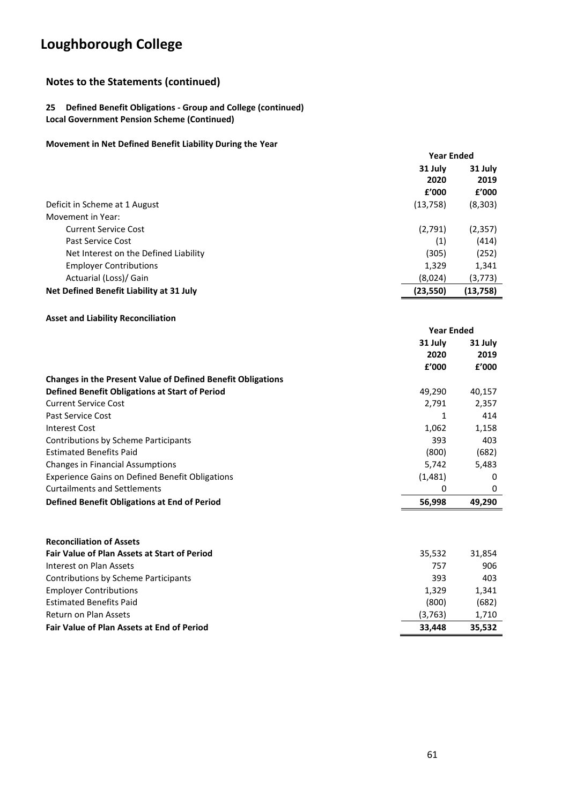### **Notes to the Statements (continued)**

#### **25 Defined Benefit Obligations - Group and College (continued) Local Government Pension Scheme (Continued)**

#### **Movement in Net Defined Benefit Liability During the Year**

|                                          | <b>Year Ended</b> |           |
|------------------------------------------|-------------------|-----------|
|                                          | 31 July           | 31 July   |
|                                          | 2020              | 2019      |
|                                          | £'000             | f'000     |
| Deficit in Scheme at 1 August            | (13, 758)         | (8, 303)  |
| Movement in Year:                        |                   |           |
| <b>Current Service Cost</b>              | (2,791)           | (2, 357)  |
| Past Service Cost                        | (1)               | (414)     |
| Net Interest on the Defined Liability    | (305)             | (252)     |
| <b>Employer Contributions</b>            | 1,329             | 1,341     |
| Actuarial (Loss)/ Gain                   | (8,024)           | (3,773)   |
| Net Defined Benefit Liability at 31 July | (23, 550)         | (13, 758) |
|                                          |                   |           |

#### **Asset and Liability Reconciliation**

|                                                                    | <b>Year Ended</b> |         |
|--------------------------------------------------------------------|-------------------|---------|
|                                                                    | 31 July           | 31 July |
|                                                                    | 2020              | 2019    |
|                                                                    | f'000             | f'000   |
| <b>Changes in the Present Value of Defined Benefit Obligations</b> |                   |         |
| <b>Defined Benefit Obligations at Start of Period</b>              | 49.290            | 40,157  |
| <b>Current Service Cost</b>                                        | 2.791             | 2,357   |
| Past Service Cost                                                  |                   | 414     |
| Interest Cost                                                      | 1,062             | 1,158   |
| Contributions by Scheme Participants                               | 393               | 403     |
| <b>Estimated Benefits Paid</b>                                     | (800)             | (682)   |
| <b>Changes in Financial Assumptions</b>                            | 5,742             | 5,483   |
| <b>Experience Gains on Defined Benefit Obligations</b>             | (1,481)           | 0       |
| <b>Curtailments and Settlements</b>                                | 0                 | 0       |
| Defined Benefit Obligations at End of Period                       | 56,998            | 49,290  |

| <b>Reconciliation of Assets</b>                     |         |        |
|-----------------------------------------------------|---------|--------|
| <b>Fair Value of Plan Assets at Start of Period</b> | 35.532  | 31.854 |
| Interest on Plan Assets                             | 757     | 906    |
| <b>Contributions by Scheme Participants</b>         | 393     | 403    |
| <b>Employer Contributions</b>                       | 1.329   | 1,341  |
| <b>Estimated Benefits Paid</b>                      | (800)   | (682)  |
| Return on Plan Assets                               | (3,763) | 1,710  |
| <b>Fair Value of Plan Assets at End of Period</b>   | 33.448  | 35,532 |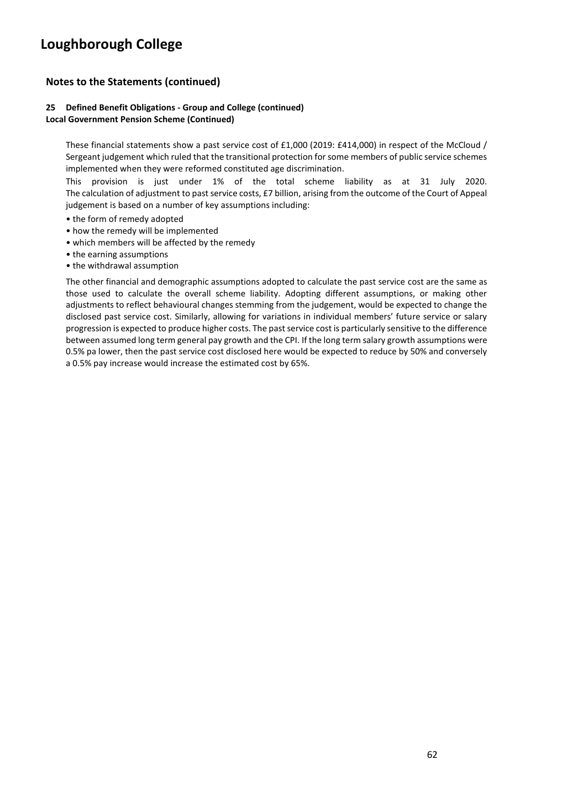### **Notes to the Statements (continued)**

#### **25 Defined Benefit Obligations - Group and College (continued) Local Government Pension Scheme (Continued)**

These financial statements show a past service cost of £1,000 (2019: £414,000) in respect of the McCloud / Sergeant judgement which ruled that the transitional protection for some members of public service schemes implemented when they were reformed constituted age discrimination.

This provision is just under 1% of the total scheme liability as at 31 July 2020. The calculation of adjustment to past service costs, £7 billion, arising from the outcome of the Court of Appeal judgement is based on a number of key assumptions including:

- the form of remedy adopted
- how the remedy will be implemented
- which members will be affected by the remedy
- the earning assumptions
- the withdrawal assumption

The other financial and demographic assumptions adopted to calculate the past service cost are the same as those used to calculate the overall scheme liability. Adopting different assumptions, or making other adjustments to reflect behavioural changes stemming from the judgement, would be expected to change the disclosed past service cost. Similarly, allowing for variations in individual members' future service or salary progression is expected to produce higher costs. The past service cost is particularly sensitive to the difference between assumed long term general pay growth and the CPI. If the long term salary growth assumptions were 0.5% pa lower, then the past service cost disclosed here would be expected to reduce by 50% and conversely a 0.5% pay increase would increase the estimated cost by 65%.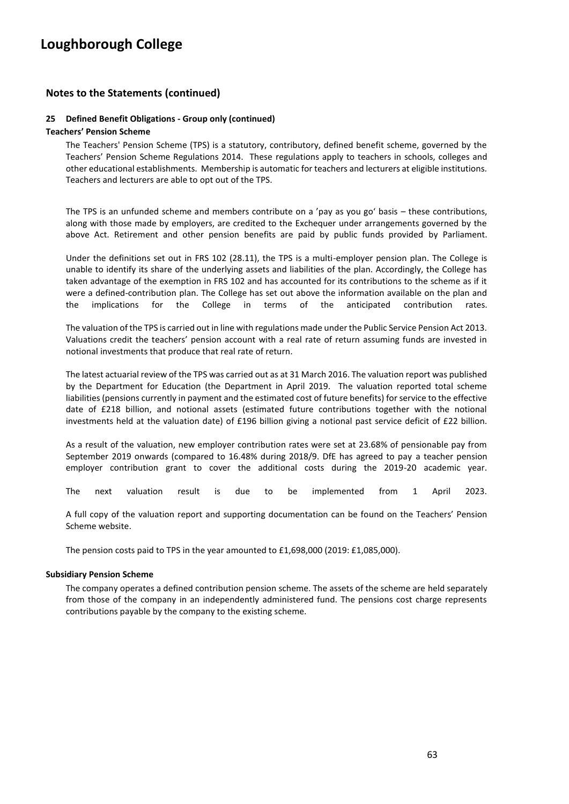#### **Notes to the Statements (continued)**

#### **25 Defined Benefit Obligations - Group only (continued)**

#### **Teachers' Pension Scheme**

The Teachers' Pension Scheme (TPS) is a statutory, contributory, defined benefit scheme, governed by the Teachers' Pension Scheme Regulations 2014. These regulations apply to teachers in schools, colleges and other educational establishments. Membership is automatic for teachers and lecturers at eligible institutions. Teachers and lecturers are able to opt out of the TPS.

The TPS is an unfunded scheme and members contribute on a 'pay as you go' basis – these contributions, along with those made by employers, are credited to the Exchequer under arrangements governed by the above Act. Retirement and other pension benefits are paid by public funds provided by Parliament.

Under the definitions set out in FRS 102 (28.11), the TPS is a multi-employer pension plan. The College is unable to identify its share of the underlying assets and liabilities of the plan. Accordingly, the College has taken advantage of the exemption in FRS 102 and has accounted for its contributions to the scheme as if it were a defined-contribution plan. The College has set out above the information available on the plan and the implications for the College in terms of the anticipated contribution rates.

The valuation of the TPS is carried out in line with regulations made under the Public Service Pension Act 2013. Valuations credit the teachers' pension account with a real rate of return assuming funds are invested in notional investments that produce that real rate of return.

The latest actuarial review of the TPS was carried out as at 31 March 2016. The valuation report was published by the Department for Education (the Department in April 2019. The valuation reported total scheme liabilities (pensions currently in payment and the estimated cost of future benefits) for service to the effective date of £218 billion, and notional assets (estimated future contributions together with the notional investments held at the valuation date) of £196 billion giving a notional past service deficit of £22 billion.

As a result of the valuation, new employer contribution rates were set at 23.68% of pensionable pay from September 2019 onwards (compared to 16.48% during 2018/9. DfE has agreed to pay a teacher pension employer contribution grant to cover the additional costs during the 2019-20 academic year.

The next valuation result is due to be implemented from 1 April 2023.

A full copy of the valuation report and supporting documentation can be found on the Teachers' Pension Scheme website.

The pension costs paid to TPS in the year amounted to £1,698,000 (2019: £1,085,000).

#### **Subsidiary Pension Scheme**

The company operates a defined contribution pension scheme. The assets of the scheme are held separately from those of the company in an independently administered fund. The pensions cost charge represents contributions payable by the company to the existing scheme.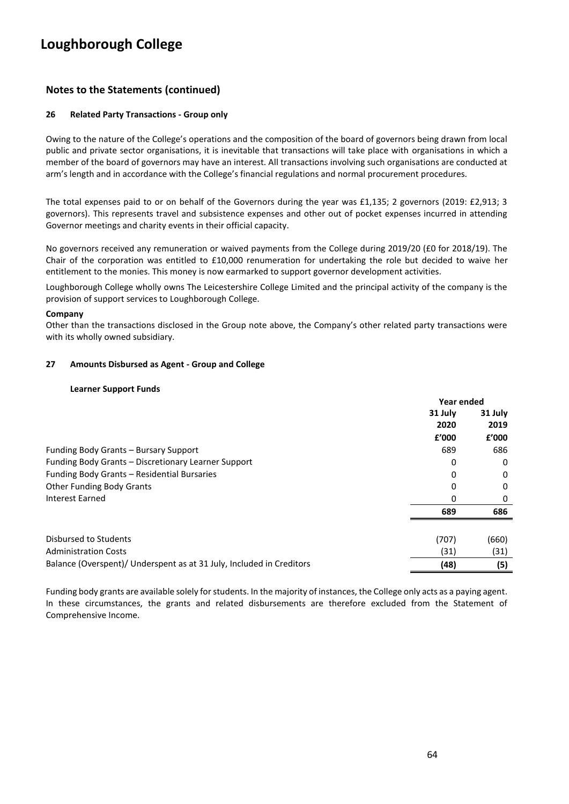### **Notes to the Statements (continued)**

#### **26 Related Party Transactions - Group only**

Owing to the nature of the College's operations and the composition of the board of governors being drawn from local public and private sector organisations, it is inevitable that transactions will take place with organisations in which a member of the board of governors may have an interest. All transactions involving such organisations are conducted at arm's length and in accordance with the College's financial regulations and normal procurement procedures.

The total expenses paid to or on behalf of the Governors during the year was £1,135; 2 governors (2019: £2,913; 3 governors). This represents travel and subsistence expenses and other out of pocket expenses incurred in attending Governor meetings and charity events in their official capacity.

No governors received any remuneration or waived payments from the College during 2019/20 (£0 for 2018/19). The Chair of the corporation was entitled to £10,000 renumeration for undertaking the role but decided to waive her entitlement to the monies. This money is now earmarked to support governor development activities.

Loughborough College wholly owns The Leicestershire College Limited and the principal activity of the company is the provision of support services to Loughborough College.

#### **Company**

Other than the transactions disclosed in the Group note above, the Company's other related party transactions were with its wholly owned subsidiary.

#### **27 Amounts Disbursed as Agent - Group and College**

#### **Learner Support Funds**

|                                                                      | Year ended |         |
|----------------------------------------------------------------------|------------|---------|
|                                                                      | 31 July    | 31 July |
|                                                                      | 2020       | 2019    |
|                                                                      | f'000      | £'000   |
| Funding Body Grants - Bursary Support                                | 689        | 686     |
| Funding Body Grants - Discretionary Learner Support                  | 0          | 0       |
| Funding Body Grants - Residential Bursaries                          | 0          | 0       |
| <b>Other Funding Body Grants</b>                                     | 0          | 0       |
| Interest Earned                                                      | 0          | 0       |
|                                                                      | 689        | 686     |
| Disbursed to Students                                                | (707)      | (660)   |
| <b>Administration Costs</b>                                          | (31)       | (31)    |
| Balance (Overspent)/ Underspent as at 31 July, Included in Creditors | (48)       | (5)     |

Funding body grants are available solely for students. In the majority of instances, the College only acts as a paying agent. In these circumstances, the grants and related disbursements are therefore excluded from the Statement of Comprehensive Income.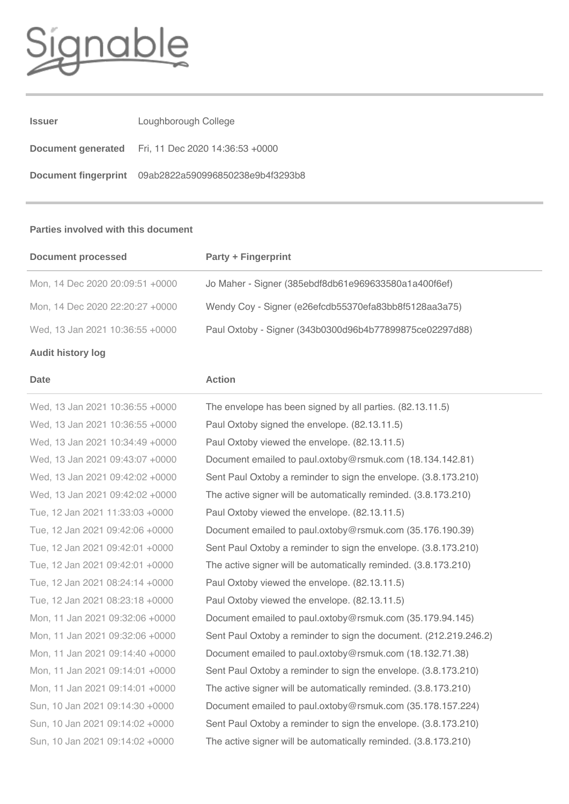# mal

| <b>Issuer</b> | Loughborough College                                      |
|---------------|-----------------------------------------------------------|
|               | <b>Document generated</b> Fri, 11 Dec 2020 14:36:53 +0000 |
|               | Document fingerprint 09ab2822a590996850238e9b4f3293b8     |

#### **Parties involved with this document**

| <b>Document processed</b>       | <b>Party + Fingerprint</b>                              |
|---------------------------------|---------------------------------------------------------|
| Mon, 14 Dec 2020 20:09:51 +0000 | Jo Maher - Signer (385ebdf8db61e969633580a1a400f6ef)    |
| Mon, 14 Dec 2020 22:20:27 +0000 | Wendy Coy - Signer (e26efcdb55370efa83bb8f5128aa3a75)   |
| Wed, 13 Jan 2021 10:36:55 +0000 | Paul Oxtoby - Signer (343b0300d96b4b77899875ce02297d88) |

### **Audit history log**

#### **Date Action**

Wed, 13 Jan 2021 10:36:55 +0000 The envelope has been signed by all parties. (82.13.11.5) Wed, 13 Jan 2021 10:36:55 +0000 Paul Oxtoby signed the envelope. (82.13.11.5) Wed, 13 Jan 2021 10:34:49 +0000 Paul Oxtoby viewed the envelope. (82.13.11.5) Wed, 13 Jan 2021 09:43:07 +0000 Document emailed to paul.oxtoby@rsmuk.com (18.134.142.81) Wed, 13 Jan 2021 09:42:02 +0000 Sent Paul Oxtoby a reminder to sign the envelope. (3.8.173.210) Wed, 13 Jan 2021 09:42:02 +0000 The active signer will be automatically reminded. (3.8.173.210) Tue, 12 Jan 2021 11:33:03 +0000 Paul Oxtoby viewed the envelope. (82.13.11.5) Tue, 12 Jan 2021 09:42:06 +0000 Document emailed to paul.oxtoby@rsmuk.com (35.176.190.39) Tue, 12 Jan 2021 09:42:01 +0000 Sent Paul Oxtoby a reminder to sign the envelope. (3.8.173.210) Tue, 12 Jan 2021 09:42:01 +0000 The active signer will be automatically reminded. (3.8.173.210) Tue, 12 Jan 2021 08:24:14 +0000 Paul Oxtoby viewed the envelope. (82.13.11.5) Tue, 12 Jan 2021 08:23:18 +0000 Paul Oxtoby viewed the envelope. (82.13.11.5) Mon, 11 Jan 2021 09:32:06 +0000 Document emailed to paul.oxtoby@rsmuk.com (35.179.94.145) Mon, 11 Jan 2021 09:32:06 +0000 Sent Paul Oxtoby a reminder to sign the document. (212.219.246.2) Mon, 11 Jan 2021 09:14:40 +0000 Document emailed to paul.oxtoby@rsmuk.com (18.132.71.38) Mon, 11 Jan 2021 09:14:01 +0000 Sent Paul Oxtoby a reminder to sign the envelope. (3.8.173.210) Mon, 11 Jan 2021 09:14:01 +0000 The active signer will be automatically reminded. (3.8.173.210) Sun, 10 Jan 2021 09:14:30 +0000 Document emailed to paul.oxtoby@rsmuk.com (35.178.157.224) Sun, 10 Jan 2021 09:14:02 +0000 Sent Paul Oxtoby a reminder to sign the envelope. (3.8.173.210) Sun, 10 Jan 2021 09:14:02 +0000 The active signer will be automatically reminded. (3.8.173.210)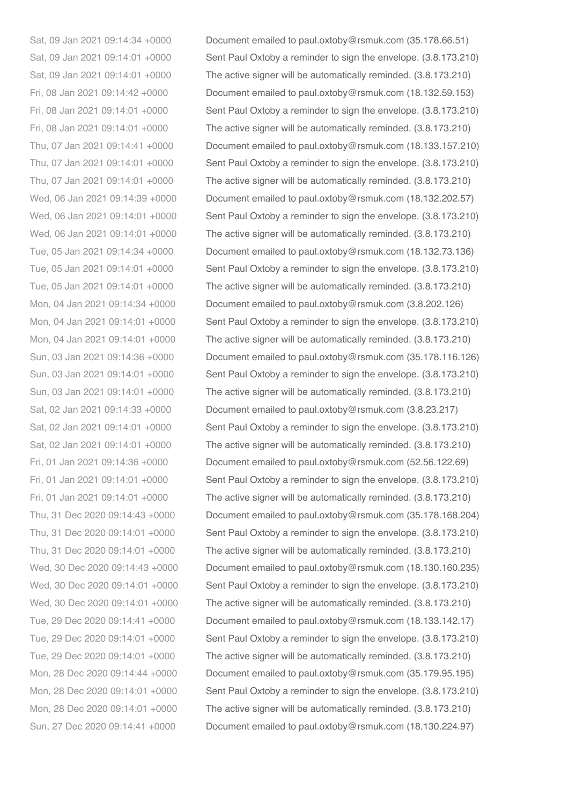Sat, 09 Jan 2021 09:14:34 +0000 Document emailed to paul.oxtoby@rsmuk.com (35.178.66.51) Sat, 09 Jan 2021 09:14:01 +0000 Sent Paul Oxtoby a reminder to sign the envelope. (3.8.173.210) Sat, 09 Jan 2021 09:14:01 +0000 The active signer will be automatically reminded. (3.8.173.210) Fri, 08 Jan 2021 09:14:42 +0000 Document emailed to paul.oxtoby@rsmuk.com (18.132.59.153) Fri, 08 Jan 2021 09:14:01 +0000 Sent Paul Oxtoby a reminder to sign the envelope. (3.8.173.210) Fri, 08 Jan 2021 09:14:01 +0000 The active signer will be automatically reminded. (3.8.173.210) Thu, 07 Jan 2021 09:14:41 +0000 Document emailed to paul.oxtoby@rsmuk.com (18.133.157.210) Thu, 07 Jan 2021 09:14:01 +0000 Sent Paul Oxtoby a reminder to sign the envelope. (3.8.173.210) Thu, 07 Jan 2021 09:14:01 +0000 The active signer will be automatically reminded. (3.8.173.210) Wed, 06 Jan 2021 09:14:39 +0000 Document emailed to paul.oxtoby@rsmuk.com (18.132.202.57) Wed, 06 Jan 2021 09:14:01 +0000 Sent Paul Oxtoby a reminder to sign the envelope. (3.8.173.210) Wed, 06 Jan 2021 09:14:01 +0000 The active signer will be automatically reminded. (3.8.173.210) Tue, 05 Jan 2021 09:14:34 +0000 Document emailed to paul.oxtoby@rsmuk.com (18.132.73.136) Tue, 05 Jan 2021 09:14:01 +0000 Sent Paul Oxtoby a reminder to sign the envelope. (3.8.173.210) Tue, 05 Jan 2021 09:14:01 +0000 The active signer will be automatically reminded. (3.8.173.210) Mon, 04 Jan 2021 09:14:34 +0000 Document emailed to paul.oxtoby@rsmuk.com (3.8.202.126) Mon, 04 Jan 2021 09:14:01 +0000 Sent Paul Oxtoby a reminder to sign the envelope. (3.8.173.210) Mon, 04 Jan 2021 09:14:01 +0000 The active signer will be automatically reminded. (3.8.173.210) Sun, 03 Jan 2021 09:14:36 +0000 Document emailed to paul.oxtoby@rsmuk.com (35.178.116.126) Sun, 03 Jan 2021 09:14:01 +0000 Sent Paul Oxtoby a reminder to sign the envelope. (3.8.173.210) Sun, 03 Jan 2021 09:14:01 +0000 The active signer will be automatically reminded. (3.8.173.210) Sat, 02 Jan 2021 09:14:33 +0000 Document emailed to paul.oxtoby@rsmuk.com (3.8.23.217) Sat, 02 Jan 2021 09:14:01 +0000 Sent Paul Oxtoby a reminder to sign the envelope. (3.8.173.210) Sat, 02 Jan 2021 09:14:01 +0000 The active signer will be automatically reminded. (3.8.173.210) Fri, 01 Jan 2021 09:14:36 +0000 Document emailed to paul.oxtoby@rsmuk.com (52.56.122.69) Fri, 01 Jan 2021 09:14:01 +0000 Sent Paul Oxtoby a reminder to sign the envelope. (3.8.173.210) Fri, 01 Jan 2021 09:14:01 +0000 The active signer will be automatically reminded. (3.8.173.210) Thu, 31 Dec 2020 09:14:43 +0000 Document emailed to paul.oxtoby@rsmuk.com (35.178.168.204) Thu, 31 Dec 2020 09:14:01 +0000 Sent Paul Oxtoby a reminder to sign the envelope. (3.8.173.210) Thu, 31 Dec 2020 09:14:01 +0000 The active signer will be automatically reminded. (3.8.173.210) Wed, 30 Dec 2020 09:14:43 +0000 Document emailed to paul.oxtoby@rsmuk.com (18.130.160.235) Wed, 30 Dec 2020 09:14:01 +0000 Sent Paul Oxtoby a reminder to sign the envelope. (3.8.173.210) Wed, 30 Dec 2020 09:14:01 +0000 The active signer will be automatically reminded. (3.8.173.210) Tue, 29 Dec 2020 09:14:41 +0000 Document emailed to paul.oxtoby@rsmuk.com (18.133.142.17) Tue, 29 Dec 2020 09:14:01 +0000 Sent Paul Oxtoby a reminder to sign the envelope. (3.8.173.210) Tue, 29 Dec 2020 09:14:01 +0000 The active signer will be automatically reminded. (3.8.173.210) Mon, 28 Dec 2020 09:14:44 +0000 Document emailed to paul.oxtoby@rsmuk.com (35.179.95.195) Mon, 28 Dec 2020 09:14:01 +0000 Sent Paul Oxtoby a reminder to sign the envelope. (3.8.173.210) Mon, 28 Dec 2020 09:14:01 +0000 The active signer will be automatically reminded. (3.8.173.210) Sun, 27 Dec 2020 09:14:41 +0000 Document emailed to paul.oxtoby@rsmuk.com (18.130.224.97)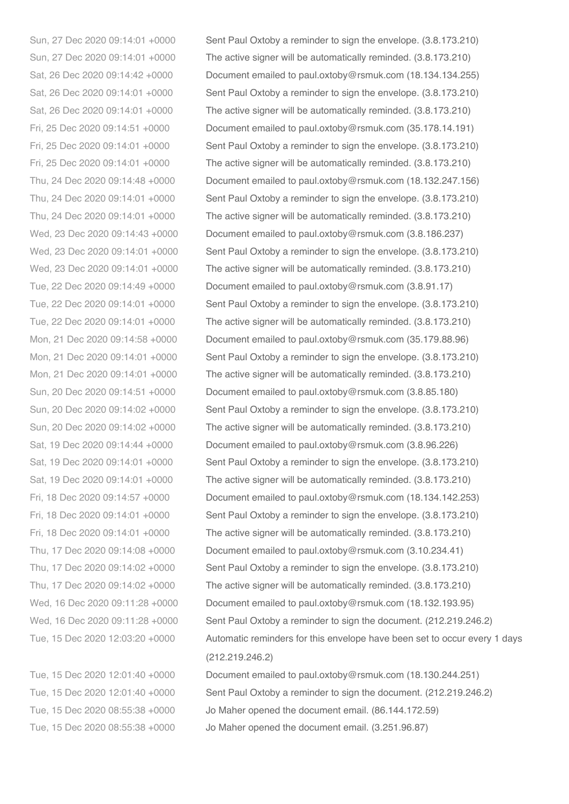Sun, 27 Dec 2020 09:14:01 +0000 Sent Paul Oxtoby a reminder to sign the envelope. (3.8.173.210) Sun, 27 Dec 2020 09:14:01 +0000 The active signer will be automatically reminded. (3.8.173.210) Sat, 26 Dec 2020 09:14:42 +0000 Document emailed to paul.oxtoby@rsmuk.com (18.134.134.255) Sat, 26 Dec 2020 09:14:01 +0000 Sent Paul Oxtoby a reminder to sign the envelope. (3.8.173.210) Sat, 26 Dec 2020 09:14:01 +0000 The active signer will be automatically reminded. (3.8.173.210) Fri, 25 Dec 2020 09:14:51 +0000 Document emailed to paul.oxtoby@rsmuk.com (35.178.14.191) Fri, 25 Dec 2020 09:14:01 +0000 Sent Paul Oxtoby a reminder to sign the envelope. (3.8.173.210) Fri, 25 Dec 2020 09:14:01 +0000 The active signer will be automatically reminded. (3.8.173.210) Thu, 24 Dec 2020 09:14:48 +0000 Document emailed to paul.oxtoby@rsmuk.com (18.132.247.156) Thu, 24 Dec 2020 09:14:01 +0000 Sent Paul Oxtoby a reminder to sign the envelope. (3.8.173.210) Thu, 24 Dec 2020 09:14:01 +0000 The active signer will be automatically reminded. (3.8.173.210) Wed, 23 Dec 2020 09:14:43 +0000 Document emailed to paul.oxtoby@rsmuk.com (3.8.186.237) Wed, 23 Dec 2020 09:14:01 +0000 Sent Paul Oxtoby a reminder to sign the envelope. (3.8.173.210) Wed, 23 Dec 2020 09:14:01 +0000 The active signer will be automatically reminded. (3.8.173.210) Tue, 22 Dec 2020 09:14:49 +0000 Document emailed to paul.oxtoby@rsmuk.com (3.8.91.17) Tue, 22 Dec 2020 09:14:01 +0000 Sent Paul Oxtoby a reminder to sign the envelope. (3.8.173.210) Tue, 22 Dec 2020 09:14:01 +0000 The active signer will be automatically reminded. (3.8.173.210) Mon, 21 Dec 2020 09:14:58 +0000 Document emailed to paul.oxtoby@rsmuk.com (35.179.88.96) Mon, 21 Dec 2020 09:14:01 +0000 Sent Paul Oxtoby a reminder to sign the envelope. (3.8.173.210) Mon, 21 Dec 2020 09:14:01 +0000 The active signer will be automatically reminded. (3.8.173.210) Sun, 20 Dec 2020 09:14:51 +0000 Document emailed to paul.oxtoby@rsmuk.com (3.8.85.180) Sun, 20 Dec 2020 09:14:02 +0000 Sent Paul Oxtoby a reminder to sign the envelope. (3.8.173.210) Sun, 20 Dec 2020 09:14:02 +0000 The active signer will be automatically reminded. (3.8.173.210) Sat, 19 Dec 2020 09:14:44 +0000 Document emailed to paul.oxtoby@rsmuk.com (3.8.96.226) Sat, 19 Dec 2020 09:14:01 +0000 Sent Paul Oxtoby a reminder to sign the envelope. (3.8.173.210) Sat, 19 Dec 2020 09:14:01 +0000 The active signer will be automatically reminded. (3.8.173.210) Fri, 18 Dec 2020 09:14:57 +0000 Document emailed to paul.oxtoby@rsmuk.com (18.134.142.253) Fri, 18 Dec 2020 09:14:01 +0000 Sent Paul Oxtoby a reminder to sign the envelope. (3.8.173.210) Fri, 18 Dec 2020 09:14:01 +0000 The active signer will be automatically reminded. (3.8.173.210) Thu, 17 Dec 2020 09:14:08 +0000 Document emailed to paul.oxtoby@rsmuk.com (3.10.234.41) Thu, 17 Dec 2020 09:14:02 +0000 Sent Paul Oxtoby a reminder to sign the envelope. (3.8.173.210) Thu, 17 Dec 2020 09:14:02 +0000 The active signer will be automatically reminded. (3.8.173.210) Wed, 16 Dec 2020 09:11:28 +0000 Document emailed to paul.oxtoby@rsmuk.com (18.132.193.95) Wed, 16 Dec 2020 09:11:28 +0000 Sent Paul Oxtoby a reminder to sign the document. (212.219.246.2) Tue, 15 Dec 2020 12:03:20 +0000 Automatic reminders for this envelope have been set to occur every 1 days (212.219.246.2)

Tue, 15 Dec 2020 12:01:40 +0000 Document emailed to paul.oxtoby@rsmuk.com (18.130.244.251) Tue, 15 Dec 2020 12:01:40 +0000 Sent Paul Oxtoby a reminder to sign the document. (212.219.246.2) Tue, 15 Dec 2020 08:55:38 +0000 Jo Maher opened the document email. (86.144.172.59) Tue, 15 Dec 2020 08:55:38 +0000 Jo Maher opened the document email. (3.251.96.87)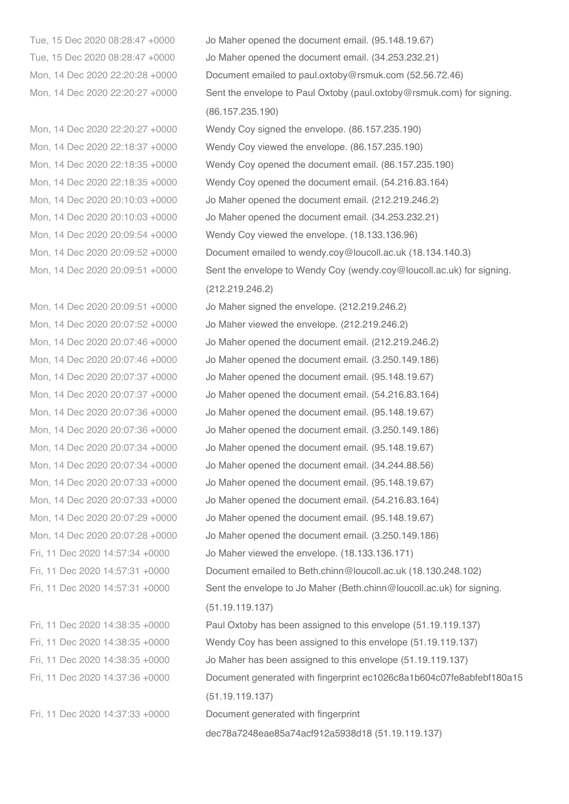Tue, 15 Dec 2020 08:28:47 +0000 Jo Maher opened the document email. (95.148.19.67) Tue, 15 Dec 2020 08:28:47 +0000 Jo Maher opened the document email. (34.253.232.21) Mon, 14 Dec 2020 22:20:28 +0000 Document emailed to paul.oxtoby@rsmuk.com (52.56.72.46) Mon, 14 Dec 2020 22:20:27 +0000 Sent the envelope to Paul Oxtoby (paul.oxtoby@rsmuk.com) for signing. (86.157.235.190) Mon, 14 Dec 2020 22:20:27 +0000 Wendy Coy signed the envelope. (86.157.235.190) Mon, 14 Dec 2020 22:18:37 +0000 Wendy Coy viewed the envelope. (86.157.235.190) Mon, 14 Dec 2020 22:18:35 +0000 Wendy Coy opened the document email. (86.157.235.190) Mon, 14 Dec 2020 22:18:35 +0000 Wendy Coy opened the document email. (54.216.83.164) Mon, 14 Dec 2020 20:10:03 +0000 Jo Maher opened the document email. (212.219.246.2) Mon, 14 Dec 2020 20:10:03 +0000 Jo Maher opened the document email. (34.253.232.21) Mon, 14 Dec 2020 20:09:54 +0000 Wendy Coy viewed the envelope. (18.133.136.96) Mon, 14 Dec 2020 20:09:52 +0000 Document emailed to wendy.coy@loucoll.ac.uk (18.134.140.3) Mon, 14 Dec 2020 20:09:51 +0000 Sent the envelope to Wendy Coy (wendy.coy@loucoll.ac.uk) for signing. (212.219.246.2) Mon, 14 Dec 2020 20:09:51 +0000 Jo Maher signed the envelope. (212.219.246.2) Mon, 14 Dec 2020 20:07:52 +0000 Jo Maher viewed the envelope. (212.219.246.2) Mon, 14 Dec 2020 20:07:46 +0000 Jo Maher opened the document email. (212.219.246.2) Mon, 14 Dec 2020 20:07:46 +0000 Jo Maher opened the document email. (3.250.149.186) Mon, 14 Dec 2020 20:07:37 +0000 Jo Maher opened the document email. (95.148.19.67) Mon, 14 Dec 2020 20:07:37 +0000 Jo Maher opened the document email. (54.216.83.164) Mon, 14 Dec 2020 20:07:36 +0000 Jo Maher opened the document email. (95.148.19.67) Mon, 14 Dec 2020 20:07:36 +0000 Jo Maher opened the document email. (3.250.149.186) Mon, 14 Dec 2020 20:07:34 +0000 Jo Maher opened the document email. (95.148.19.67) Mon, 14 Dec 2020 20:07:34 +0000 Jo Maher opened the document email. (34.244.88.56) Mon, 14 Dec 2020 20:07:33 +0000 Jo Maher opened the document email. (95.148.19.67) Mon, 14 Dec 2020 20:07:33 +0000 Jo Maher opened the document email. (54.216.83.164) Mon, 14 Dec 2020 20:07:29 +0000 Jo Maher opened the document email. (95.148.19.67) Mon, 14 Dec 2020 20:07:28 +0000 Jo Maher opened the document email. (3.250.149.186) Fri, 11 Dec 2020 14:57:34 +0000 Jo Maher viewed the envelope. (18.133.136.171) Fri, 11 Dec 2020 14:57:31 +0000 Document emailed to Beth.chinn@loucoll.ac.uk (18.130.248.102) Fri, 11 Dec 2020 14:57:31 +0000 Sent the envelope to Jo Maher (Beth.chinn@loucoll.ac.uk) for signing. (51.19.119.137) Fri, 11 Dec 2020 14:38:35 +0000 Paul Oxtoby has been assigned to this envelope (51.19.119.137) Fri, 11 Dec 2020 14:38:35 +0000 Wendy Coy has been assigned to this envelope (51.19.119.137) Fri, 11 Dec 2020 14:38:35 +0000 Jo Maher has been assigned to this envelope (51.19.119.137)

Fri, 11 Dec 2020 14:37:36 +0000 Document generated with fingerprint ec1026c8a1b604c07fe8abfebf180a15

(51.19.119.137)

Fri, 11 Dec 2020 14:37:33 +0000 Document generated with fingerprint

dec78a7248eae85a74acf912a5938d18 (51.19.119.137)